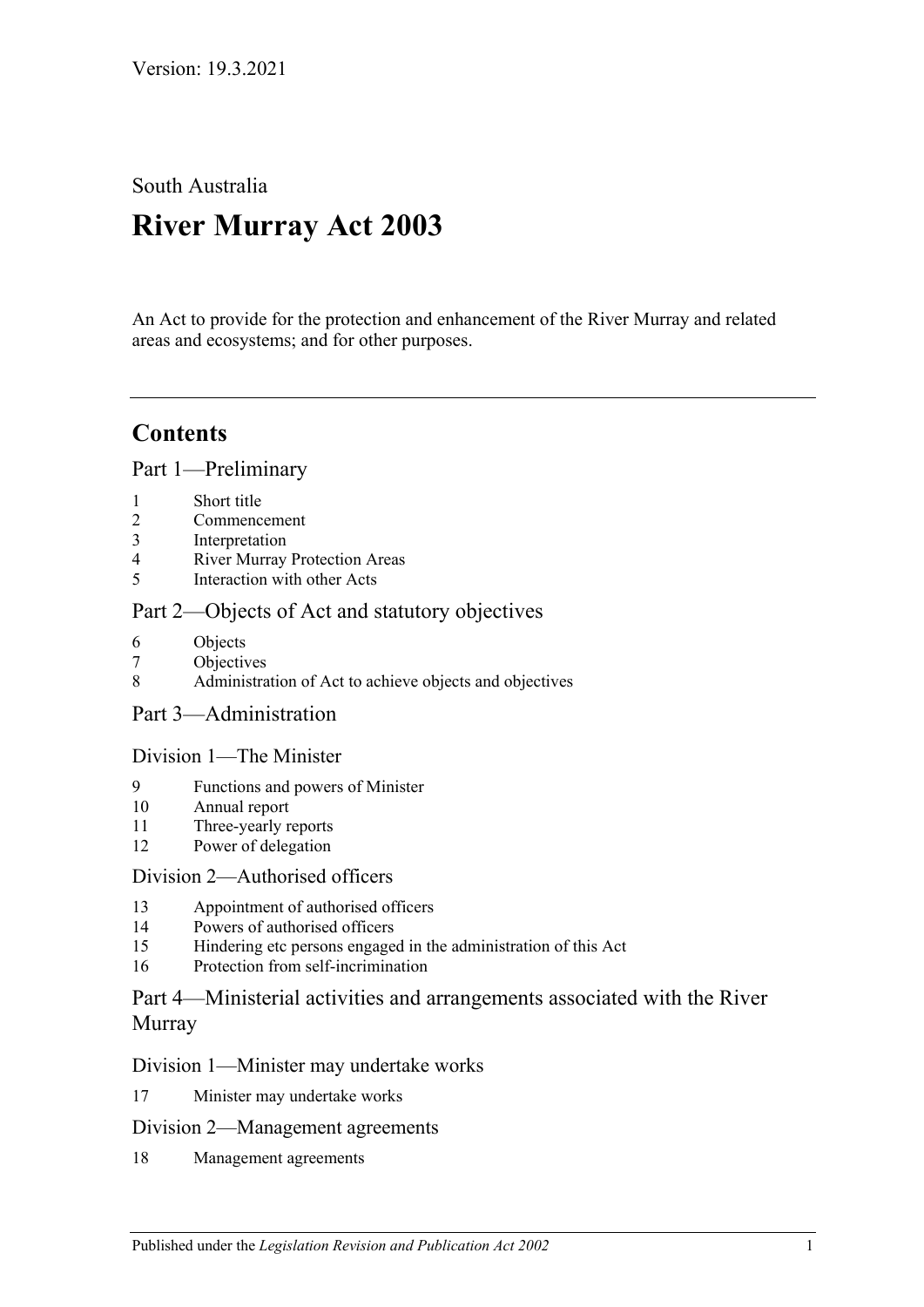South Australia

# **River Murray Act 2003**

An Act to provide for the protection and enhancement of the River Murray and related areas and ecosystems; and for other purposes.

## **Contents**

[Part 1—Preliminary](#page-2-0)

- 1 [Short title](#page-2-1)
- 2 [Commencement](#page-2-2)
- 3 [Interpretation](#page-2-3)
- 4 [River Murray Protection Areas](#page-5-0)
- 5 [Interaction with other Acts](#page-5-1)

#### [Part 2—Objects of Act and statutory objectives](#page-6-0)

- 6 [Objects](#page-6-1)
- 7 [Objectives](#page-7-0)
- 8 [Administration of Act to achieve objects and objectives](#page-8-0)
- [Part 3—Administration](#page-9-0)

#### [Division 1—The Minister](#page-9-1)

- 9 [Functions and powers of Minister](#page-9-2)
- 10 [Annual report](#page-11-0)
- 11 [Three-yearly reports](#page-11-1)
- 12 [Power of delegation](#page-11-2)

#### [Division 2—Authorised officers](#page-12-0)

- 13 [Appointment of authorised officers](#page-12-1)
- 14 [Powers of authorised officers](#page-12-2)
- 15 [Hindering etc persons engaged in the administration of this Act](#page-14-0)
- 16 [Protection from self-incrimination](#page-15-0)

#### [Part 4—Ministerial activities and arrangements associated with the River](#page-15-1)  [Murray](#page-15-1)

#### [Division 1—Minister may undertake works](#page-15-2)

17 [Minister may undertake works](#page-15-3)

#### [Division 2—Management agreements](#page-16-0)

18 [Management agreements](#page-16-1)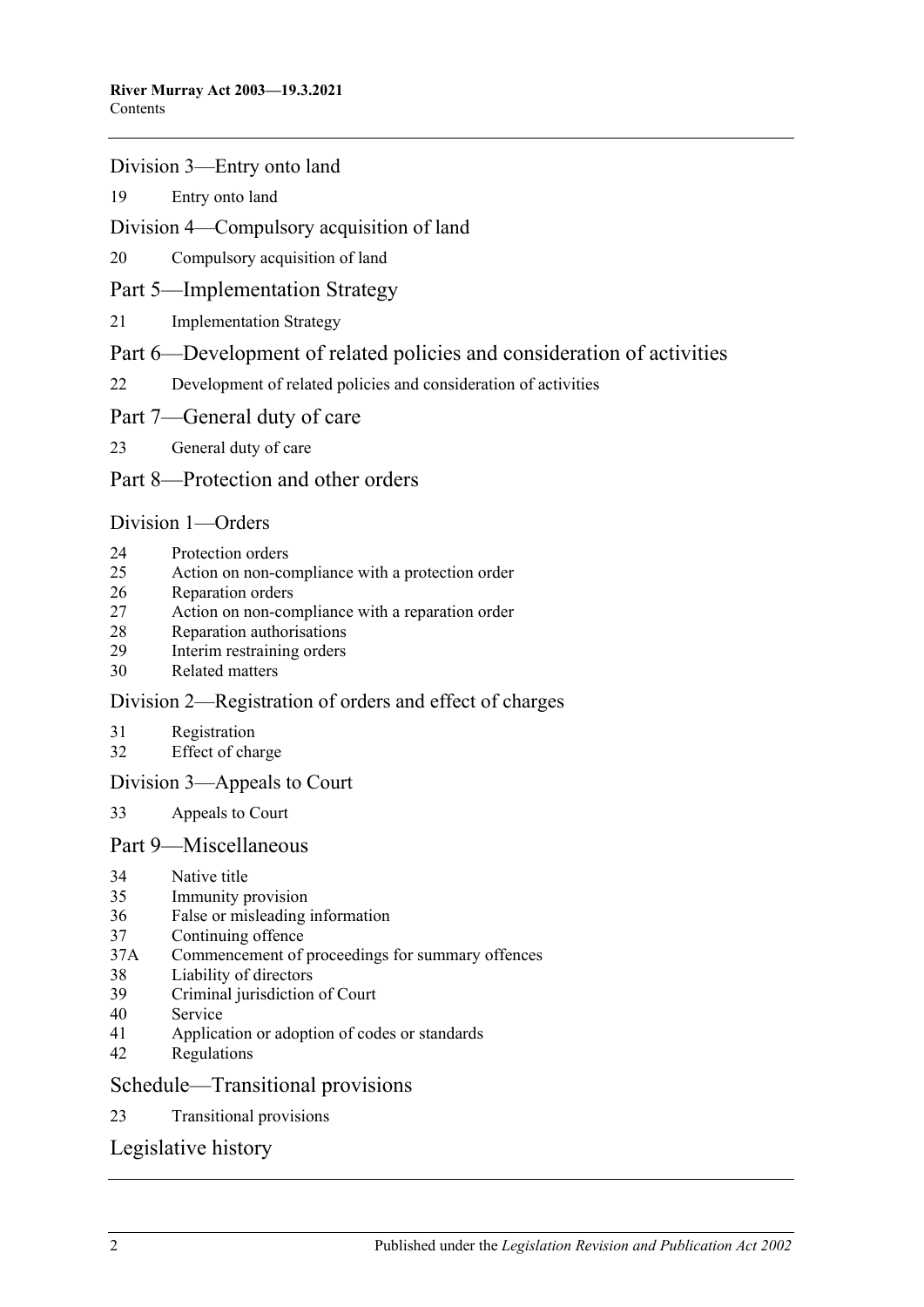#### [Division 3—Entry onto land](#page-17-0)

[Entry onto land](#page-17-1)

#### [Division 4—Compulsory acquisition of land](#page-18-0)

[Compulsory acquisition of land](#page-18-1)

#### [Part 5—Implementation Strategy](#page-18-2)

[Implementation Strategy](#page-18-3)

#### [Part 6—Development of related policies and consideration of activities](#page-19-0)

- [Development of related policies and consideration of activities](#page-19-1)
- [Part 7—General duty of care](#page-23-0)
- [General duty of care](#page-23-1)

#### [Part 8—Protection and other orders](#page-24-0)

#### [Division 1—Orders](#page-24-1)

- [Protection orders](#page-24-2)
- [Action on non-compliance with a protection order](#page-26-0)
- [Reparation orders](#page-27-0)
- [Action on non-compliance with a reparation order](#page-28-0)
- [Reparation authorisations](#page-29-0)
- [Interim restraining orders](#page-30-0)
- [Related matters](#page-30-1)

#### [Division 2—Registration of orders and effect of charges](#page-31-0)

- [Registration](#page-31-1)
- [Effect of charge](#page-32-0)

#### [Division 3—Appeals to Court](#page-32-1)

[Appeals to Court](#page-32-2)

#### [Part 9—Miscellaneous](#page-33-0)

- [Native title](#page-33-1)<br>35 Immunity n
- [Immunity provision](#page-33-2)
- [False or misleading information](#page-34-0)
- [Continuing offence](#page-34-1)
- 37A [Commencement of proceedings for summary offences](#page-34-2)
- [Liability of directors](#page-34-3)
- [Criminal jurisdiction of Court](#page-34-4)
- [Service](#page-35-0)
- [Application or adoption of codes or standards](#page-35-1)
- [Regulations](#page-35-2)

#### [Schedule—Transitional provisions](#page-37-0)

[Transitional provisions](#page-37-1)

#### [Legislative history](#page-40-0)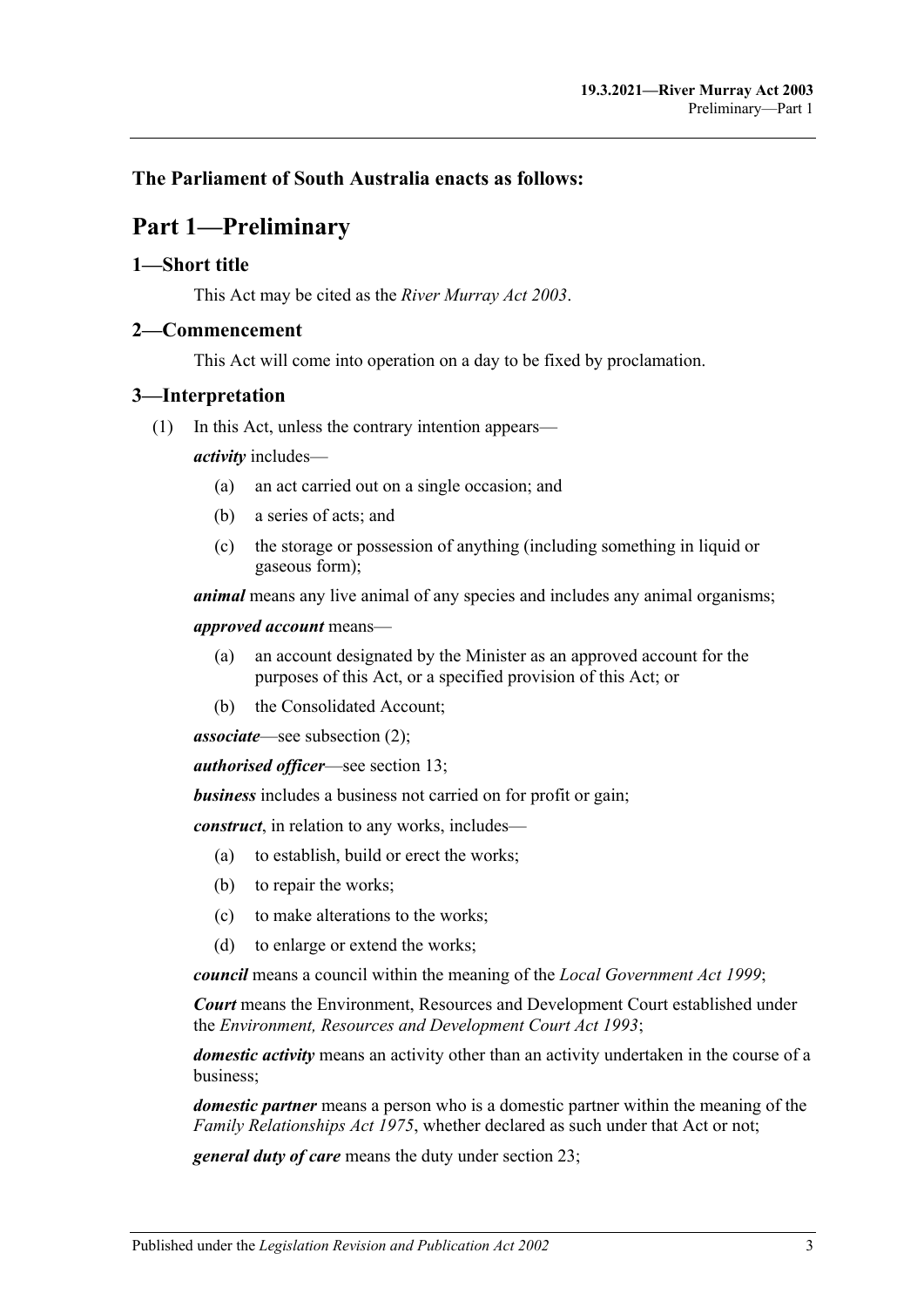#### <span id="page-2-0"></span>**The Parliament of South Australia enacts as follows:**

## **Part 1—Preliminary**

#### <span id="page-2-1"></span>**1—Short title**

This Act may be cited as the *River Murray Act 2003*.

#### <span id="page-2-2"></span>**2—Commencement**

This Act will come into operation on a day to be fixed by proclamation.

#### <span id="page-2-3"></span>**3—Interpretation**

(1) In this Act, unless the contrary intention appears—

*activity* includes—

- (a) an act carried out on a single occasion; and
- (b) a series of acts; and
- (c) the storage or possession of anything (including something in liquid or gaseous form);

*animal* means any live animal of any species and includes any animal organisms;

*approved account* means—

- (a) an account designated by the Minister as an approved account for the purposes of this Act, or a specified provision of this Act; or
- (b) the Consolidated Account;

*associate*—see [subsection](#page-4-0) (2);

*authorised officer*—see [section](#page-12-1) 13;

*business* includes a business not carried on for profit or gain;

*construct*, in relation to any works, includes—

- (a) to establish, build or erect the works;
- (b) to repair the works;
- (c) to make alterations to the works;
- (d) to enlarge or extend the works;

*council* means a council within the meaning of the *[Local Government Act](http://www.legislation.sa.gov.au/index.aspx?action=legref&type=act&legtitle=Local%20Government%20Act%201999) 1999*;

*Court* means the Environment, Resources and Development Court established under the *[Environment, Resources and Development Court Act](http://www.legislation.sa.gov.au/index.aspx?action=legref&type=act&legtitle=Environment%20Resources%20and%20Development%20Court%20Act%201993) 1993*;

*domestic activity* means an activity other than an activity undertaken in the course of a business;

*domestic partner* means a person who is a domestic partner within the meaning of the *[Family Relationships Act](http://www.legislation.sa.gov.au/index.aspx?action=legref&type=act&legtitle=Family%20Relationships%20Act%201975) 1975*, whether declared as such under that Act or not;

*general duty of care* means the duty under [section](#page-23-1) 23;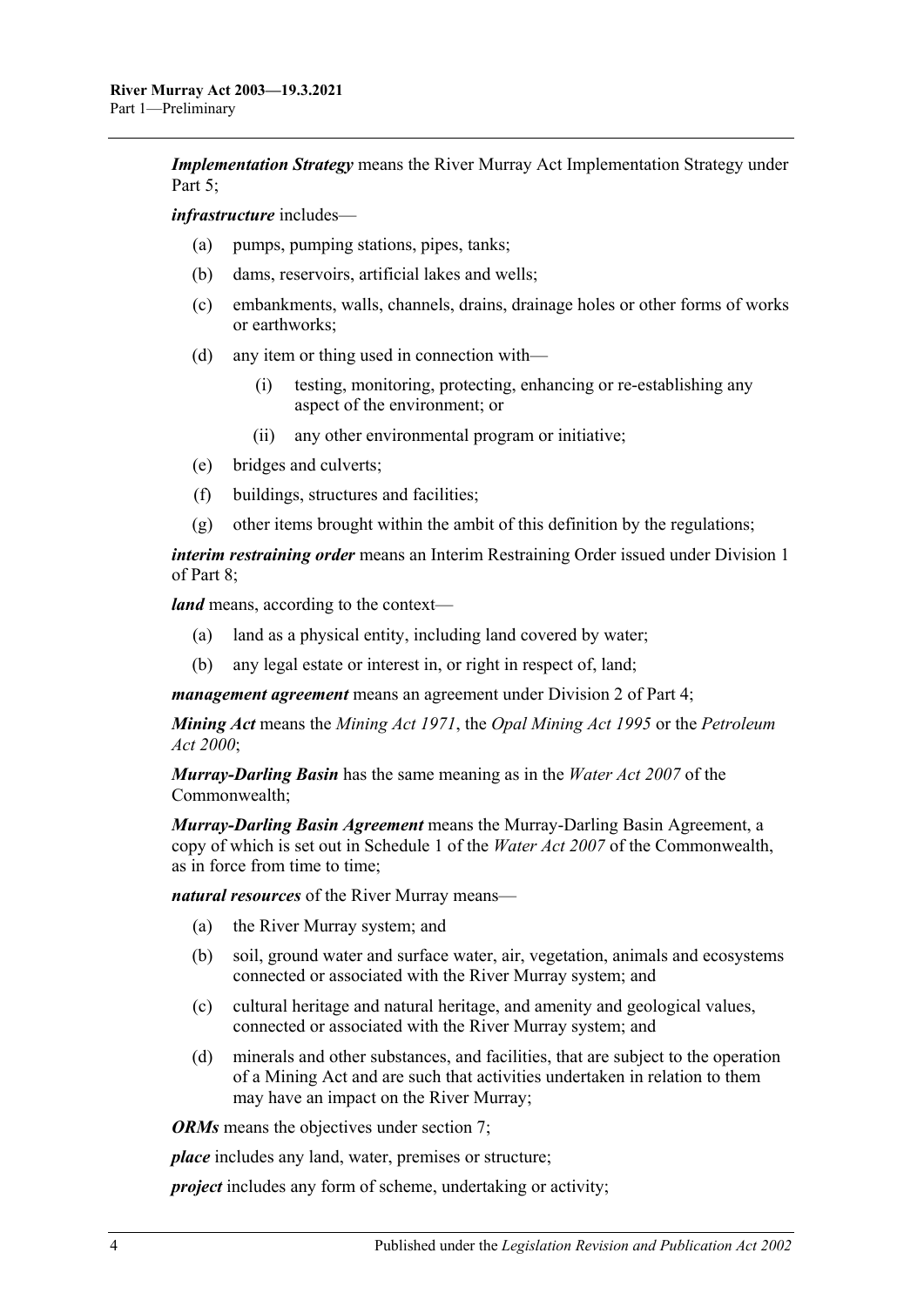*Implementation Strategy* means the River Murray Act Implementation Strategy under [Part 5;](#page-18-2)

*infrastructure* includes—

- (a) pumps, pumping stations, pipes, tanks;
- (b) dams, reservoirs, artificial lakes and wells;
- (c) embankments, walls, channels, drains, drainage holes or other forms of works or earthworks;
- (d) any item or thing used in connection with—
	- (i) testing, monitoring, protecting, enhancing or re-establishing any aspect of the environment; or
	- (ii) any other environmental program or initiative;
- (e) bridges and culverts;
- (f) buildings, structures and facilities;
- (g) other items brought within the ambit of this definition by the regulations;

*interim restraining order* means an Interim Restraining Order issued under [Division 1](#page-24-1) of [Part 8;](#page-24-0)

*land* means, according to the context—

- (a) land as a physical entity, including land covered by water;
- (b) any legal estate or interest in, or right in respect of, land;

*management agreement* means an agreement under [Division 2](#page-16-0) of [Part 4;](#page-15-1)

*Mining Act* means the *[Mining Act](http://www.legislation.sa.gov.au/index.aspx?action=legref&type=act&legtitle=Mining%20Act%201971) 1971*, the *[Opal Mining Act](http://www.legislation.sa.gov.au/index.aspx?action=legref&type=act&legtitle=Opal%20Mining%20Act%201995) 1995* or the *[Petroleum](http://www.legislation.sa.gov.au/index.aspx?action=legref&type=act&legtitle=Petroleum%20Act%202000)  Act [2000](http://www.legislation.sa.gov.au/index.aspx?action=legref&type=act&legtitle=Petroleum%20Act%202000)*;

*Murray-Darling Basin* has the same meaning as in the *Water Act 2007* of the Commonwealth;

*Murray-Darling Basin Agreement* means the Murray-Darling Basin Agreement, a copy of which is set out in Schedule 1 of the *Water Act 2007* of the Commonwealth, as in force from time to time;

*natural resources* of the River Murray means—

- (a) the River Murray system; and
- (b) soil, ground water and surface water, air, vegetation, animals and ecosystems connected or associated with the River Murray system; and
- (c) cultural heritage and natural heritage, and amenity and geological values, connected or associated with the River Murray system; and
- (d) minerals and other substances, and facilities, that are subject to the operation of a Mining Act and are such that activities undertaken in relation to them may have an impact on the River Murray;

*ORMs* means the objectives under [section](#page-7-0) 7;

*place* includes any land, water, premises or structure;

*project* includes any form of scheme, undertaking or activity;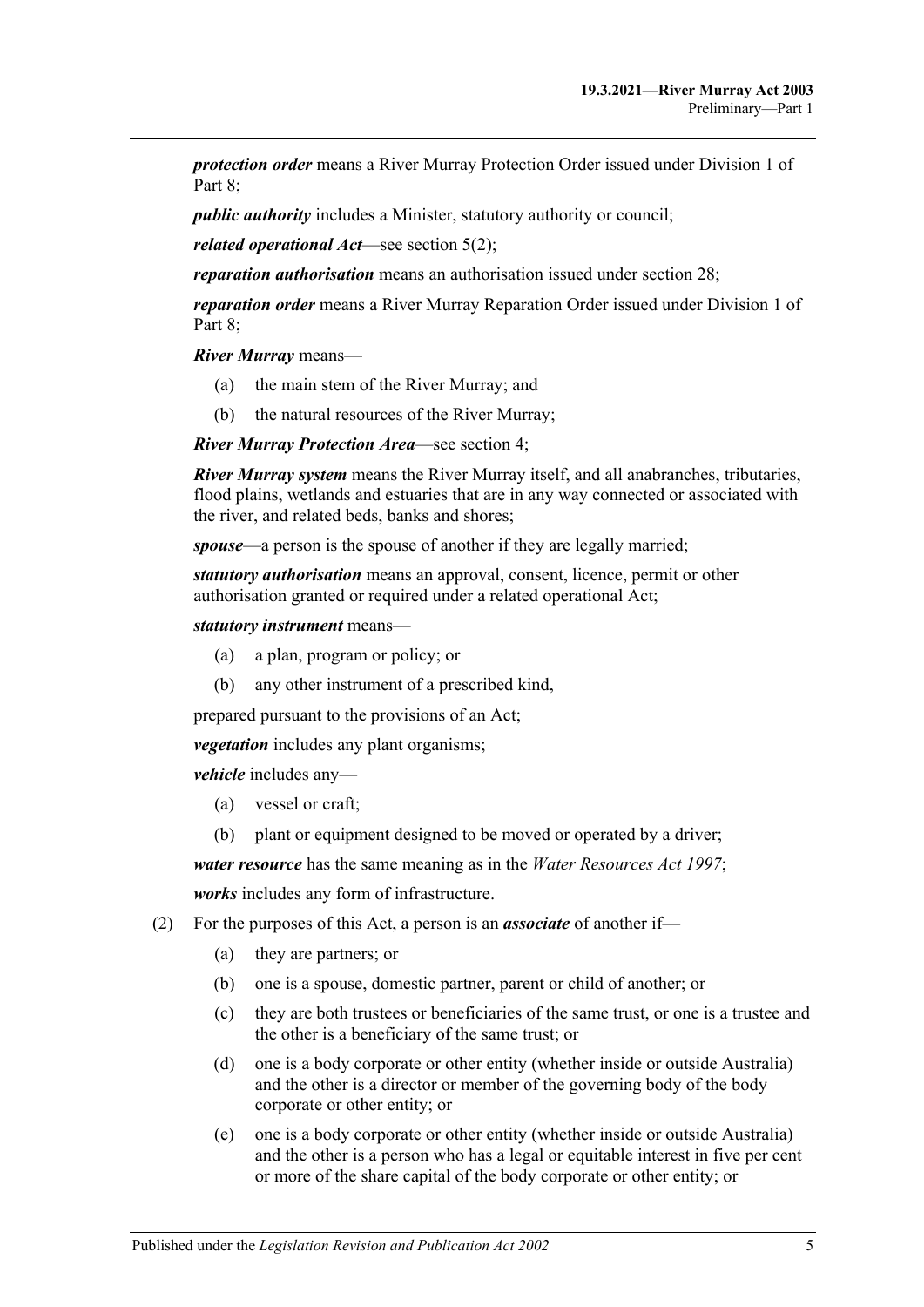*protection order* means a River Murray Protection Order issued under [Division 1](#page-24-1) of Part 8:

*public authority* includes a Minister, statutory authority or council;

*related operational Act*—see [section](#page-5-2) 5(2);

*reparation authorisation* means an authorisation issued under [section](#page-29-0) 28;

*reparation order* means a River Murray Reparation Order issued under [Division 1](#page-24-1) of [Part 8;](#page-24-0)

*River Murray* means—

- (a) the main stem of the River Murray; and
- (b) the natural resources of the River Murray;

*River Murray Protection Area*—see [section](#page-5-0) 4;

*River Murray system* means the River Murray itself, and all anabranches, tributaries, flood plains, wetlands and estuaries that are in any way connected or associated with the river, and related beds, banks and shores;

*spouse*—a person is the spouse of another if they are legally married;

*statutory authorisation* means an approval, consent, licence, permit or other authorisation granted or required under a related operational Act;

*statutory instrument* means—

- (a) a plan, program or policy; or
- (b) any other instrument of a prescribed kind,

prepared pursuant to the provisions of an Act;

*vegetation* includes any plant organisms;

*vehicle* includes any—

- (a) vessel or craft;
- (b) plant or equipment designed to be moved or operated by a driver;

*water resource* has the same meaning as in the *[Water Resources Act](http://www.legislation.sa.gov.au/index.aspx?action=legref&type=act&legtitle=Water%20Resources%20Act%201997) 1997*;

*works* includes any form of infrastructure.

- <span id="page-4-0"></span>(2) For the purposes of this Act, a person is an *associate* of another if—
	- (a) they are partners; or
	- (b) one is a spouse, domestic partner, parent or child of another; or
	- (c) they are both trustees or beneficiaries of the same trust, or one is a trustee and the other is a beneficiary of the same trust; or
	- (d) one is a body corporate or other entity (whether inside or outside Australia) and the other is a director or member of the governing body of the body corporate or other entity; or
	- (e) one is a body corporate or other entity (whether inside or outside Australia) and the other is a person who has a legal or equitable interest in five per cent or more of the share capital of the body corporate or other entity; or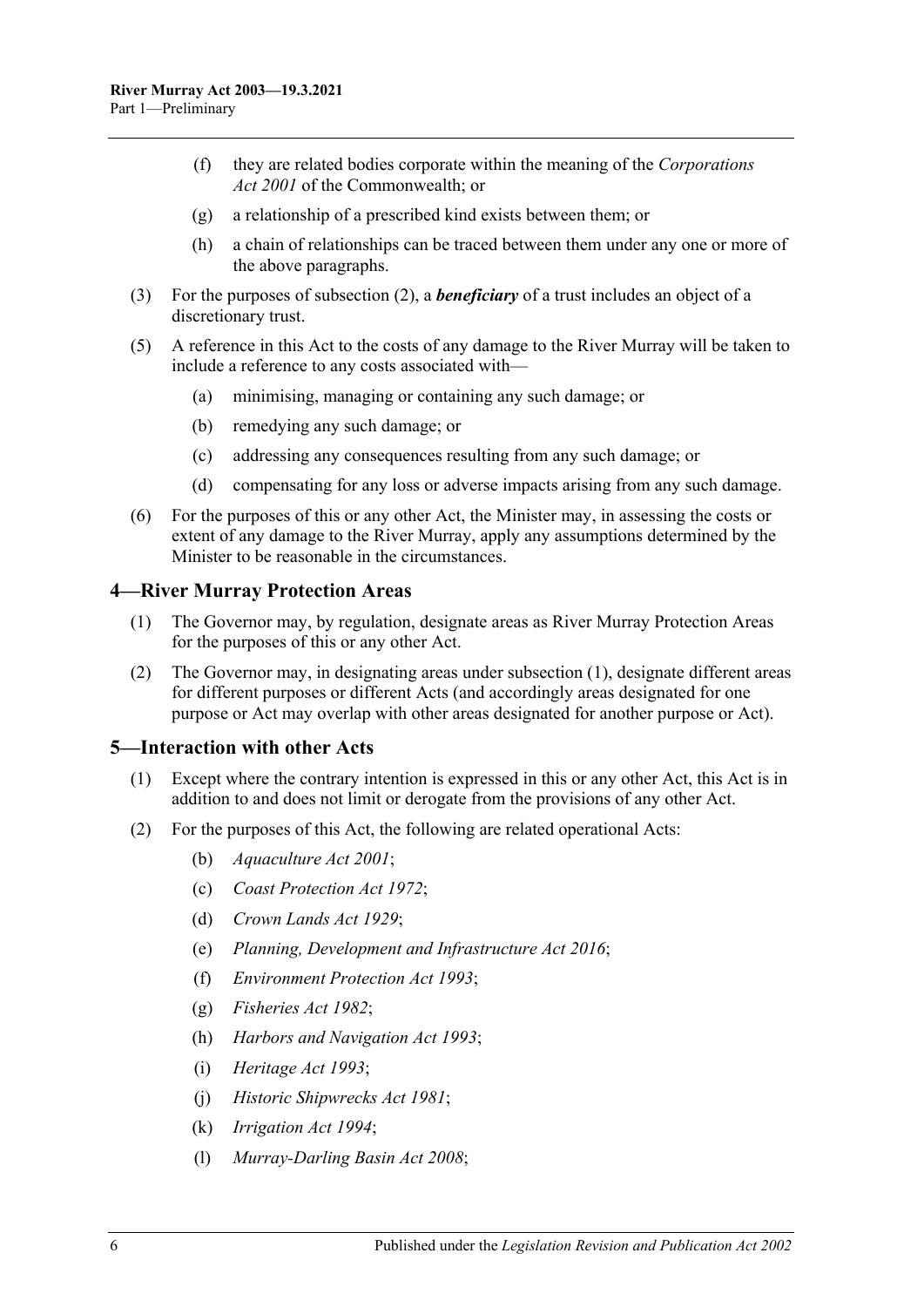- (f) they are related bodies corporate within the meaning of the *Corporations Act 2001* of the Commonwealth; or
- (g) a relationship of a prescribed kind exists between them; or
- (h) a chain of relationships can be traced between them under any one or more of the above paragraphs.
- (3) For the purposes of [subsection](#page-4-0) (2), a *beneficiary* of a trust includes an object of a discretionary trust.
- (5) A reference in this Act to the costs of any damage to the River Murray will be taken to include a reference to any costs associated with—
	- (a) minimising, managing or containing any such damage; or
	- (b) remedying any such damage; or
	- (c) addressing any consequences resulting from any such damage; or
	- (d) compensating for any loss or adverse impacts arising from any such damage.
- (6) For the purposes of this or any other Act, the Minister may, in assessing the costs or extent of any damage to the River Murray, apply any assumptions determined by the Minister to be reasonable in the circumstances.

#### <span id="page-5-3"></span><span id="page-5-0"></span>**4—River Murray Protection Areas**

- (1) The Governor may, by regulation, designate areas as River Murray Protection Areas for the purposes of this or any other Act.
- (2) The Governor may, in designating areas under [subsection](#page-5-3) (1), designate different areas for different purposes or different Acts (and accordingly areas designated for one purpose or Act may overlap with other areas designated for another purpose or Act).

#### <span id="page-5-1"></span>**5—Interaction with other Acts**

- (1) Except where the contrary intention is expressed in this or any other Act, this Act is in addition to and does not limit or derogate from the provisions of any other Act.
- <span id="page-5-2"></span>(2) For the purposes of this Act, the following are related operational Acts:
	- (b) *[Aquaculture Act](http://www.legislation.sa.gov.au/index.aspx?action=legref&type=act&legtitle=Aquaculture%20Act%202001) 2001*;
	- (c) *[Coast Protection Act](http://www.legislation.sa.gov.au/index.aspx?action=legref&type=act&legtitle=Coast%20Protection%20Act%201972) 1972*;
	- (d) *[Crown Lands Act](http://www.legislation.sa.gov.au/index.aspx?action=legref&type=act&legtitle=Crown%20Lands%20Act%201929) 1929*;
	- (e) *[Planning, Development and Infrastructure Act 2016](http://www.legislation.sa.gov.au/index.aspx?action=legref&type=act&legtitle=Planning%20Development%20and%20Infrastructure%20Act%202016)*;
	- (f) *[Environment Protection Act](http://www.legislation.sa.gov.au/index.aspx?action=legref&type=act&legtitle=Environment%20Protection%20Act%201993) 1993*;
	- (g) *[Fisheries Act](http://www.legislation.sa.gov.au/index.aspx?action=legref&type=act&legtitle=Fisheries%20Act%201982) 1982*;
	- (h) *[Harbors and Navigation Act](http://www.legislation.sa.gov.au/index.aspx?action=legref&type=act&legtitle=Harbors%20and%20Navigation%20Act%201993) 1993*;
	- (i) *[Heritage Act](http://www.legislation.sa.gov.au/index.aspx?action=legref&type=act&legtitle=Heritage%20Act%201993) 1993*;
	- (j) *[Historic Shipwrecks Act](http://www.legislation.sa.gov.au/index.aspx?action=legref&type=act&legtitle=Historic%20Shipwrecks%20Act%201981) 1981*;
	- (k) *[Irrigation Act](http://www.legislation.sa.gov.au/index.aspx?action=legref&type=act&legtitle=Irrigation%20Act%201994) 1994*;
	- (l) *[Murray-Darling Basin Act](http://www.legislation.sa.gov.au/index.aspx?action=legref&type=act&legtitle=Murray-Darling%20Basin%20Act%202008) 2008*;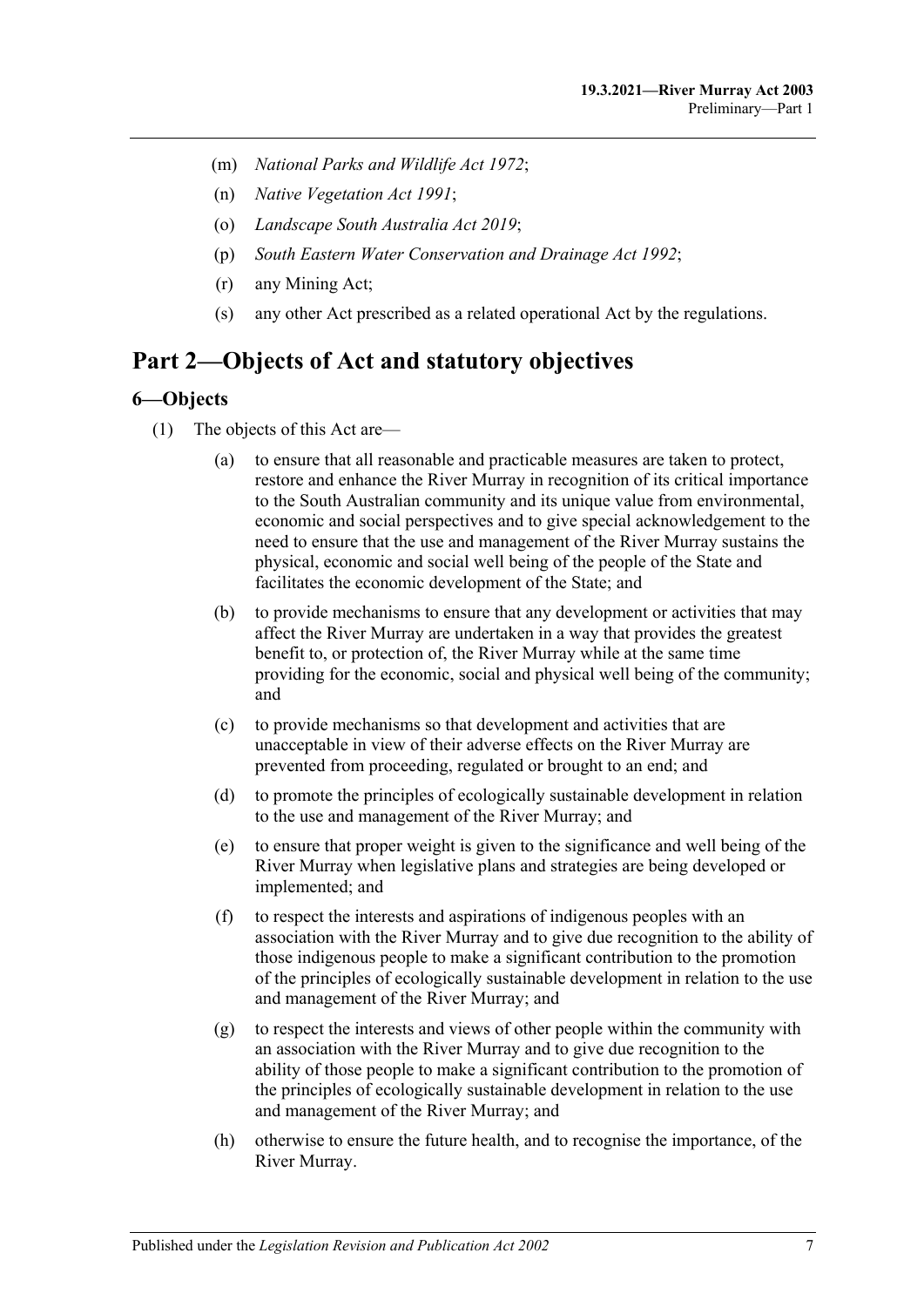- (m) *[National Parks and Wildlife Act](http://www.legislation.sa.gov.au/index.aspx?action=legref&type=act&legtitle=National%20Parks%20and%20Wildlife%20Act%201972) 1972*;
- (n) *[Native Vegetation Act](http://www.legislation.sa.gov.au/index.aspx?action=legref&type=act&legtitle=Native%20Vegetation%20Act%201991) 1991*;
- (o) *[Landscape South Australia Act](http://www.legislation.sa.gov.au/index.aspx?action=legref&type=act&legtitle=Landscape%20South%20Australia%20Act%202019) 2019*;
- (p) *[South Eastern Water Conservation and Drainage Act](http://www.legislation.sa.gov.au/index.aspx?action=legref&type=act&legtitle=South%20Eastern%20Water%20Conservation%20and%20Drainage%20Act%201992) 1992*;
- (r) any Mining Act;
- (s) any other Act prescribed as a related operational Act by the regulations.

## <span id="page-6-0"></span>**Part 2—Objects of Act and statutory objectives**

#### <span id="page-6-1"></span>**6—Objects**

- (1) The objects of this Act are—
	- (a) to ensure that all reasonable and practicable measures are taken to protect, restore and enhance the River Murray in recognition of its critical importance to the South Australian community and its unique value from environmental, economic and social perspectives and to give special acknowledgement to the need to ensure that the use and management of the River Murray sustains the physical, economic and social well being of the people of the State and facilitates the economic development of the State; and
	- (b) to provide mechanisms to ensure that any development or activities that may affect the River Murray are undertaken in a way that provides the greatest benefit to, or protection of, the River Murray while at the same time providing for the economic, social and physical well being of the community; and
	- (c) to provide mechanisms so that development and activities that are unacceptable in view of their adverse effects on the River Murray are prevented from proceeding, regulated or brought to an end; and
	- (d) to promote the principles of ecologically sustainable development in relation to the use and management of the River Murray; and
	- (e) to ensure that proper weight is given to the significance and well being of the River Murray when legislative plans and strategies are being developed or implemented; and
	- (f) to respect the interests and aspirations of indigenous peoples with an association with the River Murray and to give due recognition to the ability of those indigenous people to make a significant contribution to the promotion of the principles of ecologically sustainable development in relation to the use and management of the River Murray; and
	- (g) to respect the interests and views of other people within the community with an association with the River Murray and to give due recognition to the ability of those people to make a significant contribution to the promotion of the principles of ecologically sustainable development in relation to the use and management of the River Murray; and
	- (h) otherwise to ensure the future health, and to recognise the importance, of the River Murray.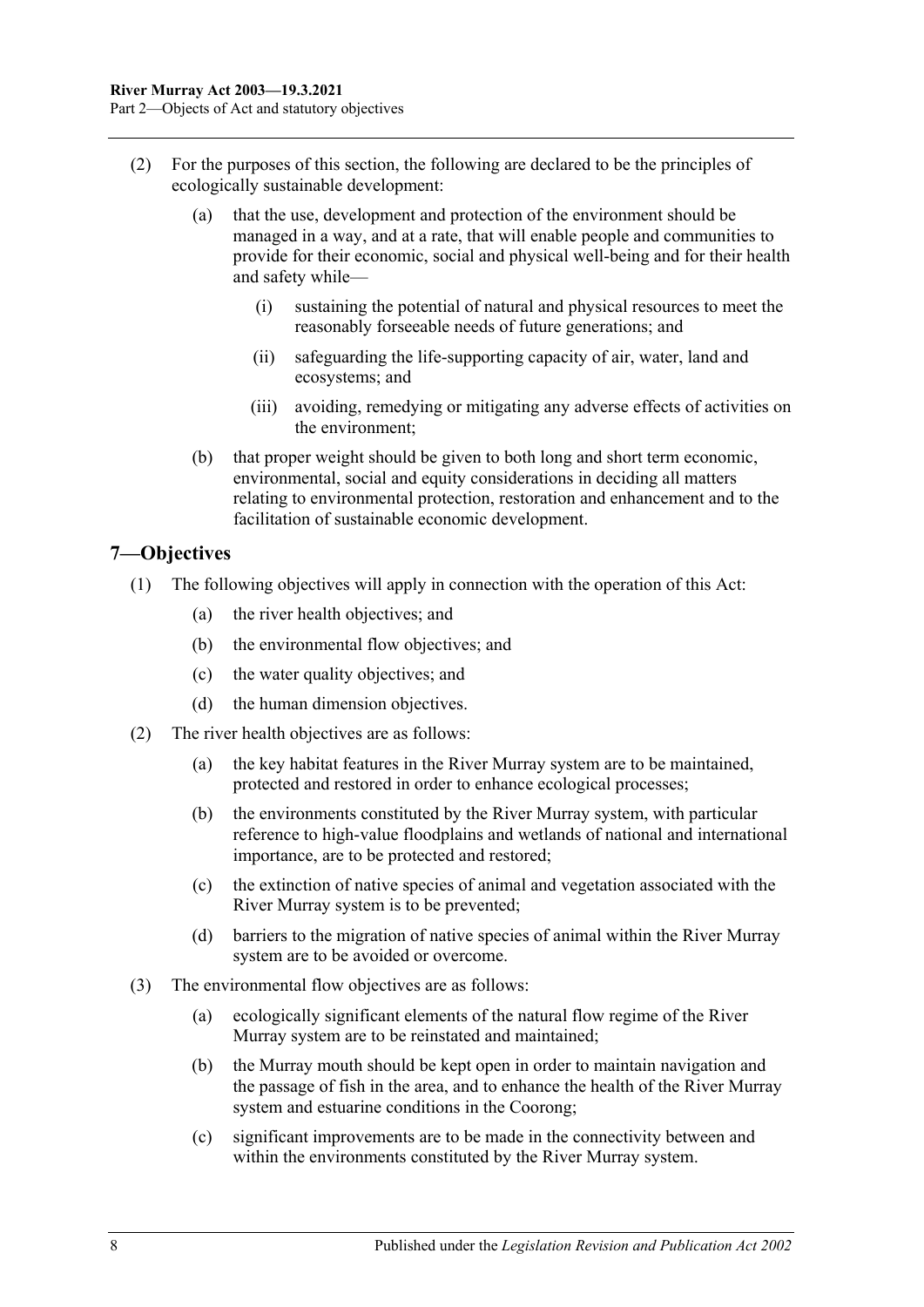- (2) For the purposes of this section, the following are declared to be the principles of ecologically sustainable development:
	- (a) that the use, development and protection of the environment should be managed in a way, and at a rate, that will enable people and communities to provide for their economic, social and physical well-being and for their health and safety while—
		- (i) sustaining the potential of natural and physical resources to meet the reasonably forseeable needs of future generations; and
		- (ii) safeguarding the life-supporting capacity of air, water, land and ecosystems; and
		- (iii) avoiding, remedying or mitigating any adverse effects of activities on the environment;
	- (b) that proper weight should be given to both long and short term economic, environmental, social and equity considerations in deciding all matters relating to environmental protection, restoration and enhancement and to the facilitation of sustainable economic development.

#### <span id="page-7-0"></span>**7—Objectives**

- (1) The following objectives will apply in connection with the operation of this Act:
	- (a) the river health objectives; and
	- (b) the environmental flow objectives; and
	- (c) the water quality objectives; and
	- (d) the human dimension objectives.
- (2) The river health objectives are as follows:
	- (a) the key habitat features in the River Murray system are to be maintained, protected and restored in order to enhance ecological processes;
	- (b) the environments constituted by the River Murray system, with particular reference to high-value floodplains and wetlands of national and international importance, are to be protected and restored;
	- (c) the extinction of native species of animal and vegetation associated with the River Murray system is to be prevented;
	- (d) barriers to the migration of native species of animal within the River Murray system are to be avoided or overcome.
- (3) The environmental flow objectives are as follows:
	- (a) ecologically significant elements of the natural flow regime of the River Murray system are to be reinstated and maintained;
	- (b) the Murray mouth should be kept open in order to maintain navigation and the passage of fish in the area, and to enhance the health of the River Murray system and estuarine conditions in the Coorong;
	- (c) significant improvements are to be made in the connectivity between and within the environments constituted by the River Murray system.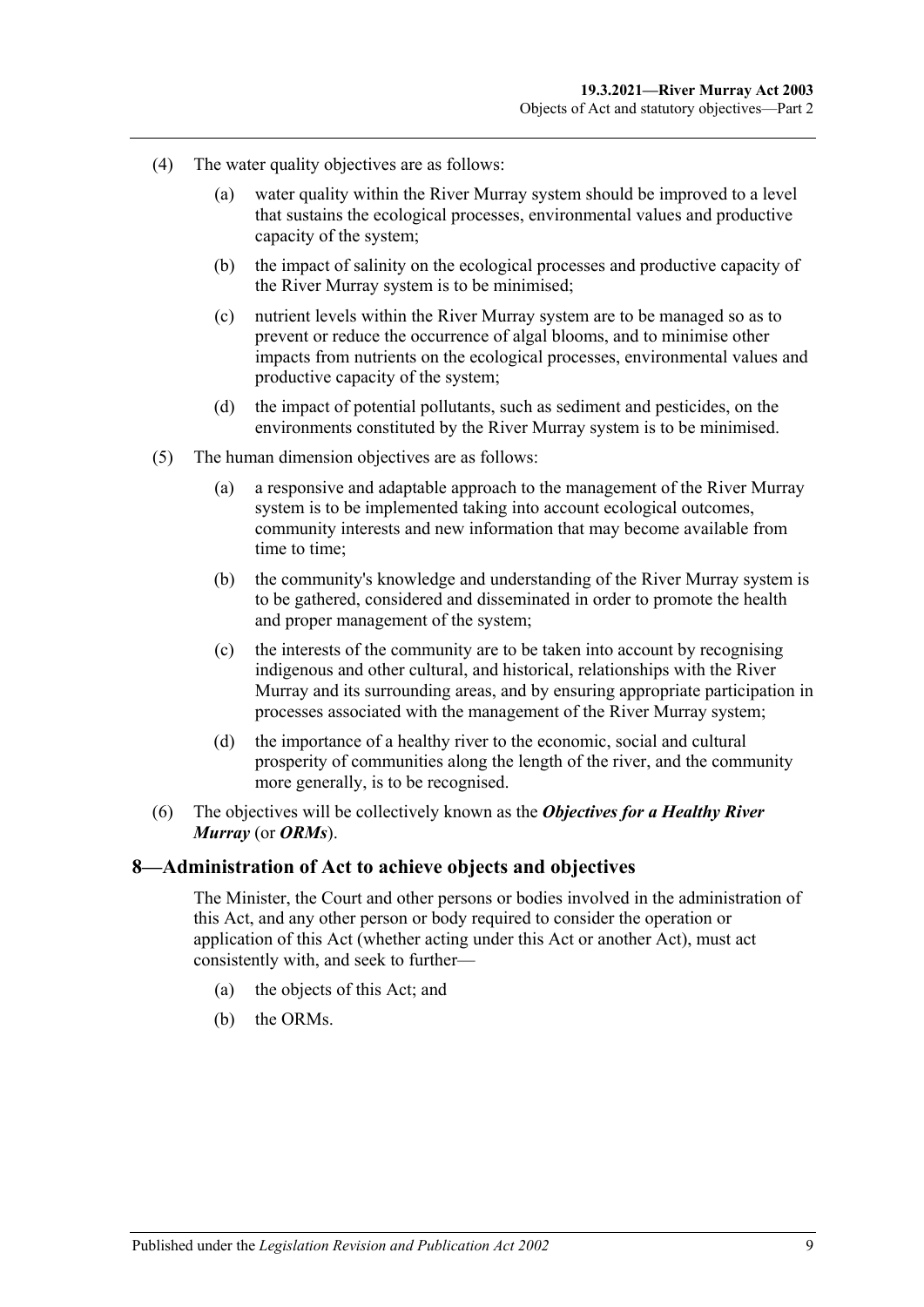- (4) The water quality objectives are as follows:
	- (a) water quality within the River Murray system should be improved to a level that sustains the ecological processes, environmental values and productive capacity of the system;
	- (b) the impact of salinity on the ecological processes and productive capacity of the River Murray system is to be minimised;
	- (c) nutrient levels within the River Murray system are to be managed so as to prevent or reduce the occurrence of algal blooms, and to minimise other impacts from nutrients on the ecological processes, environmental values and productive capacity of the system;
	- (d) the impact of potential pollutants, such as sediment and pesticides, on the environments constituted by the River Murray system is to be minimised.
- (5) The human dimension objectives are as follows:
	- (a) a responsive and adaptable approach to the management of the River Murray system is to be implemented taking into account ecological outcomes, community interests and new information that may become available from time to time;
	- (b) the community's knowledge and understanding of the River Murray system is to be gathered, considered and disseminated in order to promote the health and proper management of the system;
	- (c) the interests of the community are to be taken into account by recognising indigenous and other cultural, and historical, relationships with the River Murray and its surrounding areas, and by ensuring appropriate participation in processes associated with the management of the River Murray system;
	- (d) the importance of a healthy river to the economic, social and cultural prosperity of communities along the length of the river, and the community more generally, is to be recognised.
- (6) The objectives will be collectively known as the *Objectives for a Healthy River Murray* (or *ORMs*).

#### <span id="page-8-0"></span>**8—Administration of Act to achieve objects and objectives**

The Minister, the Court and other persons or bodies involved in the administration of this Act, and any other person or body required to consider the operation or application of this Act (whether acting under this Act or another Act), must act consistently with, and seek to further—

- (a) the objects of this Act; and
- (b) the ORMs.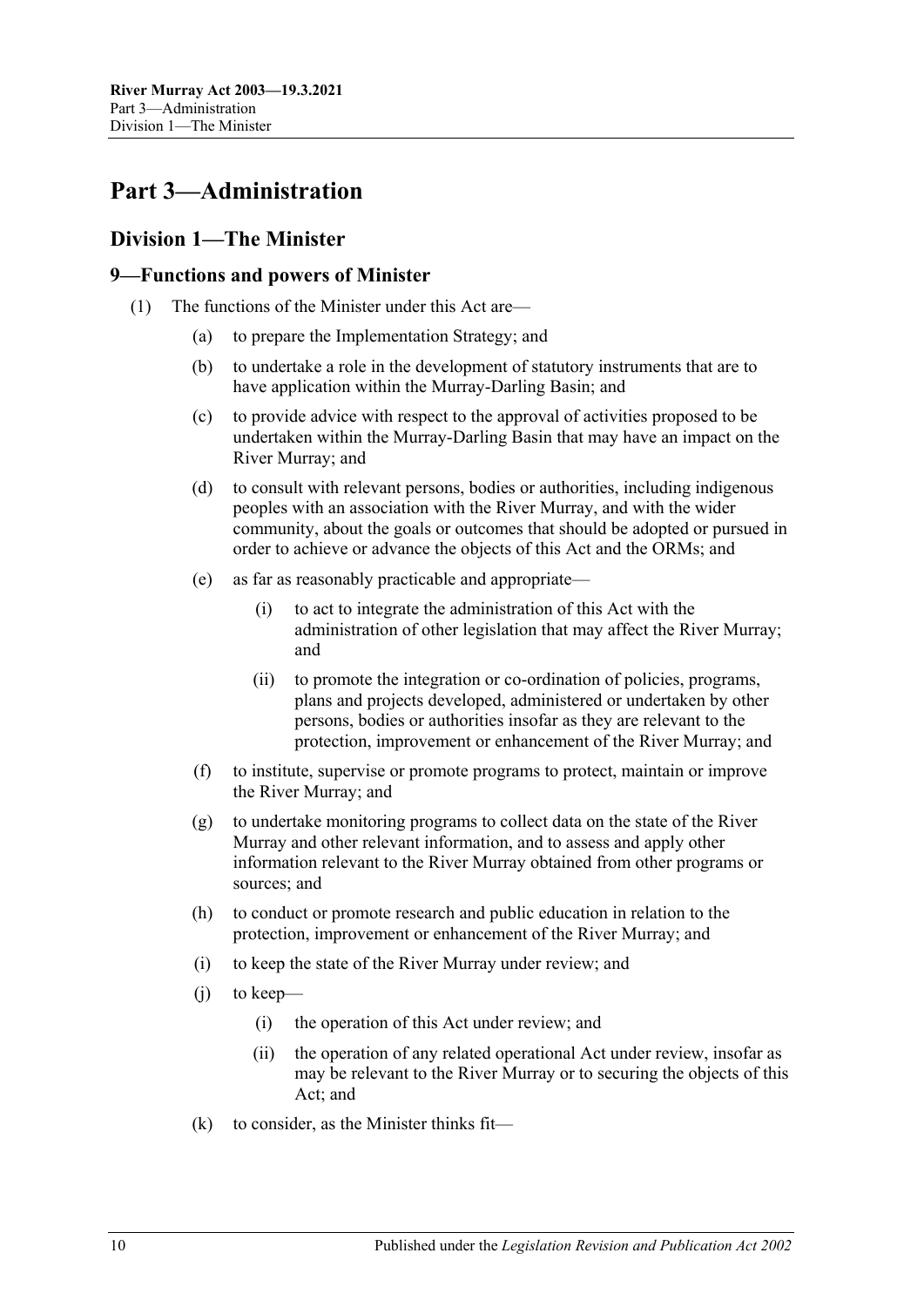## <span id="page-9-0"></span>**Part 3—Administration**

#### <span id="page-9-1"></span>**Division 1—The Minister**

#### <span id="page-9-2"></span>**9—Functions and powers of Minister**

- <span id="page-9-3"></span>(1) The functions of the Minister under this Act are—
	- (a) to prepare the Implementation Strategy; and
	- (b) to undertake a role in the development of statutory instruments that are to have application within the Murray-Darling Basin; and
	- (c) to provide advice with respect to the approval of activities proposed to be undertaken within the Murray-Darling Basin that may have an impact on the River Murray; and
	- (d) to consult with relevant persons, bodies or authorities, including indigenous peoples with an association with the River Murray, and with the wider community, about the goals or outcomes that should be adopted or pursued in order to achieve or advance the objects of this Act and the ORMs; and
	- (e) as far as reasonably practicable and appropriate—
		- (i) to act to integrate the administration of this Act with the administration of other legislation that may affect the River Murray; and
		- (ii) to promote the integration or co-ordination of policies, programs, plans and projects developed, administered or undertaken by other persons, bodies or authorities insofar as they are relevant to the protection, improvement or enhancement of the River Murray; and
	- (f) to institute, supervise or promote programs to protect, maintain or improve the River Murray; and
	- (g) to undertake monitoring programs to collect data on the state of the River Murray and other relevant information, and to assess and apply other information relevant to the River Murray obtained from other programs or sources; and
	- (h) to conduct or promote research and public education in relation to the protection, improvement or enhancement of the River Murray; and
	- (i) to keep the state of the River Murray under review; and
	- (j) to keep—
		- (i) the operation of this Act under review; and
		- (ii) the operation of any related operational Act under review, insofar as may be relevant to the River Murray or to securing the objects of this Act; and
	- (k) to consider, as the Minister thinks fit—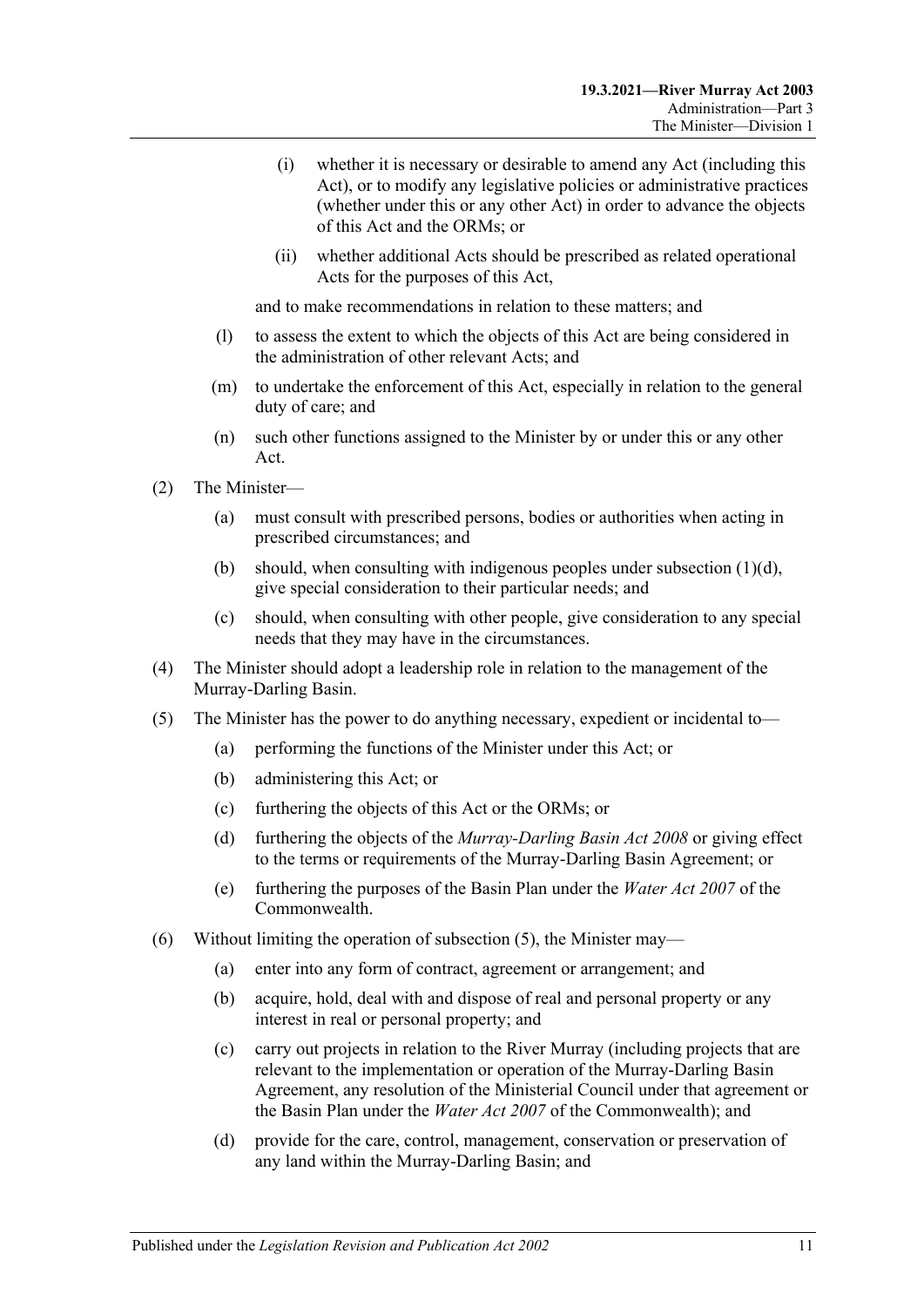- (i) whether it is necessary or desirable to amend any Act (including this Act), or to modify any legislative policies or administrative practices (whether under this or any other Act) in order to advance the objects of this Act and the ORMs; or
- (ii) whether additional Acts should be prescribed as related operational Acts for the purposes of this Act,

and to make recommendations in relation to these matters; and

- (l) to assess the extent to which the objects of this Act are being considered in the administration of other relevant Acts; and
- (m) to undertake the enforcement of this Act, especially in relation to the general duty of care; and
- (n) such other functions assigned to the Minister by or under this or any other Act.
- (2) The Minister—
	- (a) must consult with prescribed persons, bodies or authorities when acting in prescribed circumstances; and
	- (b) should, when consulting with indigenous peoples under [subsection](#page-9-3)  $(1)(d)$ , give special consideration to their particular needs; and
	- (c) should, when consulting with other people, give consideration to any special needs that they may have in the circumstances.
- (4) The Minister should adopt a leadership role in relation to the management of the Murray-Darling Basin.
- <span id="page-10-0"></span>(5) The Minister has the power to do anything necessary, expedient or incidental to—
	- (a) performing the functions of the Minister under this Act; or
	- (b) administering this Act; or
	- (c) furthering the objects of this Act or the ORMs; or
	- (d) furthering the objects of the *[Murray-Darling Basin Act](http://www.legislation.sa.gov.au/index.aspx?action=legref&type=act&legtitle=Murray-Darling%20Basin%20Act%202008) 2008* or giving effect to the terms or requirements of the Murray-Darling Basin Agreement; or
	- (e) furthering the purposes of the Basin Plan under the *Water Act 2007* of the Commonwealth.
- (6) Without limiting the operation of [subsection](#page-10-0) (5), the Minister may—
	- (a) enter into any form of contract, agreement or arrangement; and
	- (b) acquire, hold, deal with and dispose of real and personal property or any interest in real or personal property; and
	- (c) carry out projects in relation to the River Murray (including projects that are relevant to the implementation or operation of the Murray-Darling Basin Agreement, any resolution of the Ministerial Council under that agreement or the Basin Plan under the *Water Act 2007* of the Commonwealth); and
	- (d) provide for the care, control, management, conservation or preservation of any land within the Murray-Darling Basin; and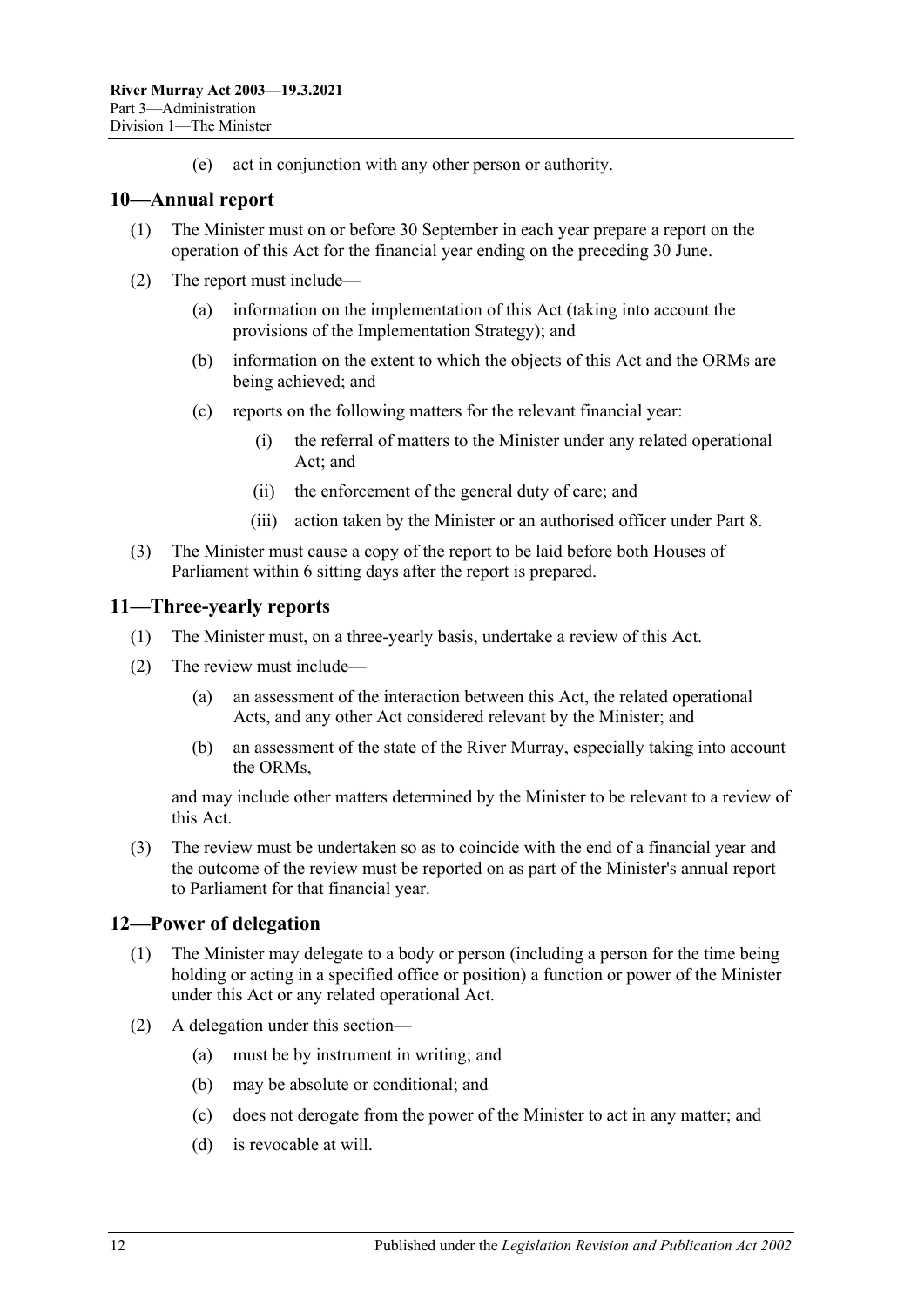(e) act in conjunction with any other person or authority.

#### <span id="page-11-0"></span>**10—Annual report**

- (1) The Minister must on or before 30 September in each year prepare a report on the operation of this Act for the financial year ending on the preceding 30 June.
- (2) The report must include—
	- (a) information on the implementation of this Act (taking into account the provisions of the Implementation Strategy); and
	- (b) information on the extent to which the objects of this Act and the ORMs are being achieved; and
	- (c) reports on the following matters for the relevant financial year:
		- (i) the referral of matters to the Minister under any related operational Act; and
		- (ii) the enforcement of the general duty of care; and
		- (iii) action taken by the Minister or an authorised officer under [Part 8.](#page-24-0)
- (3) The Minister must cause a copy of the report to be laid before both Houses of Parliament within 6 sitting days after the report is prepared.

#### <span id="page-11-1"></span>**11—Three-yearly reports**

- (1) The Minister must, on a three-yearly basis, undertake a review of this Act.
- (2) The review must include—
	- (a) an assessment of the interaction between this Act, the related operational Acts, and any other Act considered relevant by the Minister; and
	- (b) an assessment of the state of the River Murray, especially taking into account the ORMs,

and may include other matters determined by the Minister to be relevant to a review of this Act.

(3) The review must be undertaken so as to coincide with the end of a financial year and the outcome of the review must be reported on as part of the Minister's annual report to Parliament for that financial year.

#### <span id="page-11-2"></span>**12—Power of delegation**

- (1) The Minister may delegate to a body or person (including a person for the time being holding or acting in a specified office or position) a function or power of the Minister under this Act or any related operational Act.
- (2) A delegation under this section—
	- (a) must be by instrument in writing; and
	- (b) may be absolute or conditional; and
	- (c) does not derogate from the power of the Minister to act in any matter; and
	- (d) is revocable at will.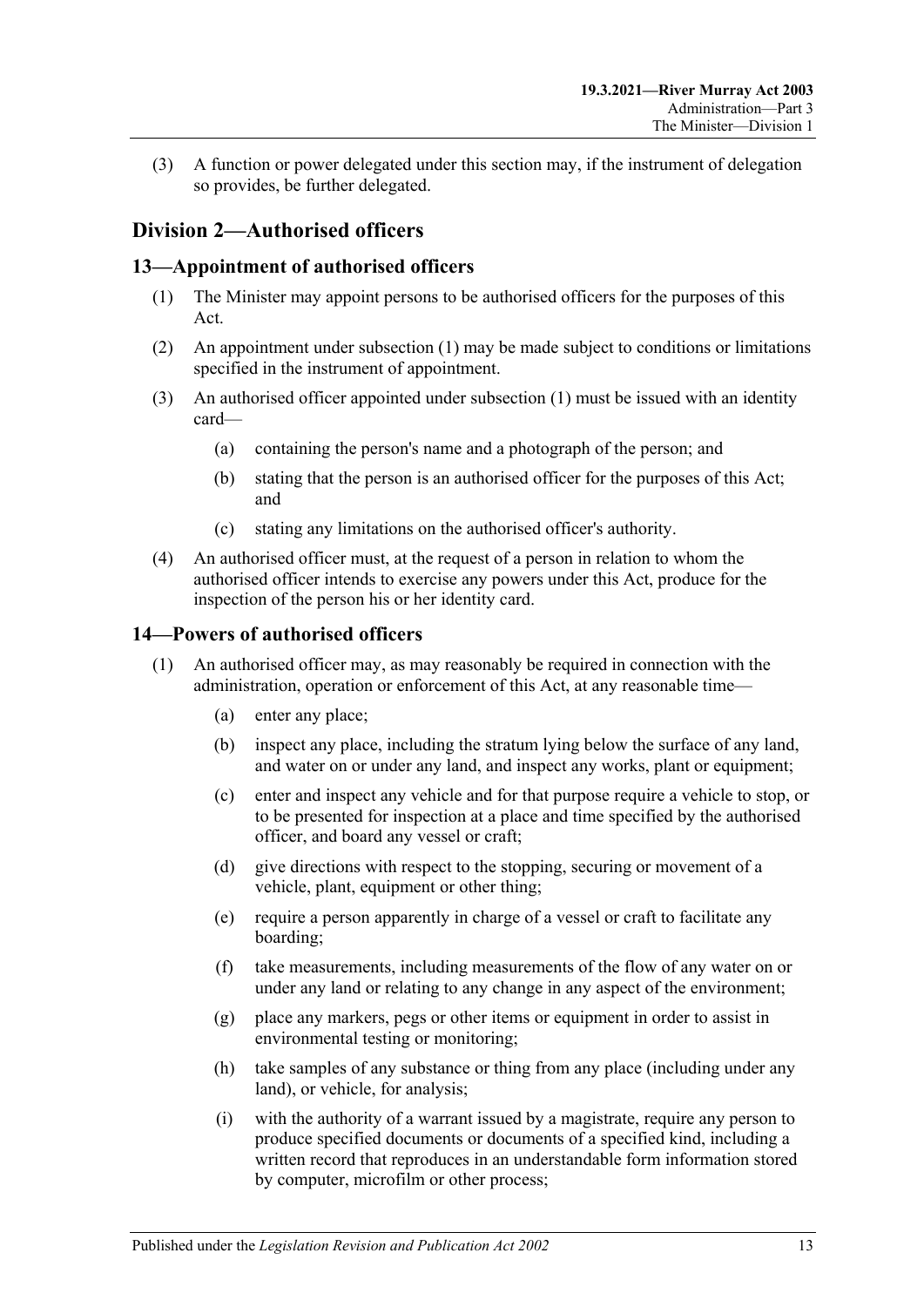(3) A function or power delegated under this section may, if the instrument of delegation so provides, be further delegated.

### <span id="page-12-0"></span>**Division 2—Authorised officers**

#### <span id="page-12-3"></span><span id="page-12-1"></span>**13—Appointment of authorised officers**

- (1) The Minister may appoint persons to be authorised officers for the purposes of this Act.
- (2) An appointment under [subsection](#page-12-3) (1) may be made subject to conditions or limitations specified in the instrument of appointment.
- (3) An authorised officer appointed under [subsection](#page-12-3) (1) must be issued with an identity card—
	- (a) containing the person's name and a photograph of the person; and
	- (b) stating that the person is an authorised officer for the purposes of this Act; and
	- (c) stating any limitations on the authorised officer's authority.
- (4) An authorised officer must, at the request of a person in relation to whom the authorised officer intends to exercise any powers under this Act, produce for the inspection of the person his or her identity card.

#### <span id="page-12-4"></span><span id="page-12-2"></span>**14—Powers of authorised officers**

- <span id="page-12-5"></span>(1) An authorised officer may, as may reasonably be required in connection with the administration, operation or enforcement of this Act, at any reasonable time—
	- (a) enter any place;
	- (b) inspect any place, including the stratum lying below the surface of any land, and water on or under any land, and inspect any works, plant or equipment;
	- (c) enter and inspect any vehicle and for that purpose require a vehicle to stop, or to be presented for inspection at a place and time specified by the authorised officer, and board any vessel or craft;
	- (d) give directions with respect to the stopping, securing or movement of a vehicle, plant, equipment or other thing;
	- (e) require a person apparently in charge of a vessel or craft to facilitate any boarding;
	- (f) take measurements, including measurements of the flow of any water on or under any land or relating to any change in any aspect of the environment;
	- (g) place any markers, pegs or other items or equipment in order to assist in environmental testing or monitoring;
	- (h) take samples of any substance or thing from any place (including under any land), or vehicle, for analysis;
	- (i) with the authority of a warrant issued by a magistrate, require any person to produce specified documents or documents of a specified kind, including a written record that reproduces in an understandable form information stored by computer, microfilm or other process;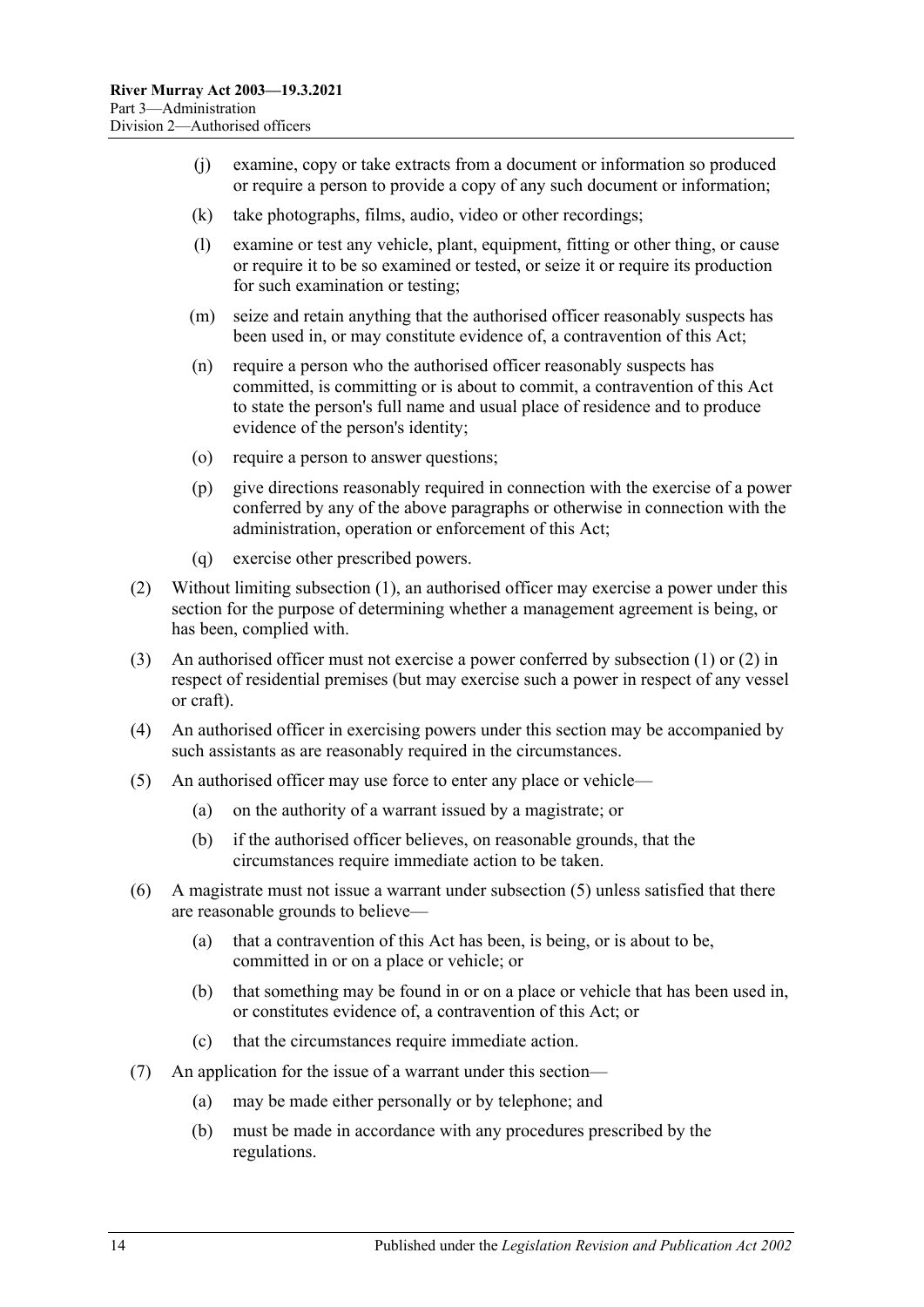- (j) examine, copy or take extracts from a document or information so produced or require a person to provide a copy of any such document or information;
- (k) take photographs, films, audio, video or other recordings;
- (l) examine or test any vehicle, plant, equipment, fitting or other thing, or cause or require it to be so examined or tested, or seize it or require its production for such examination or testing;
- (m) seize and retain anything that the authorised officer reasonably suspects has been used in, or may constitute evidence of, a contravention of this Act;
- (n) require a person who the authorised officer reasonably suspects has committed, is committing or is about to commit, a contravention of this Act to state the person's full name and usual place of residence and to produce evidence of the person's identity;
- (o) require a person to answer questions;
- (p) give directions reasonably required in connection with the exercise of a power conferred by any of the above paragraphs or otherwise in connection with the administration, operation or enforcement of this Act;
- (q) exercise other prescribed powers.
- <span id="page-13-0"></span>(2) Without limiting [subsection](#page-12-4) (1), an authorised officer may exercise a power under this section for the purpose of determining whether a management agreement is being, or has been, complied with.
- (3) An authorised officer must not exercise a power conferred by [subsection](#page-12-4) (1) or [\(2\)](#page-13-0) in respect of residential premises (but may exercise such a power in respect of any vessel or craft).
- (4) An authorised officer in exercising powers under this section may be accompanied by such assistants as are reasonably required in the circumstances.
- <span id="page-13-1"></span>(5) An authorised officer may use force to enter any place or vehicle—
	- (a) on the authority of a warrant issued by a magistrate; or
	- (b) if the authorised officer believes, on reasonable grounds, that the circumstances require immediate action to be taken.
- (6) A magistrate must not issue a warrant under [subsection](#page-13-1) (5) unless satisfied that there are reasonable grounds to believe—
	- (a) that a contravention of this Act has been, is being, or is about to be, committed in or on a place or vehicle; or
	- (b) that something may be found in or on a place or vehicle that has been used in, or constitutes evidence of, a contravention of this Act; or
	- (c) that the circumstances require immediate action.
- (7) An application for the issue of a warrant under this section—
	- (a) may be made either personally or by telephone; and
	- (b) must be made in accordance with any procedures prescribed by the regulations.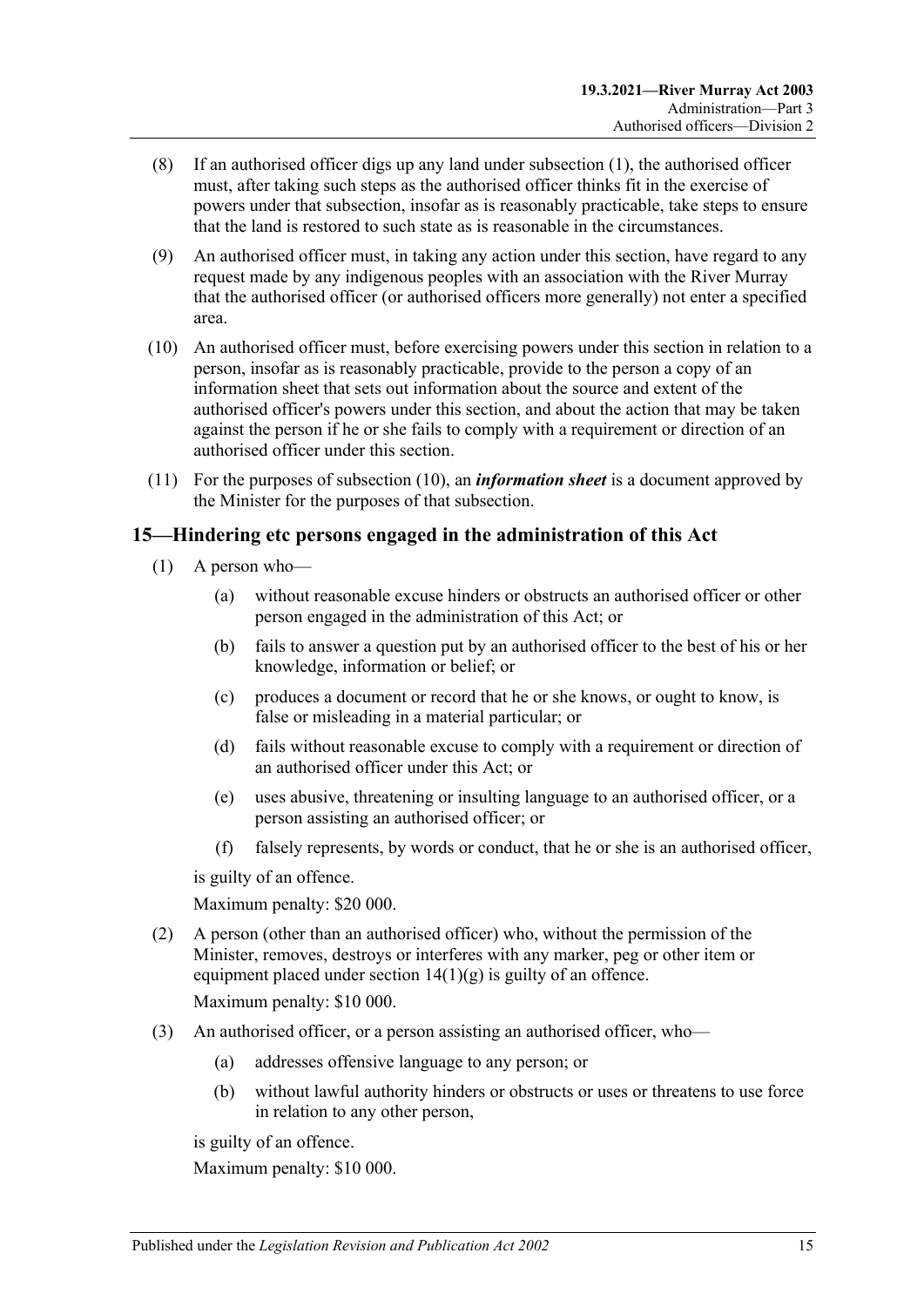- (8) If an authorised officer digs up any land under [subsection](#page-12-4) (1), the authorised officer must, after taking such steps as the authorised officer thinks fit in the exercise of powers under that subsection, insofar as is reasonably practicable, take steps to ensure that the land is restored to such state as is reasonable in the circumstances.
- (9) An authorised officer must, in taking any action under this section, have regard to any request made by any indigenous peoples with an association with the River Murray that the authorised officer (or authorised officers more generally) not enter a specified area.
- <span id="page-14-1"></span>(10) An authorised officer must, before exercising powers under this section in relation to a person, insofar as is reasonably practicable, provide to the person a copy of an information sheet that sets out information about the source and extent of the authorised officer's powers under this section, and about the action that may be taken against the person if he or she fails to comply with a requirement or direction of an authorised officer under this section.
- (11) For the purposes of [subsection](#page-14-1) (10), an *information sheet* is a document approved by the Minister for the purposes of that subsection.

#### <span id="page-14-0"></span>**15—Hindering etc persons engaged in the administration of this Act**

- (1) A person who—
	- (a) without reasonable excuse hinders or obstructs an authorised officer or other person engaged in the administration of this Act; or
	- (b) fails to answer a question put by an authorised officer to the best of his or her knowledge, information or belief; or
	- (c) produces a document or record that he or she knows, or ought to know, is false or misleading in a material particular; or
	- (d) fails without reasonable excuse to comply with a requirement or direction of an authorised officer under this Act; or
	- (e) uses abusive, threatening or insulting language to an authorised officer, or a person assisting an authorised officer; or
	- (f) falsely represents, by words or conduct, that he or she is an authorised officer,

is guilty of an offence.

Maximum penalty: \$20 000.

- (2) A person (other than an authorised officer) who, without the permission of the Minister, removes, destroys or interferes with any marker, peg or other item or equipment placed under section  $14(1)(g)$  is guilty of an offence. Maximum penalty: \$10 000.
- (3) An authorised officer, or a person assisting an authorised officer, who—
	- (a) addresses offensive language to any person; or
	- (b) without lawful authority hinders or obstructs or uses or threatens to use force in relation to any other person,

is guilty of an offence.

Maximum penalty: \$10 000.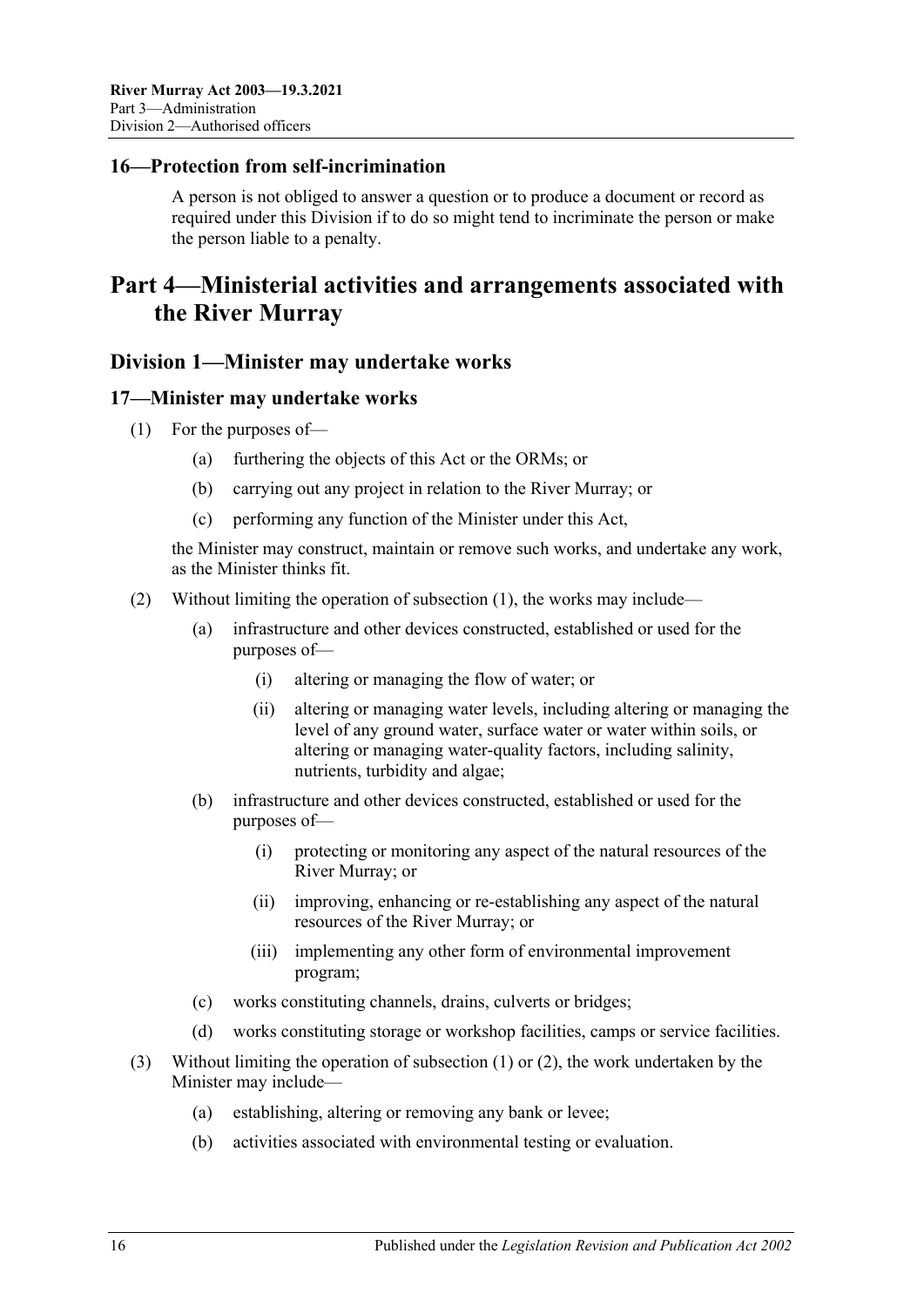#### <span id="page-15-0"></span>**16—Protection from self-incrimination**

A person is not obliged to answer a question or to produce a document or record as required under this Division if to do so might tend to incriminate the person or make the person liable to a penalty.

## <span id="page-15-1"></span>**Part 4—Ministerial activities and arrangements associated with the River Murray**

#### <span id="page-15-2"></span>**Division 1—Minister may undertake works**

#### <span id="page-15-4"></span><span id="page-15-3"></span>**17—Minister may undertake works**

- (1) For the purposes of—
	- (a) furthering the objects of this Act or the ORMs; or
	- (b) carrying out any project in relation to the River Murray; or
	- (c) performing any function of the Minister under this Act,

the Minister may construct, maintain or remove such works, and undertake any work, as the Minister thinks fit.

- <span id="page-15-5"></span>(2) Without limiting the operation of [subsection](#page-15-4) (1), the works may include—
	- (a) infrastructure and other devices constructed, established or used for the purposes of—
		- (i) altering or managing the flow of water; or
		- (ii) altering or managing water levels, including altering or managing the level of any ground water, surface water or water within soils, or altering or managing water-quality factors, including salinity, nutrients, turbidity and algae;
	- (b) infrastructure and other devices constructed, established or used for the purposes of—
		- (i) protecting or monitoring any aspect of the natural resources of the River Murray; or
		- (ii) improving, enhancing or re-establishing any aspect of the natural resources of the River Murray; or
		- (iii) implementing any other form of environmental improvement program;
	- (c) works constituting channels, drains, culverts or bridges;
	- (d) works constituting storage or workshop facilities, camps or service facilities.
- (3) Without limiting the operation of [subsection](#page-15-4) (1) or [\(2\),](#page-15-5) the work undertaken by the Minister may include—
	- (a) establishing, altering or removing any bank or levee;
	- (b) activities associated with environmental testing or evaluation.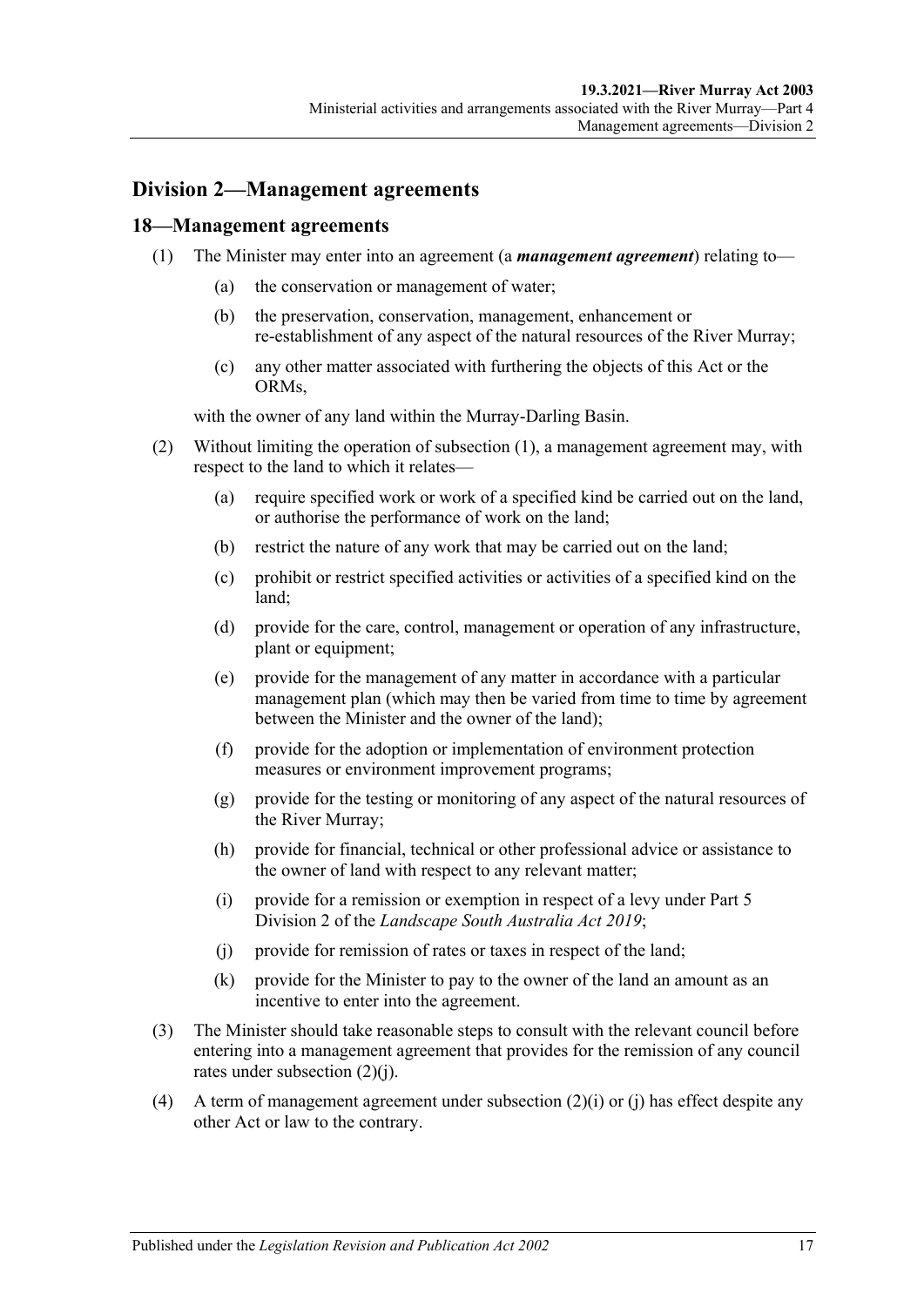#### <span id="page-16-0"></span>**Division 2—Management agreements**

#### <span id="page-16-2"></span><span id="page-16-1"></span>**18—Management agreements**

- (1) The Minister may enter into an agreement (a *management agreement*) relating to—
	- (a) the conservation or management of water;
	- (b) the preservation, conservation, management, enhancement or re-establishment of any aspect of the natural resources of the River Murray;
	- (c) any other matter associated with furthering the objects of this Act or the ORMs,

with the owner of any land within the Murray-Darling Basin.

- (2) Without limiting the operation of [subsection](#page-16-2) (1), a management agreement may, with respect to the land to which it relates—
	- (a) require specified work or work of a specified kind be carried out on the land, or authorise the performance of work on the land;
	- (b) restrict the nature of any work that may be carried out on the land;
	- (c) prohibit or restrict specified activities or activities of a specified kind on the land;
	- (d) provide for the care, control, management or operation of any infrastructure, plant or equipment;
	- (e) provide for the management of any matter in accordance with a particular management plan (which may then be varied from time to time by agreement between the Minister and the owner of the land);
	- (f) provide for the adoption or implementation of environment protection measures or environment improvement programs;
	- (g) provide for the testing or monitoring of any aspect of the natural resources of the River Murray;
	- (h) provide for financial, technical or other professional advice or assistance to the owner of land with respect to any relevant matter;
	- (i) provide for a remission or exemption in respect of a levy under Part 5 Division 2 of the *[Landscape South Australia Act](http://www.legislation.sa.gov.au/index.aspx?action=legref&type=act&legtitle=Landscape%20South%20Australia%20Act%202019) 2019*;
	- (j) provide for remission of rates or taxes in respect of the land;
	- (k) provide for the Minister to pay to the owner of the land an amount as an incentive to enter into the agreement.
- <span id="page-16-3"></span>(3) The Minister should take reasonable steps to consult with the relevant council before entering into a management agreement that provides for the remission of any council rates under [subsection](#page-16-3) (2)(j).
- (4) A term of management agreement under subsection  $(2)(i)$  or (i) has effect despite any other Act or law to the contrary.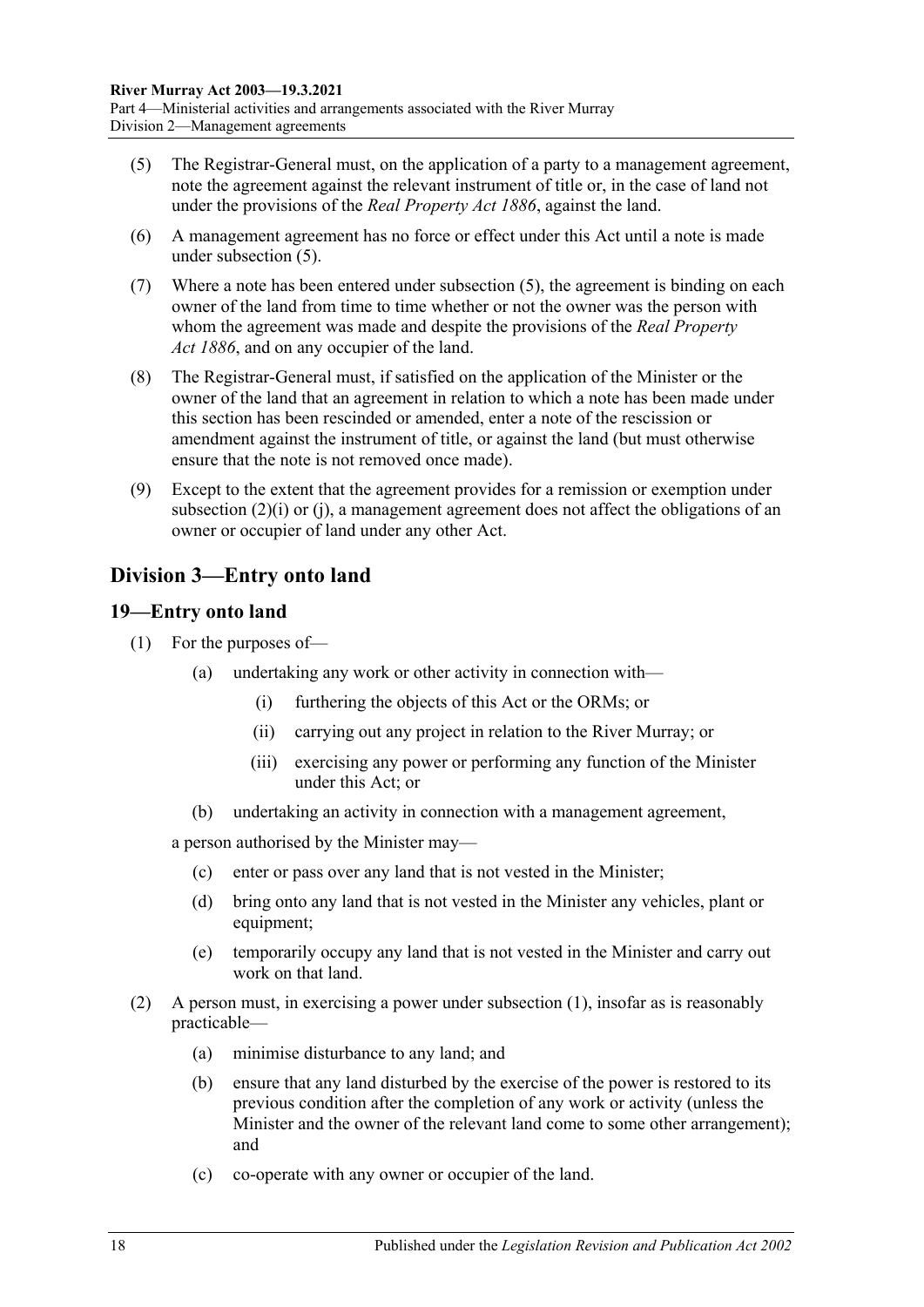- <span id="page-17-2"></span>(5) The Registrar-General must, on the application of a party to a management agreement, note the agreement against the relevant instrument of title or, in the case of land not under the provisions of the *[Real Property Act](http://www.legislation.sa.gov.au/index.aspx?action=legref&type=act&legtitle=Real%20Property%20Act%201886) 1886*, against the land.
- (6) A management agreement has no force or effect under this Act until a note is made under [subsection](#page-17-2) (5).
- (7) Where a note has been entered under [subsection](#page-17-2) (5), the agreement is binding on each owner of the land from time to time whether or not the owner was the person with whom the agreement was made and despite the provisions of the *[Real Property](http://www.legislation.sa.gov.au/index.aspx?action=legref&type=act&legtitle=Real%20Property%20Act%201886)  Act [1886](http://www.legislation.sa.gov.au/index.aspx?action=legref&type=act&legtitle=Real%20Property%20Act%201886)*, and on any occupier of the land.
- (8) The Registrar-General must, if satisfied on the application of the Minister or the owner of the land that an agreement in relation to which a note has been made under this section has been rescinded or amended, enter a note of the rescission or amendment against the instrument of title, or against the land (but must otherwise ensure that the note is not removed once made).
- (9) Except to the extent that the agreement provides for a remission or exemption under subsection (2)(i) or [\(j\),](#page-16-3) a management agreement does not affect the obligations of an owner or occupier of land under any other Act.

### <span id="page-17-0"></span>**Division 3—Entry onto land**

#### <span id="page-17-3"></span><span id="page-17-1"></span>**19—Entry onto land**

- (1) For the purposes of—
	- (a) undertaking any work or other activity in connection with—
		- (i) furthering the objects of this Act or the ORMs; or
		- (ii) carrying out any project in relation to the River Murray; or
		- (iii) exercising any power or performing any function of the Minister under this Act; or
	- (b) undertaking an activity in connection with a management agreement,

a person authorised by the Minister may—

- (c) enter or pass over any land that is not vested in the Minister;
- (d) bring onto any land that is not vested in the Minister any vehicles, plant or equipment;
- (e) temporarily occupy any land that is not vested in the Minister and carry out work on that land.
- (2) A person must, in exercising a power under [subsection](#page-17-3) (1), insofar as is reasonably practicable—
	- (a) minimise disturbance to any land; and
	- (b) ensure that any land disturbed by the exercise of the power is restored to its previous condition after the completion of any work or activity (unless the Minister and the owner of the relevant land come to some other arrangement); and
	- (c) co-operate with any owner or occupier of the land.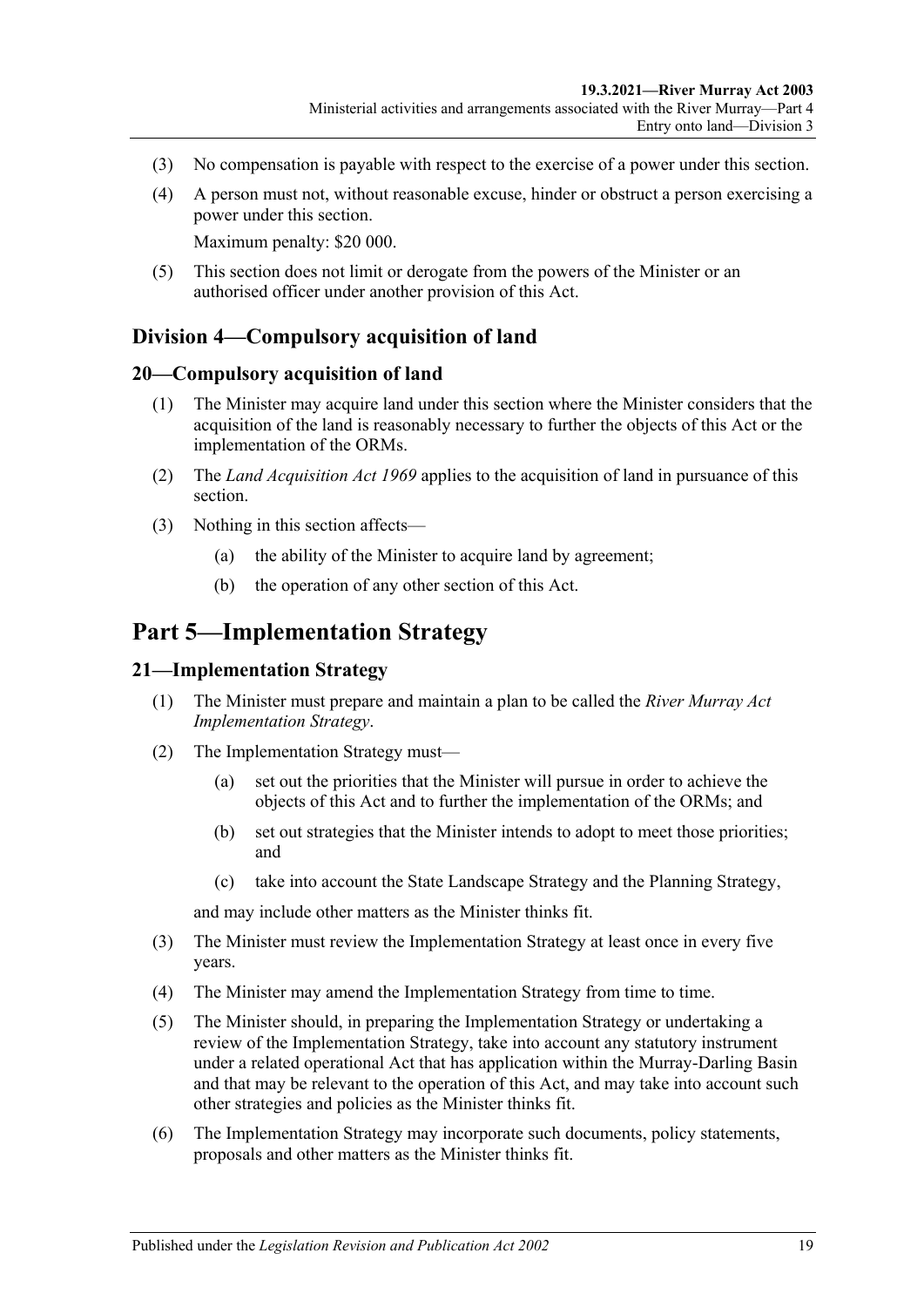- (3) No compensation is payable with respect to the exercise of a power under this section.
- (4) A person must not, without reasonable excuse, hinder or obstruct a person exercising a power under this section.

Maximum penalty: \$20 000.

(5) This section does not limit or derogate from the powers of the Minister or an authorised officer under another provision of this Act.

#### <span id="page-18-0"></span>**Division 4—Compulsory acquisition of land**

#### <span id="page-18-1"></span>**20—Compulsory acquisition of land**

- (1) The Minister may acquire land under this section where the Minister considers that the acquisition of the land is reasonably necessary to further the objects of this Act or the implementation of the ORMs.
- (2) The *[Land Acquisition Act](http://www.legislation.sa.gov.au/index.aspx?action=legref&type=act&legtitle=Land%20Acquisition%20Act%201969) 1969* applies to the acquisition of land in pursuance of this section.
- (3) Nothing in this section affects—
	- (a) the ability of the Minister to acquire land by agreement;
	- (b) the operation of any other section of this Act.

## <span id="page-18-2"></span>**Part 5—Implementation Strategy**

#### <span id="page-18-3"></span>**21—Implementation Strategy**

- (1) The Minister must prepare and maintain a plan to be called the *River Murray Act Implementation Strategy*.
- (2) The Implementation Strategy must—
	- (a) set out the priorities that the Minister will pursue in order to achieve the objects of this Act and to further the implementation of the ORMs; and
	- (b) set out strategies that the Minister intends to adopt to meet those priorities; and
	- (c) take into account the State Landscape Strategy and the Planning Strategy,

and may include other matters as the Minister thinks fit.

- (3) The Minister must review the Implementation Strategy at least once in every five years.
- (4) The Minister may amend the Implementation Strategy from time to time.
- (5) The Minister should, in preparing the Implementation Strategy or undertaking a review of the Implementation Strategy, take into account any statutory instrument under a related operational Act that has application within the Murray-Darling Basin and that may be relevant to the operation of this Act, and may take into account such other strategies and policies as the Minister thinks fit.
- (6) The Implementation Strategy may incorporate such documents, policy statements, proposals and other matters as the Minister thinks fit.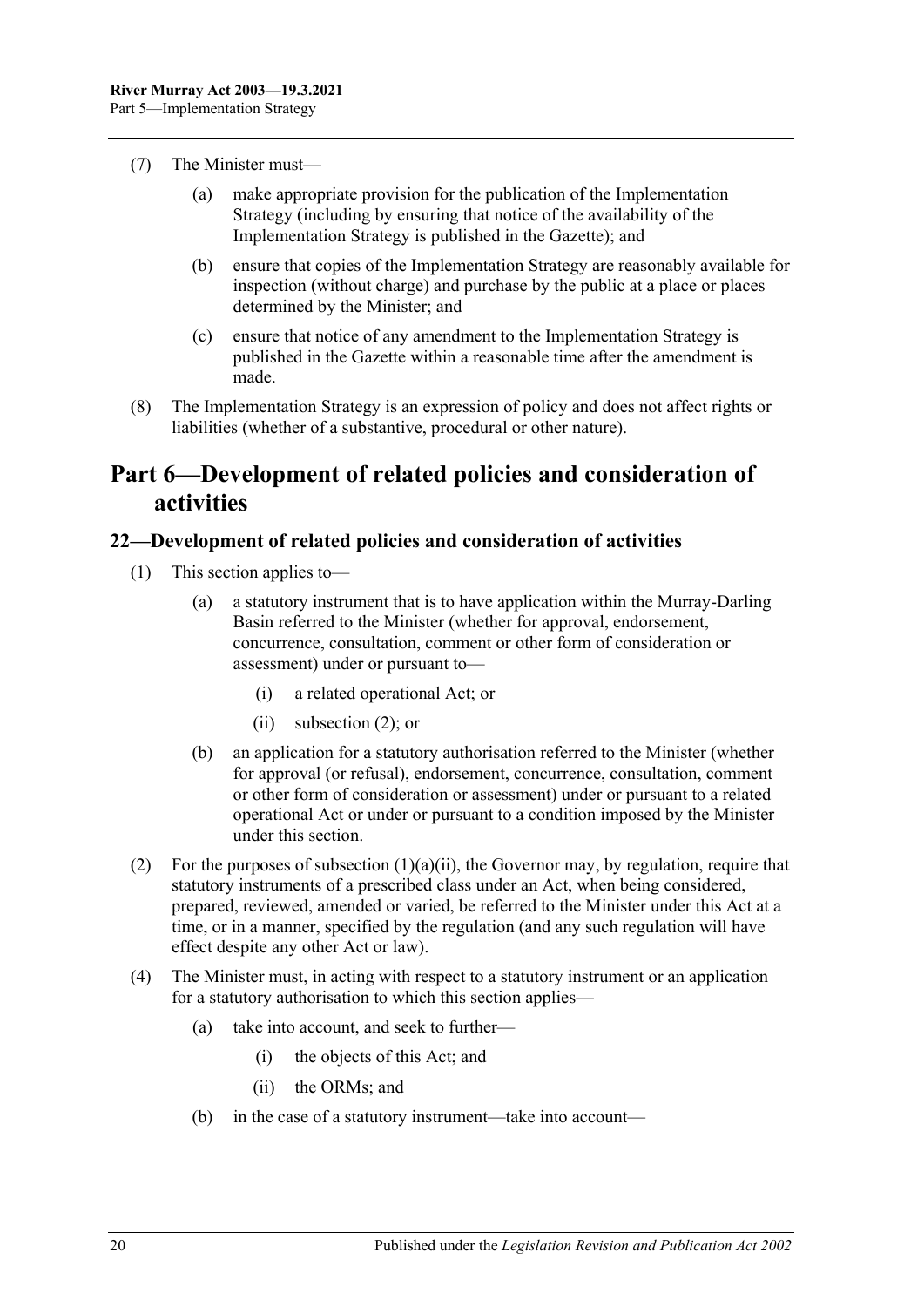- (7) The Minister must—
	- (a) make appropriate provision for the publication of the Implementation Strategy (including by ensuring that notice of the availability of the Implementation Strategy is published in the Gazette); and
	- (b) ensure that copies of the Implementation Strategy are reasonably available for inspection (without charge) and purchase by the public at a place or places determined by the Minister; and
	- (c) ensure that notice of any amendment to the Implementation Strategy is published in the Gazette within a reasonable time after the amendment is made.
- (8) The Implementation Strategy is an expression of policy and does not affect rights or liabilities (whether of a substantive, procedural or other nature).

## <span id="page-19-0"></span>**Part 6—Development of related policies and consideration of activities**

#### <span id="page-19-1"></span>**22—Development of related policies and consideration of activities**

- <span id="page-19-3"></span>(1) This section applies to—
	- (a) a statutory instrument that is to have application within the Murray-Darling Basin referred to the Minister (whether for approval, endorsement, concurrence, consultation, comment or other form of consideration or assessment) under or pursuant to—
		- (i) a related operational Act; or
		- (ii) [subsection](#page-19-2) (2); or
	- (b) an application for a statutory authorisation referred to the Minister (whether for approval (or refusal), endorsement, concurrence, consultation, comment or other form of consideration or assessment) under or pursuant to a related operational Act or under or pursuant to a condition imposed by the Minister under this section.
- <span id="page-19-2"></span>(2) For the purposes of [subsection](#page-19-3)  $(1)(a)(ii)$ , the Governor may, by regulation, require that statutory instruments of a prescribed class under an Act, when being considered, prepared, reviewed, amended or varied, be referred to the Minister under this Act at a time, or in a manner, specified by the regulation (and any such regulation will have effect despite any other Act or law).
- (4) The Minister must, in acting with respect to a statutory instrument or an application for a statutory authorisation to which this section applies—
	- (a) take into account, and seek to further—
		- (i) the objects of this Act; and
		- (ii) the ORMs; and
	- (b) in the case of a statutory instrument—take into account—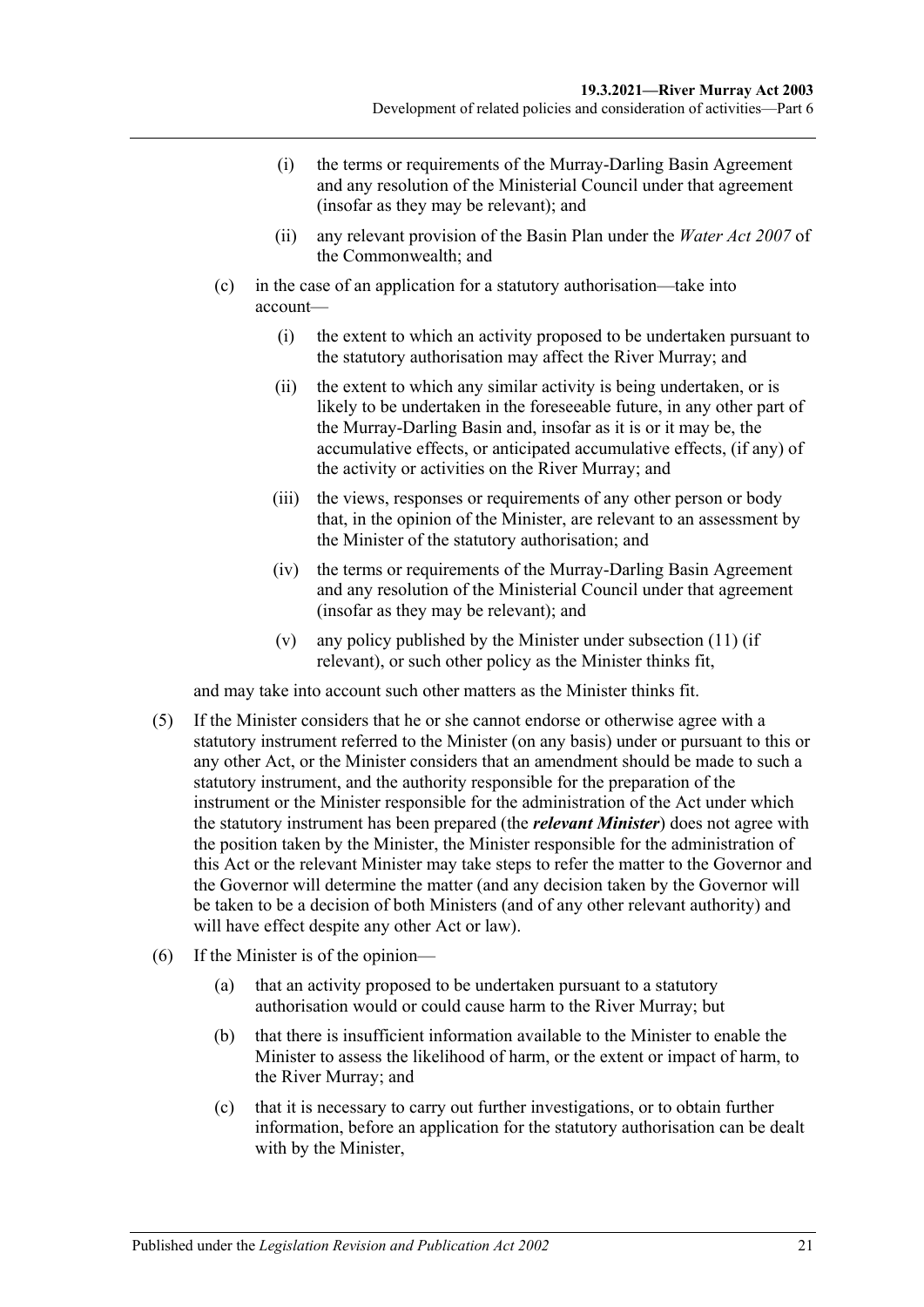- (i) the terms or requirements of the Murray-Darling Basin Agreement and any resolution of the Ministerial Council under that agreement (insofar as they may be relevant); and
- (ii) any relevant provision of the Basin Plan under the *Water Act 2007* of the Commonwealth; and
- (c) in the case of an application for a statutory authorisation—take into account—
	- (i) the extent to which an activity proposed to be undertaken pursuant to the statutory authorisation may affect the River Murray; and
	- (ii) the extent to which any similar activity is being undertaken, or is likely to be undertaken in the foreseeable future, in any other part of the Murray-Darling Basin and, insofar as it is or it may be, the accumulative effects, or anticipated accumulative effects, (if any) of the activity or activities on the River Murray; and
	- (iii) the views, responses or requirements of any other person or body that, in the opinion of the Minister, are relevant to an assessment by the Minister of the statutory authorisation; and
	- (iv) the terms or requirements of the Murray-Darling Basin Agreement and any resolution of the Ministerial Council under that agreement (insofar as they may be relevant); and
	- (v) any policy published by the Minister under [subsection](#page-22-0) (11) (if relevant), or such other policy as the Minister thinks fit,

and may take into account such other matters as the Minister thinks fit.

- (5) If the Minister considers that he or she cannot endorse or otherwise agree with a statutory instrument referred to the Minister (on any basis) under or pursuant to this or any other Act, or the Minister considers that an amendment should be made to such a statutory instrument, and the authority responsible for the preparation of the instrument or the Minister responsible for the administration of the Act under which the statutory instrument has been prepared (the *relevant Minister*) does not agree with the position taken by the Minister, the Minister responsible for the administration of this Act or the relevant Minister may take steps to refer the matter to the Governor and the Governor will determine the matter (and any decision taken by the Governor will be taken to be a decision of both Ministers (and of any other relevant authority) and will have effect despite any other Act or law).
- (6) If the Minister is of the opinion—
	- (a) that an activity proposed to be undertaken pursuant to a statutory authorisation would or could cause harm to the River Murray; but
	- (b) that there is insufficient information available to the Minister to enable the Minister to assess the likelihood of harm, or the extent or impact of harm, to the River Murray; and
	- (c) that it is necessary to carry out further investigations, or to obtain further information, before an application for the statutory authorisation can be dealt with by the Minister,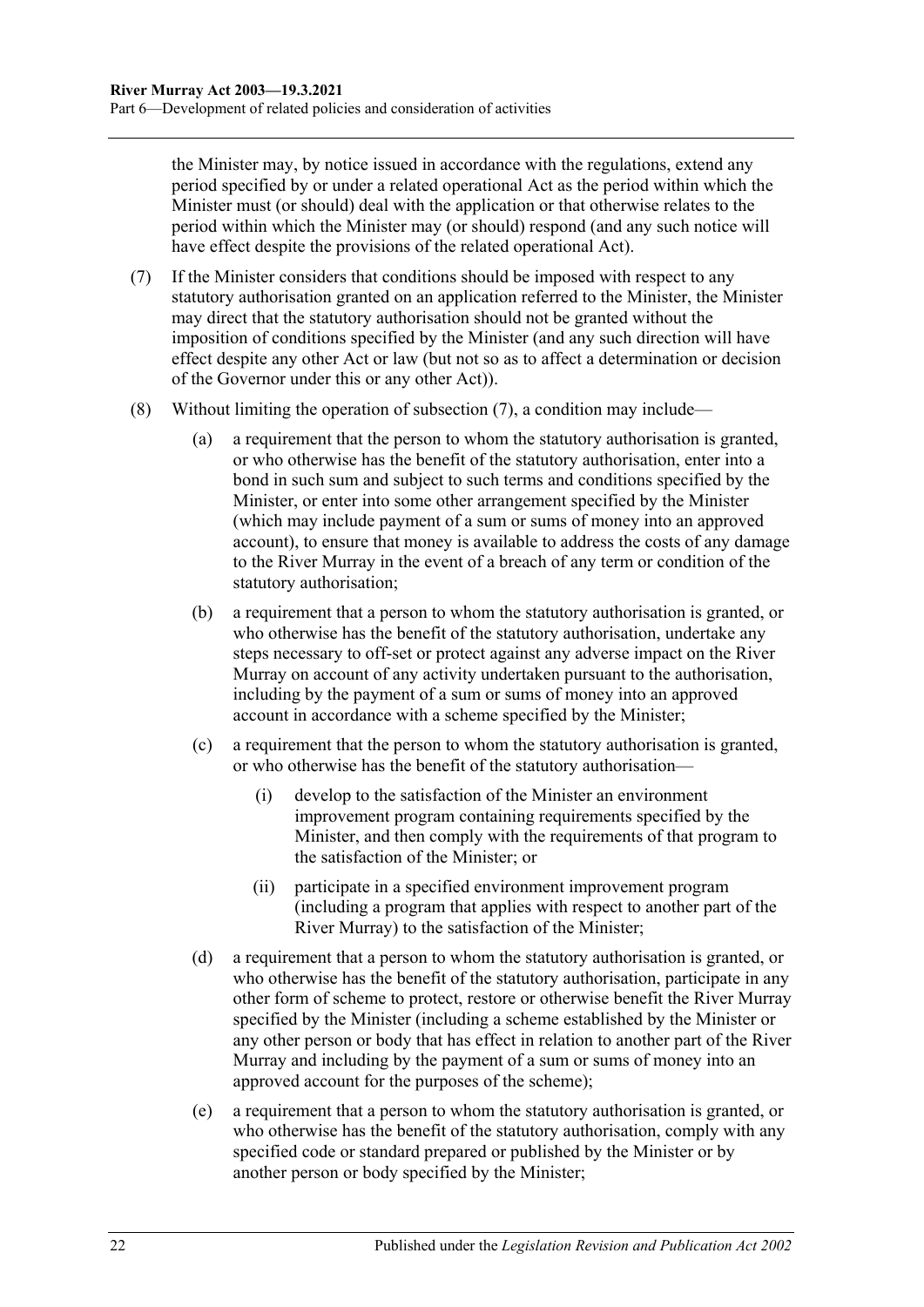the Minister may, by notice issued in accordance with the regulations, extend any period specified by or under a related operational Act as the period within which the Minister must (or should) deal with the application or that otherwise relates to the period within which the Minister may (or should) respond (and any such notice will have effect despite the provisions of the related operational Act).

- <span id="page-21-0"></span>(7) If the Minister considers that conditions should be imposed with respect to any statutory authorisation granted on an application referred to the Minister, the Minister may direct that the statutory authorisation should not be granted without the imposition of conditions specified by the Minister (and any such direction will have effect despite any other Act or law (but not so as to affect a determination or decision of the Governor under this or any other Act)).
- (8) Without limiting the operation of [subsection](#page-21-0) (7), a condition may include—
	- (a) a requirement that the person to whom the statutory authorisation is granted, or who otherwise has the benefit of the statutory authorisation, enter into a bond in such sum and subject to such terms and conditions specified by the Minister, or enter into some other arrangement specified by the Minister (which may include payment of a sum or sums of money into an approved account), to ensure that money is available to address the costs of any damage to the River Murray in the event of a breach of any term or condition of the statutory authorisation;
	- (b) a requirement that a person to whom the statutory authorisation is granted, or who otherwise has the benefit of the statutory authorisation, undertake any steps necessary to off-set or protect against any adverse impact on the River Murray on account of any activity undertaken pursuant to the authorisation, including by the payment of a sum or sums of money into an approved account in accordance with a scheme specified by the Minister;
	- (c) a requirement that the person to whom the statutory authorisation is granted, or who otherwise has the benefit of the statutory authorisation—
		- (i) develop to the satisfaction of the Minister an environment improvement program containing requirements specified by the Minister, and then comply with the requirements of that program to the satisfaction of the Minister; or
		- (ii) participate in a specified environment improvement program (including a program that applies with respect to another part of the River Murray) to the satisfaction of the Minister;
	- (d) a requirement that a person to whom the statutory authorisation is granted, or who otherwise has the benefit of the statutory authorisation, participate in any other form of scheme to protect, restore or otherwise benefit the River Murray specified by the Minister (including a scheme established by the Minister or any other person or body that has effect in relation to another part of the River Murray and including by the payment of a sum or sums of money into an approved account for the purposes of the scheme);
	- (e) a requirement that a person to whom the statutory authorisation is granted, or who otherwise has the benefit of the statutory authorisation, comply with any specified code or standard prepared or published by the Minister or by another person or body specified by the Minister;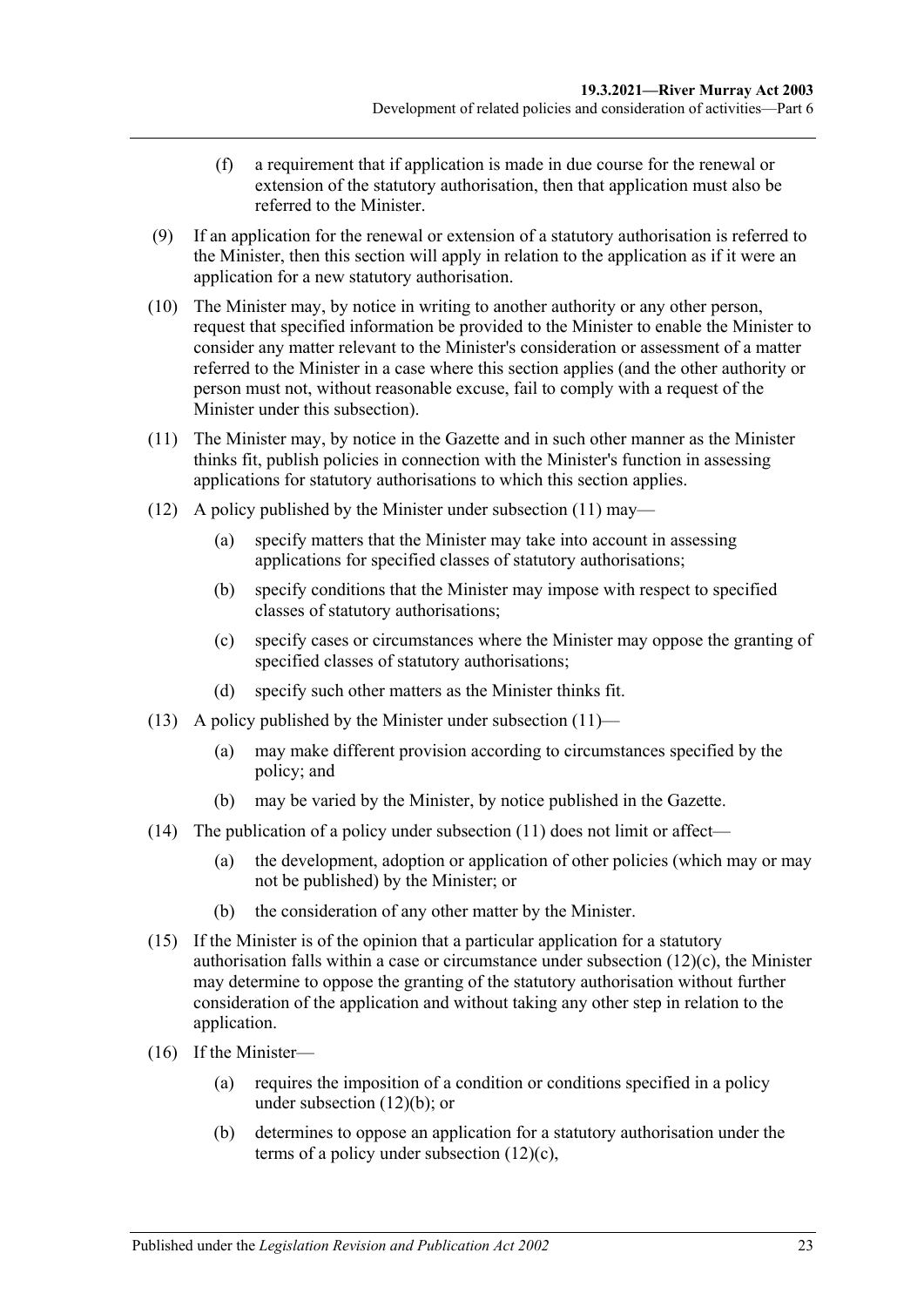- (f) a requirement that if application is made in due course for the renewal or extension of the statutory authorisation, then that application must also be referred to the Minister.
- (9) If an application for the renewal or extension of a statutory authorisation is referred to the Minister, then this section will apply in relation to the application as if it were an application for a new statutory authorisation.
- (10) The Minister may, by notice in writing to another authority or any other person, request that specified information be provided to the Minister to enable the Minister to consider any matter relevant to the Minister's consideration or assessment of a matter referred to the Minister in a case where this section applies (and the other authority or person must not, without reasonable excuse, fail to comply with a request of the Minister under this subsection).
- <span id="page-22-0"></span>(11) The Minister may, by notice in the Gazette and in such other manner as the Minister thinks fit, publish policies in connection with the Minister's function in assessing applications for statutory authorisations to which this section applies.
- <span id="page-22-2"></span>(12) A policy published by the Minister under [subsection](#page-22-0) (11) may—
	- (a) specify matters that the Minister may take into account in assessing applications for specified classes of statutory authorisations;
	- (b) specify conditions that the Minister may impose with respect to specified classes of statutory authorisations;
	- (c) specify cases or circumstances where the Minister may oppose the granting of specified classes of statutory authorisations;
	- (d) specify such other matters as the Minister thinks fit.
- <span id="page-22-1"></span>(13) A policy published by the Minister under [subsection](#page-22-0)  $(11)$ —
	- (a) may make different provision according to circumstances specified by the policy; and
	- (b) may be varied by the Minister, by notice published in the Gazette.
- (14) The publication of a policy under [subsection](#page-22-0)  $(11)$  does not limit or affect—
	- (a) the development, adoption or application of other policies (which may or may not be published) by the Minister; or
	- (b) the consideration of any other matter by the Minister.
- (15) If the Minister is of the opinion that a particular application for a statutory authorisation falls within a case or circumstance under [subsection](#page-22-1) (12)(c), the Minister may determine to oppose the granting of the statutory authorisation without further consideration of the application and without taking any other step in relation to the application.
- (16) If the Minister—
	- (a) requires the imposition of a condition or conditions specified in a policy under [subsection](#page-22-2) (12)(b); or
	- (b) determines to oppose an application for a statutory authorisation under the terms of a policy under [subsection](#page-22-1) (12)(c),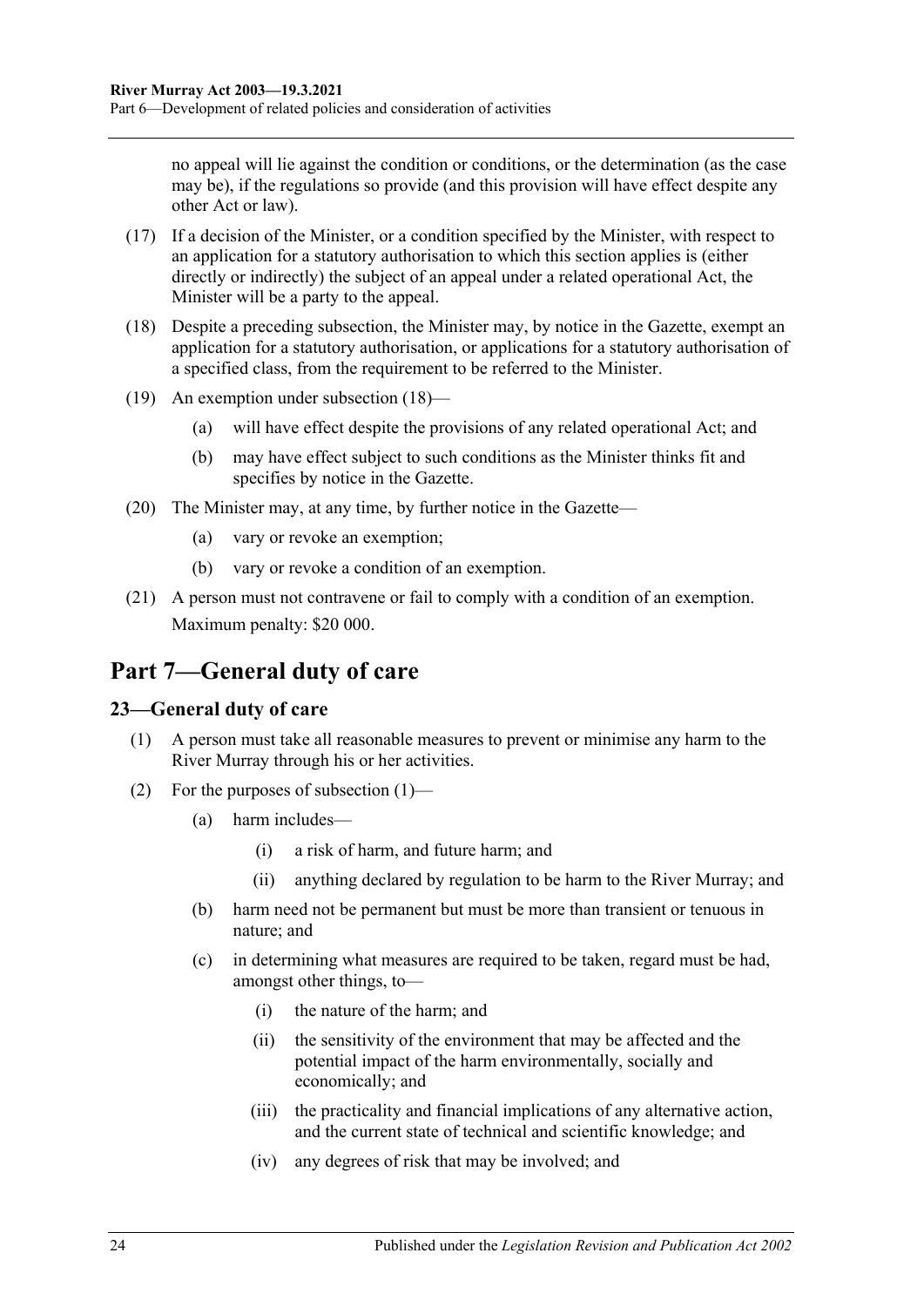no appeal will lie against the condition or conditions, or the determination (as the case may be), if the regulations so provide (and this provision will have effect despite any other Act or law).

- (17) If a decision of the Minister, or a condition specified by the Minister, with respect to an application for a statutory authorisation to which this section applies is (either directly or indirectly) the subject of an appeal under a related operational Act, the Minister will be a party to the appeal.
- <span id="page-23-2"></span>(18) Despite a preceding subsection, the Minister may, by notice in the Gazette, exempt an application for a statutory authorisation, or applications for a statutory authorisation of a specified class, from the requirement to be referred to the Minister.
- (19) An exemption under [subsection](#page-23-2) (18)—
	- (a) will have effect despite the provisions of any related operational Act; and
	- (b) may have effect subject to such conditions as the Minister thinks fit and specifies by notice in the Gazette.
- (20) The Minister may, at any time, by further notice in the Gazette—
	- (a) vary or revoke an exemption;
	- (b) vary or revoke a condition of an exemption.
- (21) A person must not contravene or fail to comply with a condition of an exemption. Maximum penalty: \$20 000.

## <span id="page-23-0"></span>**Part 7—General duty of care**

#### <span id="page-23-3"></span><span id="page-23-1"></span>**23—General duty of care**

- (1) A person must take all reasonable measures to prevent or minimise any harm to the River Murray through his or her activities.
- (2) For the purposes of [subsection](#page-23-3) (1)—
	- (a) harm includes—
		- (i) a risk of harm, and future harm; and
		- (ii) anything declared by regulation to be harm to the River Murray; and
	- (b) harm need not be permanent but must be more than transient or tenuous in nature; and
	- (c) in determining what measures are required to be taken, regard must be had, amongst other things, to—
		- (i) the nature of the harm; and
		- (ii) the sensitivity of the environment that may be affected and the potential impact of the harm environmentally, socially and economically; and
		- (iii) the practicality and financial implications of any alternative action, and the current state of technical and scientific knowledge; and
		- (iv) any degrees of risk that may be involved; and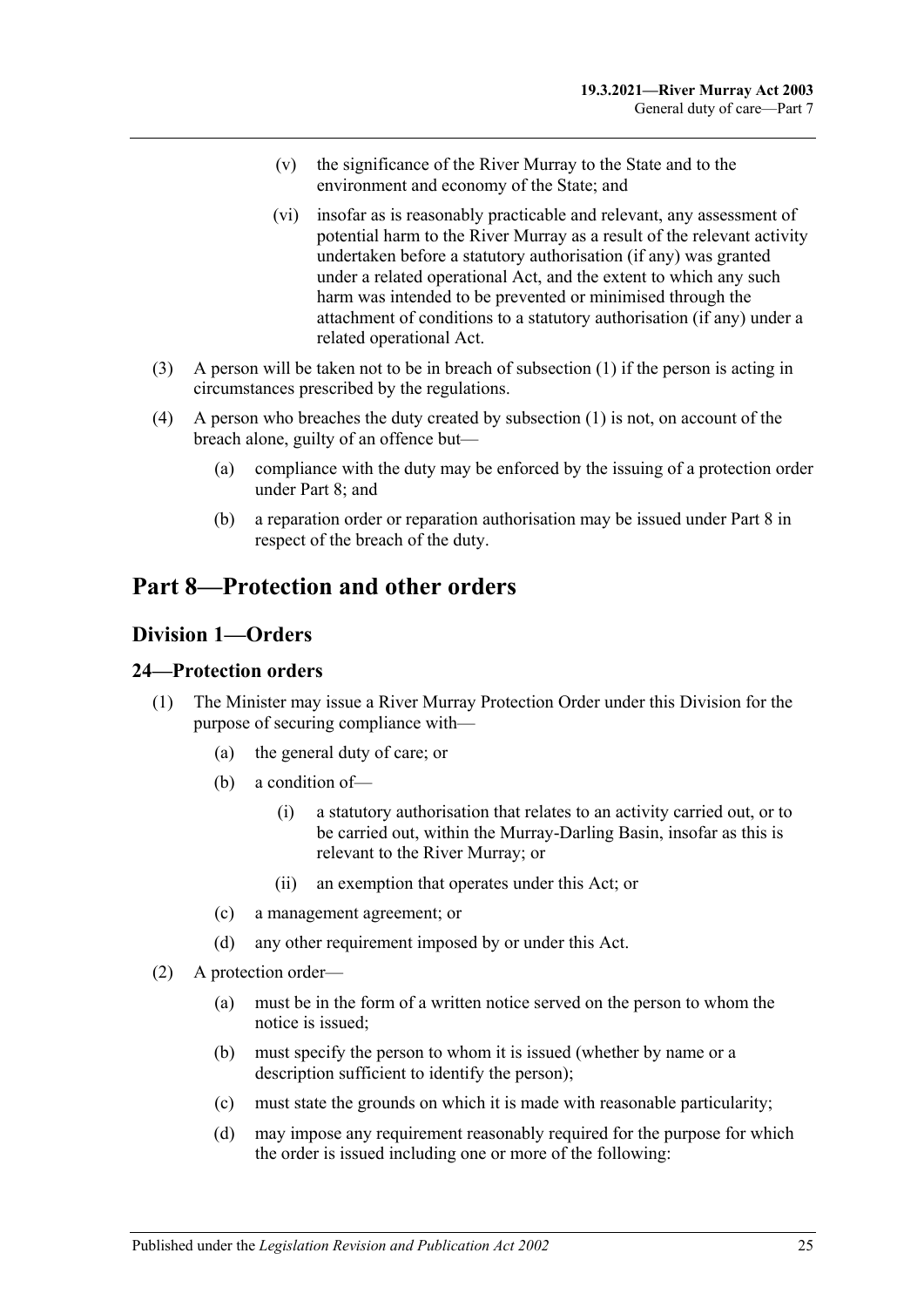- (v) the significance of the River Murray to the State and to the environment and economy of the State; and
- (vi) insofar as is reasonably practicable and relevant, any assessment of potential harm to the River Murray as a result of the relevant activity undertaken before a statutory authorisation (if any) was granted under a related operational Act, and the extent to which any such harm was intended to be prevented or minimised through the attachment of conditions to a statutory authorisation (if any) under a related operational Act.
- (3) A person will be taken not to be in breach of [subsection](#page-23-3) (1) if the person is acting in circumstances prescribed by the regulations.
- (4) A person who breaches the duty created by [subsection](#page-23-3) (1) is not, on account of the breach alone, guilty of an offence but—
	- (a) compliance with the duty may be enforced by the issuing of a protection order under [Part 8;](#page-24-0) and
	- (b) a reparation order or reparation authorisation may be issued under [Part 8](#page-24-0) in respect of the breach of the duty.

## <span id="page-24-1"></span><span id="page-24-0"></span>**Part 8—Protection and other orders**

#### **Division 1—Orders**

#### <span id="page-24-2"></span>**24—Protection orders**

- (1) The Minister may issue a River Murray Protection Order under this Division for the purpose of securing compliance with—
	- (a) the general duty of care; or
	- (b) a condition of—
		- (i) a statutory authorisation that relates to an activity carried out, or to be carried out, within the Murray-Darling Basin, insofar as this is relevant to the River Murray; or
		- (ii) an exemption that operates under this Act; or
	- (c) a management agreement; or
	- (d) any other requirement imposed by or under this Act.
- <span id="page-24-3"></span>(2) A protection order—
	- (a) must be in the form of a written notice served on the person to whom the notice is issued;
	- (b) must specify the person to whom it is issued (whether by name or a description sufficient to identify the person);
	- (c) must state the grounds on which it is made with reasonable particularity;
	- (d) may impose any requirement reasonably required for the purpose for which the order is issued including one or more of the following: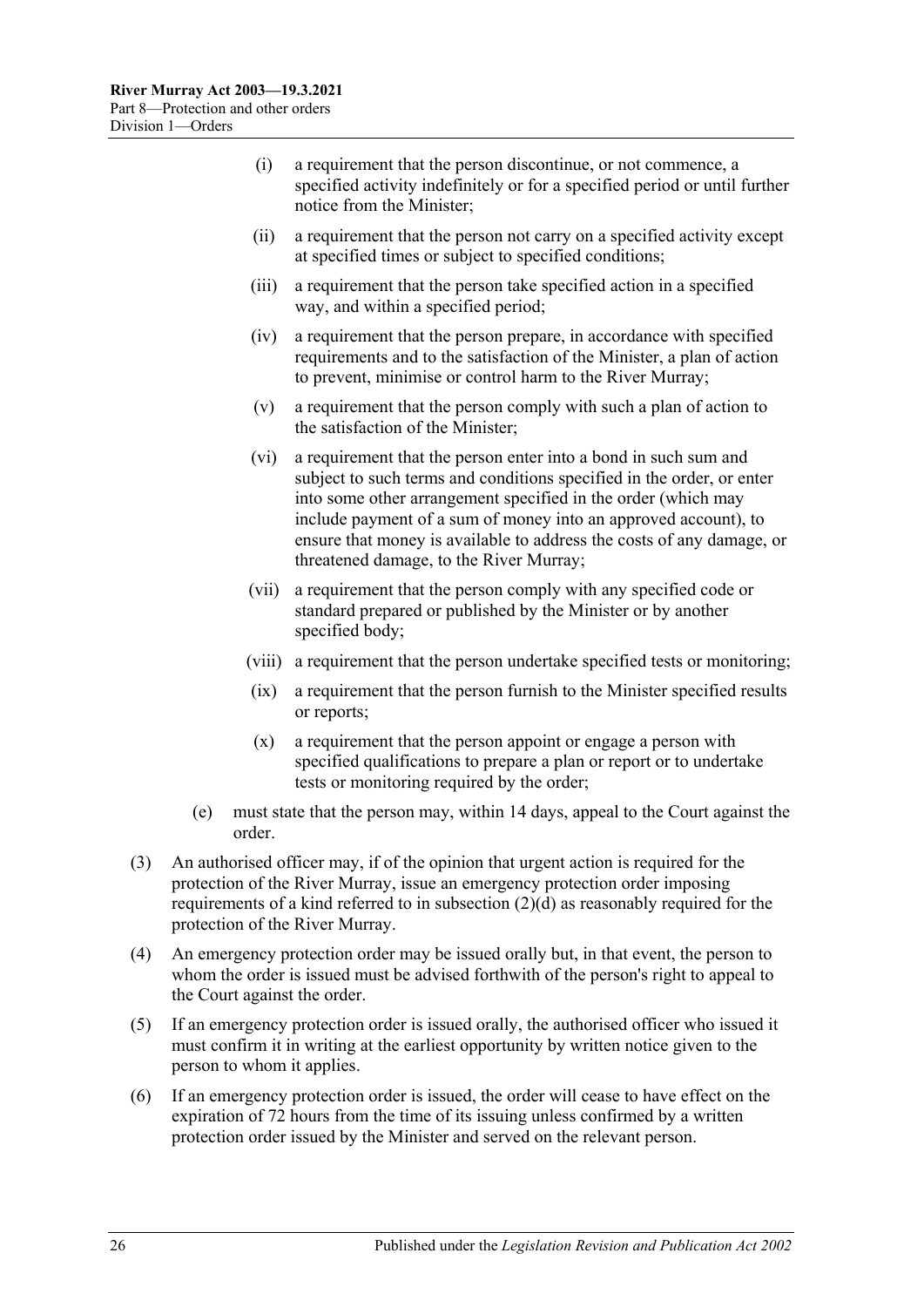- (i) a requirement that the person discontinue, or not commence, a specified activity indefinitely or for a specified period or until further notice from the Minister;
- (ii) a requirement that the person not carry on a specified activity except at specified times or subject to specified conditions;
- (iii) a requirement that the person take specified action in a specified way, and within a specified period;
- (iv) a requirement that the person prepare, in accordance with specified requirements and to the satisfaction of the Minister, a plan of action to prevent, minimise or control harm to the River Murray;
- (v) a requirement that the person comply with such a plan of action to the satisfaction of the Minister;
- (vi) a requirement that the person enter into a bond in such sum and subject to such terms and conditions specified in the order, or enter into some other arrangement specified in the order (which may include payment of a sum of money into an approved account), to ensure that money is available to address the costs of any damage, or threatened damage, to the River Murray;
- (vii) a requirement that the person comply with any specified code or standard prepared or published by the Minister or by another specified body;
- (viii) a requirement that the person undertake specified tests or monitoring;
- (ix) a requirement that the person furnish to the Minister specified results or reports;
- (x) a requirement that the person appoint or engage a person with specified qualifications to prepare a plan or report or to undertake tests or monitoring required by the order;
- (e) must state that the person may, within 14 days, appeal to the Court against the order.
- (3) An authorised officer may, if of the opinion that urgent action is required for the protection of the River Murray, issue an emergency protection order imposing requirements of a kind referred to in [subsection](#page-24-3) (2)(d) as reasonably required for the protection of the River Murray.
- (4) An emergency protection order may be issued orally but, in that event, the person to whom the order is issued must be advised forthwith of the person's right to appeal to the Court against the order.
- (5) If an emergency protection order is issued orally, the authorised officer who issued it must confirm it in writing at the earliest opportunity by written notice given to the person to whom it applies.
- (6) If an emergency protection order is issued, the order will cease to have effect on the expiration of 72 hours from the time of its issuing unless confirmed by a written protection order issued by the Minister and served on the relevant person.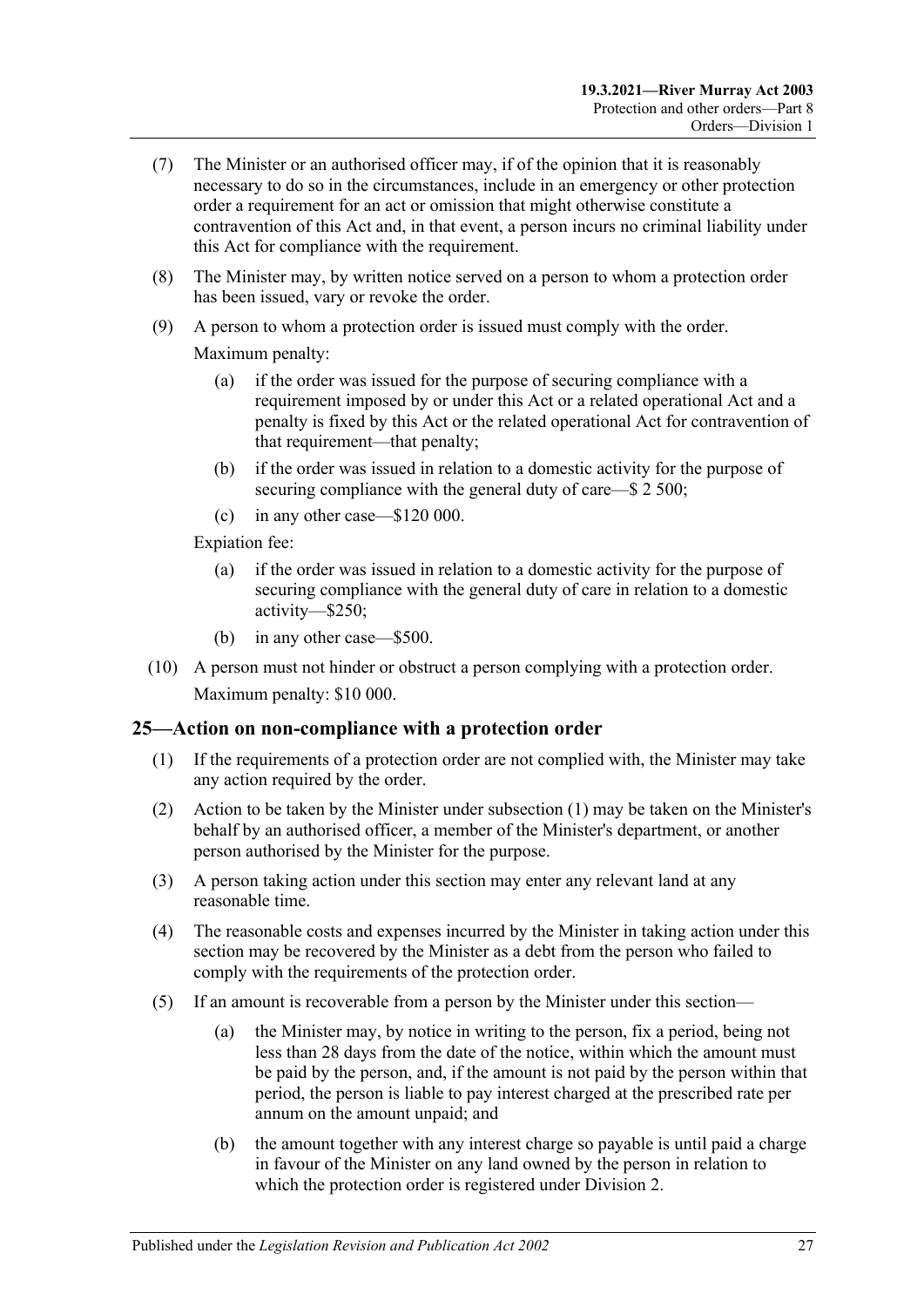- (7) The Minister or an authorised officer may, if of the opinion that it is reasonably necessary to do so in the circumstances, include in an emergency or other protection order a requirement for an act or omission that might otherwise constitute a contravention of this Act and, in that event, a person incurs no criminal liability under this Act for compliance with the requirement.
- (8) The Minister may, by written notice served on a person to whom a protection order has been issued, vary or revoke the order.
- (9) A person to whom a protection order is issued must comply with the order.

Maximum penalty:

- (a) if the order was issued for the purpose of securing compliance with a requirement imposed by or under this Act or a related operational Act and a penalty is fixed by this Act or the related operational Act for contravention of that requirement—that penalty;
- (b) if the order was issued in relation to a domestic activity for the purpose of securing compliance with the general duty of care—\$ 2 500;
- (c) in any other case—\$120 000.

Expiation fee:

- (a) if the order was issued in relation to a domestic activity for the purpose of securing compliance with the general duty of care in relation to a domestic activity—\$250;
- (b) in any other case—\$500.
- (10) A person must not hinder or obstruct a person complying with a protection order. Maximum penalty: \$10 000.

#### <span id="page-26-1"></span><span id="page-26-0"></span>**25—Action on non-compliance with a protection order**

- (1) If the requirements of a protection order are not complied with, the Minister may take any action required by the order.
- (2) Action to be taken by the Minister under [subsection](#page-26-1) (1) may be taken on the Minister's behalf by an authorised officer, a member of the Minister's department, or another person authorised by the Minister for the purpose.
- (3) A person taking action under this section may enter any relevant land at any reasonable time.
- (4) The reasonable costs and expenses incurred by the Minister in taking action under this section may be recovered by the Minister as a debt from the person who failed to comply with the requirements of the protection order.
- (5) If an amount is recoverable from a person by the Minister under this section—
	- (a) the Minister may, by notice in writing to the person, fix a period, being not less than 28 days from the date of the notice, within which the amount must be paid by the person, and, if the amount is not paid by the person within that period, the person is liable to pay interest charged at the prescribed rate per annum on the amount unpaid; and
	- (b) the amount together with any interest charge so payable is until paid a charge in favour of the Minister on any land owned by the person in relation to which the protection order is registered under [Division 2.](#page-31-0)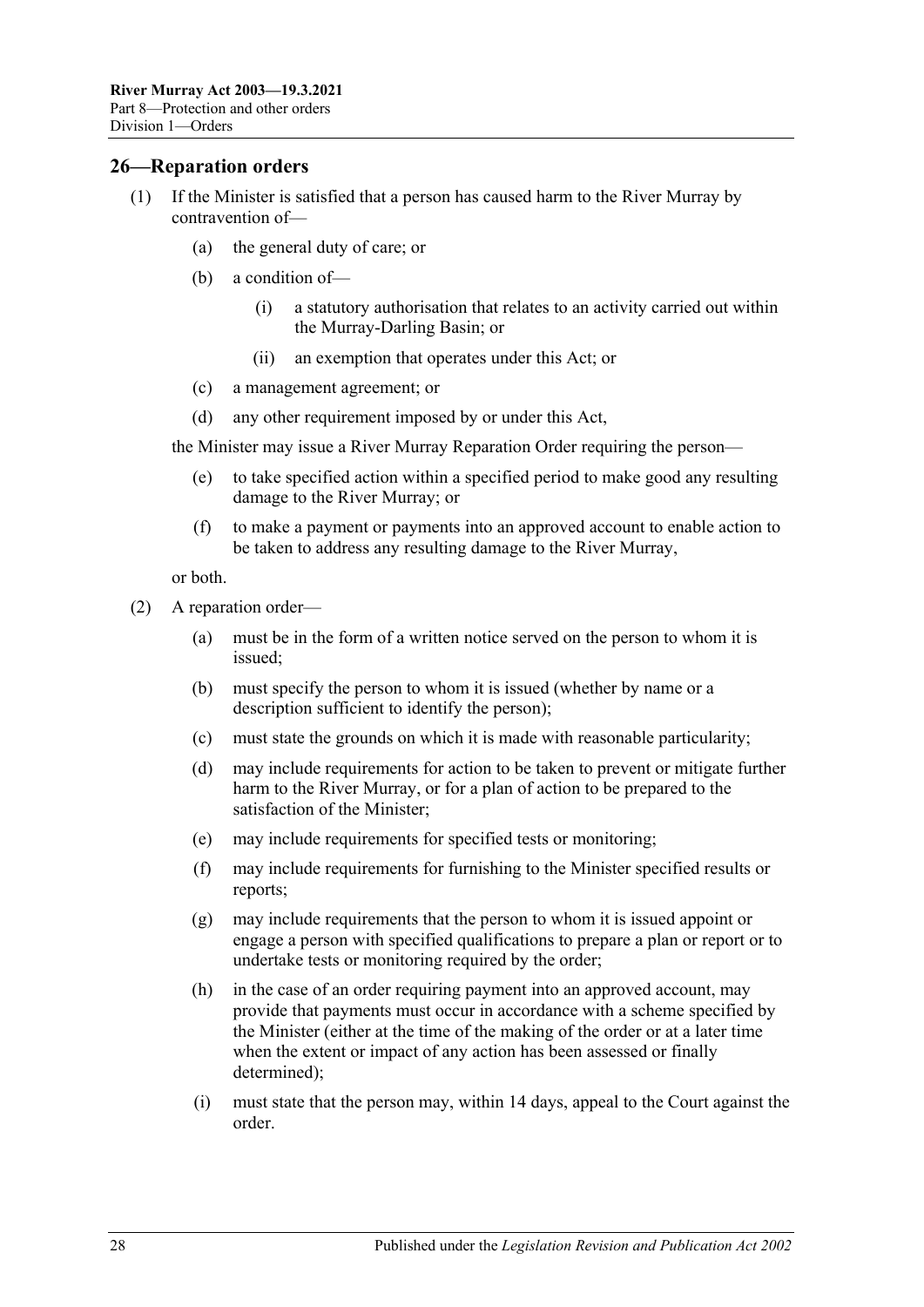#### <span id="page-27-0"></span>**26—Reparation orders**

- (1) If the Minister is satisfied that a person has caused harm to the River Murray by contravention of—
	- (a) the general duty of care; or
	- (b) a condition of—
		- (i) a statutory authorisation that relates to an activity carried out within the Murray-Darling Basin; or
		- (ii) an exemption that operates under this Act; or
	- (c) a management agreement; or
	- (d) any other requirement imposed by or under this Act,

the Minister may issue a River Murray Reparation Order requiring the person—

- (e) to take specified action within a specified period to make good any resulting damage to the River Murray; or
- (f) to make a payment or payments into an approved account to enable action to be taken to address any resulting damage to the River Murray,

or both.

- <span id="page-27-1"></span>(2) A reparation order—
	- (a) must be in the form of a written notice served on the person to whom it is issued;
	- (b) must specify the person to whom it is issued (whether by name or a description sufficient to identify the person);
	- (c) must state the grounds on which it is made with reasonable particularity;
	- (d) may include requirements for action to be taken to prevent or mitigate further harm to the River Murray, or for a plan of action to be prepared to the satisfaction of the Minister;
	- (e) may include requirements for specified tests or monitoring;
	- (f) may include requirements for furnishing to the Minister specified results or reports;
	- (g) may include requirements that the person to whom it is issued appoint or engage a person with specified qualifications to prepare a plan or report or to undertake tests or monitoring required by the order;
	- (h) in the case of an order requiring payment into an approved account, may provide that payments must occur in accordance with a scheme specified by the Minister (either at the time of the making of the order or at a later time when the extent or impact of any action has been assessed or finally determined);
	- (i) must state that the person may, within 14 days, appeal to the Court against the order.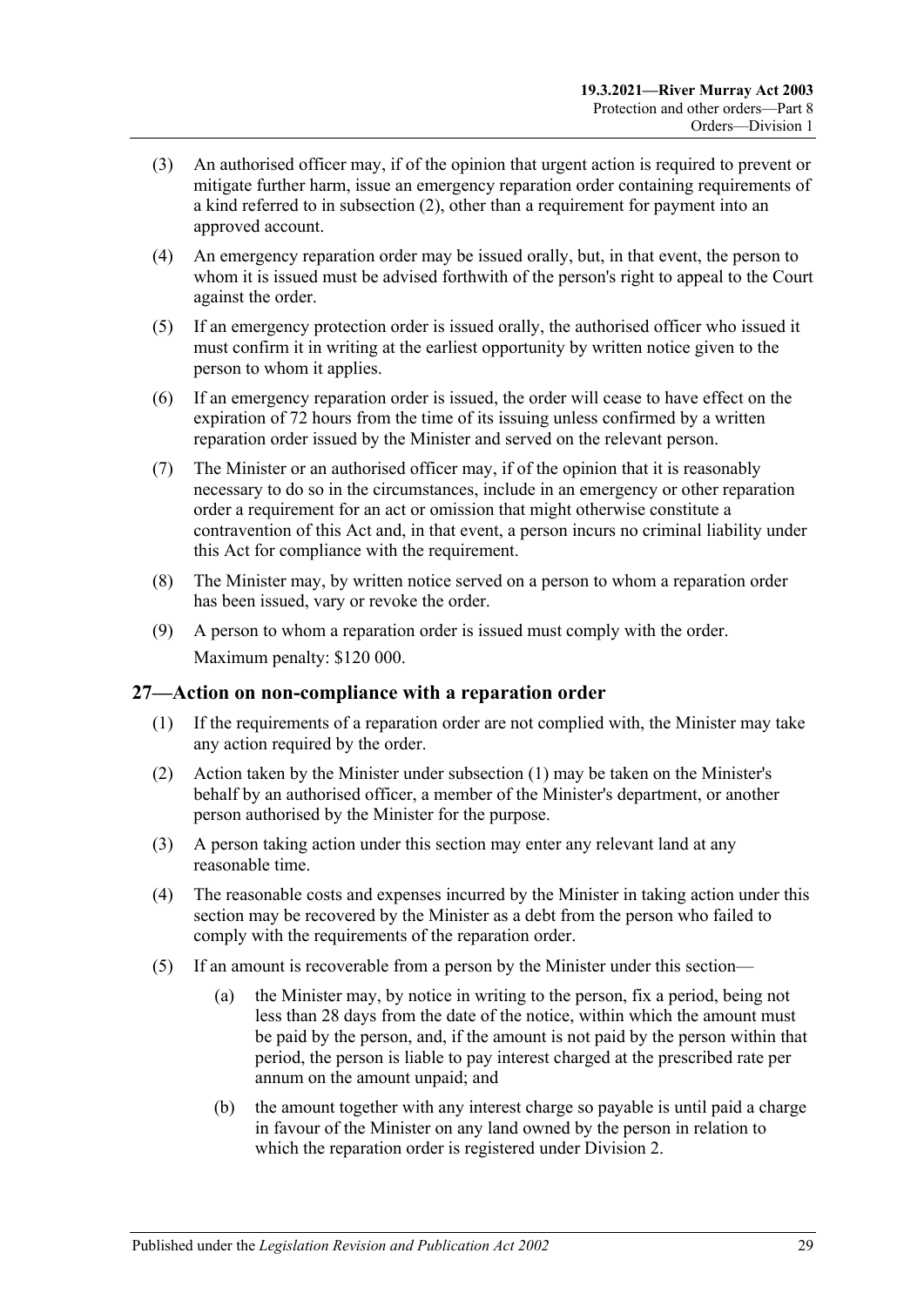- (3) An authorised officer may, if of the opinion that urgent action is required to prevent or mitigate further harm, issue an emergency reparation order containing requirements of a kind referred to in [subsection](#page-27-1) (2), other than a requirement for payment into an approved account.
- (4) An emergency reparation order may be issued orally, but, in that event, the person to whom it is issued must be advised forthwith of the person's right to appeal to the Court against the order.
- (5) If an emergency protection order is issued orally, the authorised officer who issued it must confirm it in writing at the earliest opportunity by written notice given to the person to whom it applies.
- (6) If an emergency reparation order is issued, the order will cease to have effect on the expiration of 72 hours from the time of its issuing unless confirmed by a written reparation order issued by the Minister and served on the relevant person.
- (7) The Minister or an authorised officer may, if of the opinion that it is reasonably necessary to do so in the circumstances, include in an emergency or other reparation order a requirement for an act or omission that might otherwise constitute a contravention of this Act and, in that event, a person incurs no criminal liability under this Act for compliance with the requirement.
- (8) The Minister may, by written notice served on a person to whom a reparation order has been issued, vary or revoke the order.
- (9) A person to whom a reparation order is issued must comply with the order. Maximum penalty: \$120 000.

#### <span id="page-28-1"></span><span id="page-28-0"></span>**27—Action on non-compliance with a reparation order**

- (1) If the requirements of a reparation order are not complied with, the Minister may take any action required by the order.
- (2) Action taken by the Minister under [subsection](#page-28-1) (1) may be taken on the Minister's behalf by an authorised officer, a member of the Minister's department, or another person authorised by the Minister for the purpose.
- (3) A person taking action under this section may enter any relevant land at any reasonable time.
- (4) The reasonable costs and expenses incurred by the Minister in taking action under this section may be recovered by the Minister as a debt from the person who failed to comply with the requirements of the reparation order.
- (5) If an amount is recoverable from a person by the Minister under this section—
	- (a) the Minister may, by notice in writing to the person, fix a period, being not less than 28 days from the date of the notice, within which the amount must be paid by the person, and, if the amount is not paid by the person within that period, the person is liable to pay interest charged at the prescribed rate per annum on the amount unpaid; and
	- (b) the amount together with any interest charge so payable is until paid a charge in favour of the Minister on any land owned by the person in relation to which the reparation order is registered under [Division 2.](#page-31-0)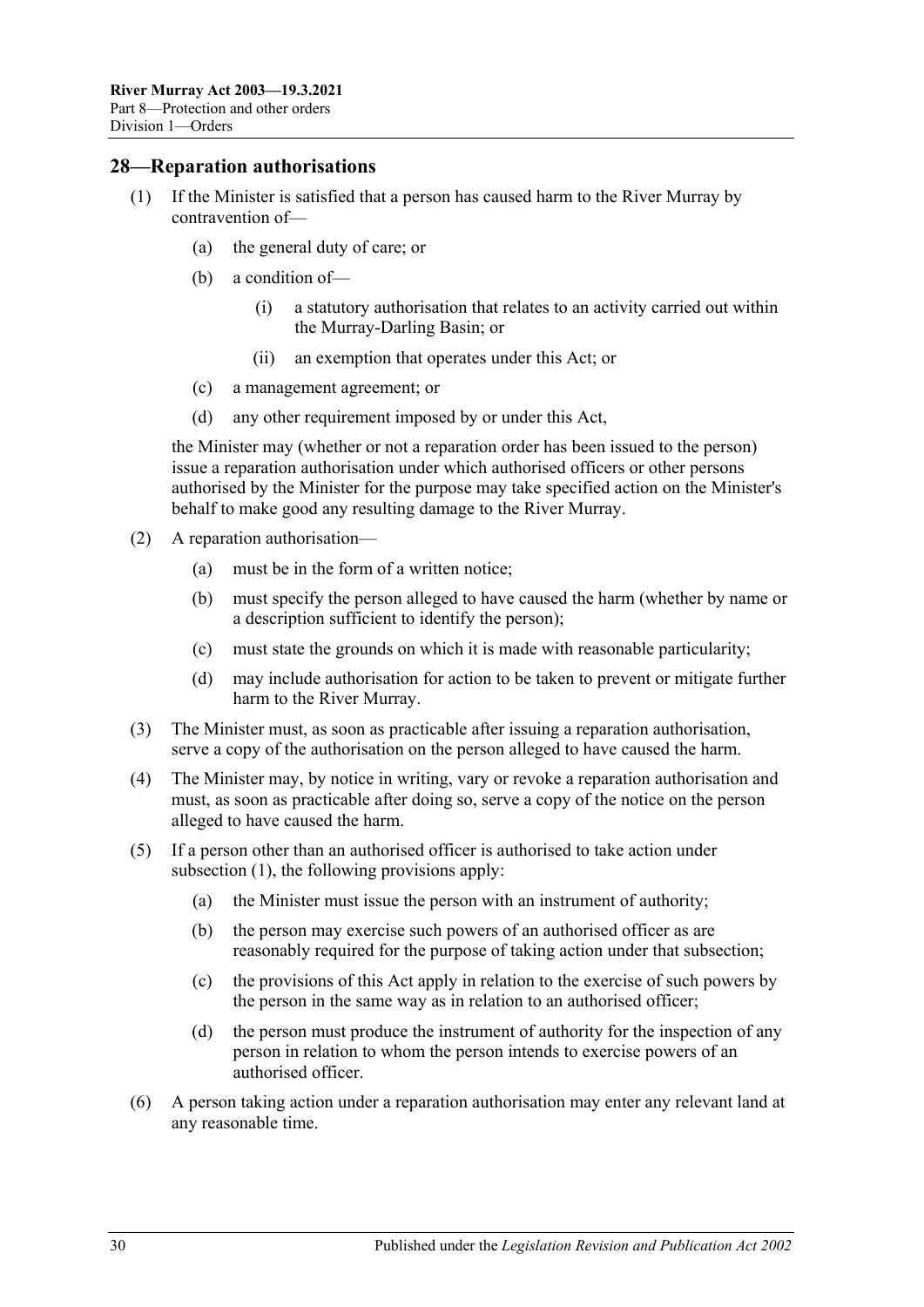#### <span id="page-29-1"></span><span id="page-29-0"></span>**28—Reparation authorisations**

- (1) If the Minister is satisfied that a person has caused harm to the River Murray by contravention of—
	- (a) the general duty of care; or
	- (b) a condition of—
		- (i) a statutory authorisation that relates to an activity carried out within the Murray-Darling Basin; or
		- (ii) an exemption that operates under this Act; or
	- (c) a management agreement; or
	- (d) any other requirement imposed by or under this Act,

the Minister may (whether or not a reparation order has been issued to the person) issue a reparation authorisation under which authorised officers or other persons authorised by the Minister for the purpose may take specified action on the Minister's behalf to make good any resulting damage to the River Murray.

- (2) A reparation authorisation—
	- (a) must be in the form of a written notice;
	- (b) must specify the person alleged to have caused the harm (whether by name or a description sufficient to identify the person);
	- (c) must state the grounds on which it is made with reasonable particularity;
	- (d) may include authorisation for action to be taken to prevent or mitigate further harm to the River Murray.
- (3) The Minister must, as soon as practicable after issuing a reparation authorisation, serve a copy of the authorisation on the person alleged to have caused the harm.
- (4) The Minister may, by notice in writing, vary or revoke a reparation authorisation and must, as soon as practicable after doing so, serve a copy of the notice on the person alleged to have caused the harm.
- (5) If a person other than an authorised officer is authorised to take action under [subsection](#page-29-1) (1), the following provisions apply:
	- (a) the Minister must issue the person with an instrument of authority;
	- (b) the person may exercise such powers of an authorised officer as are reasonably required for the purpose of taking action under that subsection;
	- (c) the provisions of this Act apply in relation to the exercise of such powers by the person in the same way as in relation to an authorised officer;
	- (d) the person must produce the instrument of authority for the inspection of any person in relation to whom the person intends to exercise powers of an authorised officer.
- (6) A person taking action under a reparation authorisation may enter any relevant land at any reasonable time.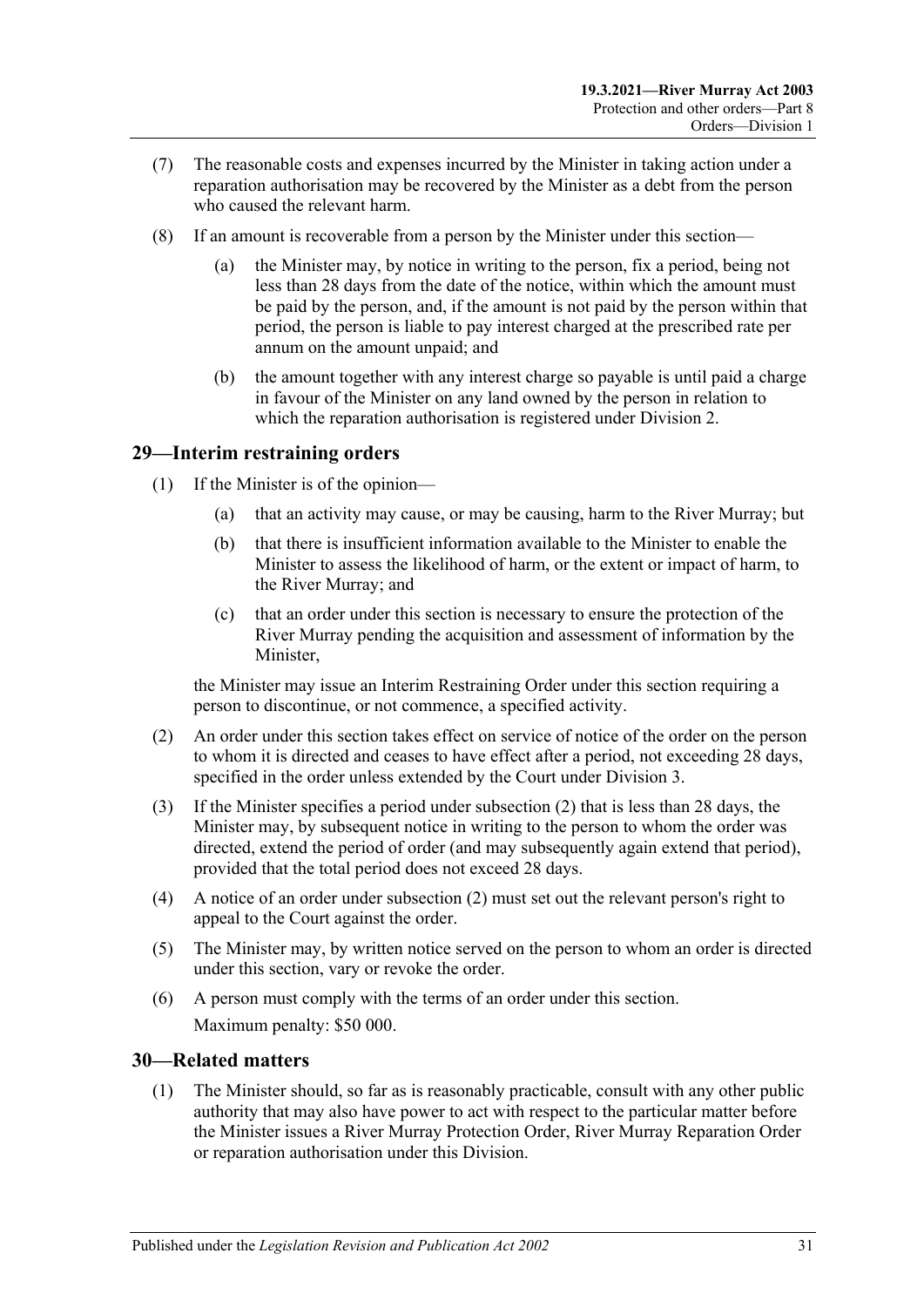- (7) The reasonable costs and expenses incurred by the Minister in taking action under a reparation authorisation may be recovered by the Minister as a debt from the person who caused the relevant harm.
- (8) If an amount is recoverable from a person by the Minister under this section—
	- (a) the Minister may, by notice in writing to the person, fix a period, being not less than 28 days from the date of the notice, within which the amount must be paid by the person, and, if the amount is not paid by the person within that period, the person is liable to pay interest charged at the prescribed rate per annum on the amount unpaid; and
	- (b) the amount together with any interest charge so payable is until paid a charge in favour of the Minister on any land owned by the person in relation to which the reparation authorisation is registered under [Division 2.](#page-31-0)

#### <span id="page-30-0"></span>**29—Interim restraining orders**

- (1) If the Minister is of the opinion—
	- (a) that an activity may cause, or may be causing, harm to the River Murray; but
	- (b) that there is insufficient information available to the Minister to enable the Minister to assess the likelihood of harm, or the extent or impact of harm, to the River Murray; and
	- (c) that an order under this section is necessary to ensure the protection of the River Murray pending the acquisition and assessment of information by the Minister,

the Minister may issue an Interim Restraining Order under this section requiring a person to discontinue, or not commence, a specified activity.

- <span id="page-30-2"></span>(2) An order under this section takes effect on service of notice of the order on the person to whom it is directed and ceases to have effect after a period, not exceeding 28 days, specified in the order unless extended by the Court under [Division 3.](#page-32-1)
- (3) If the Minister specifies a period under [subsection](#page-30-2) (2) that is less than 28 days, the Minister may, by subsequent notice in writing to the person to whom the order was directed, extend the period of order (and may subsequently again extend that period), provided that the total period does not exceed 28 days.
- (4) A notice of an order under [subsection](#page-30-2) (2) must set out the relevant person's right to appeal to the Court against the order.
- (5) The Minister may, by written notice served on the person to whom an order is directed under this section, vary or revoke the order.
- (6) A person must comply with the terms of an order under this section. Maximum penalty: \$50 000.

#### <span id="page-30-3"></span><span id="page-30-1"></span>**30—Related matters**

(1) The Minister should, so far as is reasonably practicable, consult with any other public authority that may also have power to act with respect to the particular matter before the Minister issues a River Murray Protection Order, River Murray Reparation Order or reparation authorisation under this Division.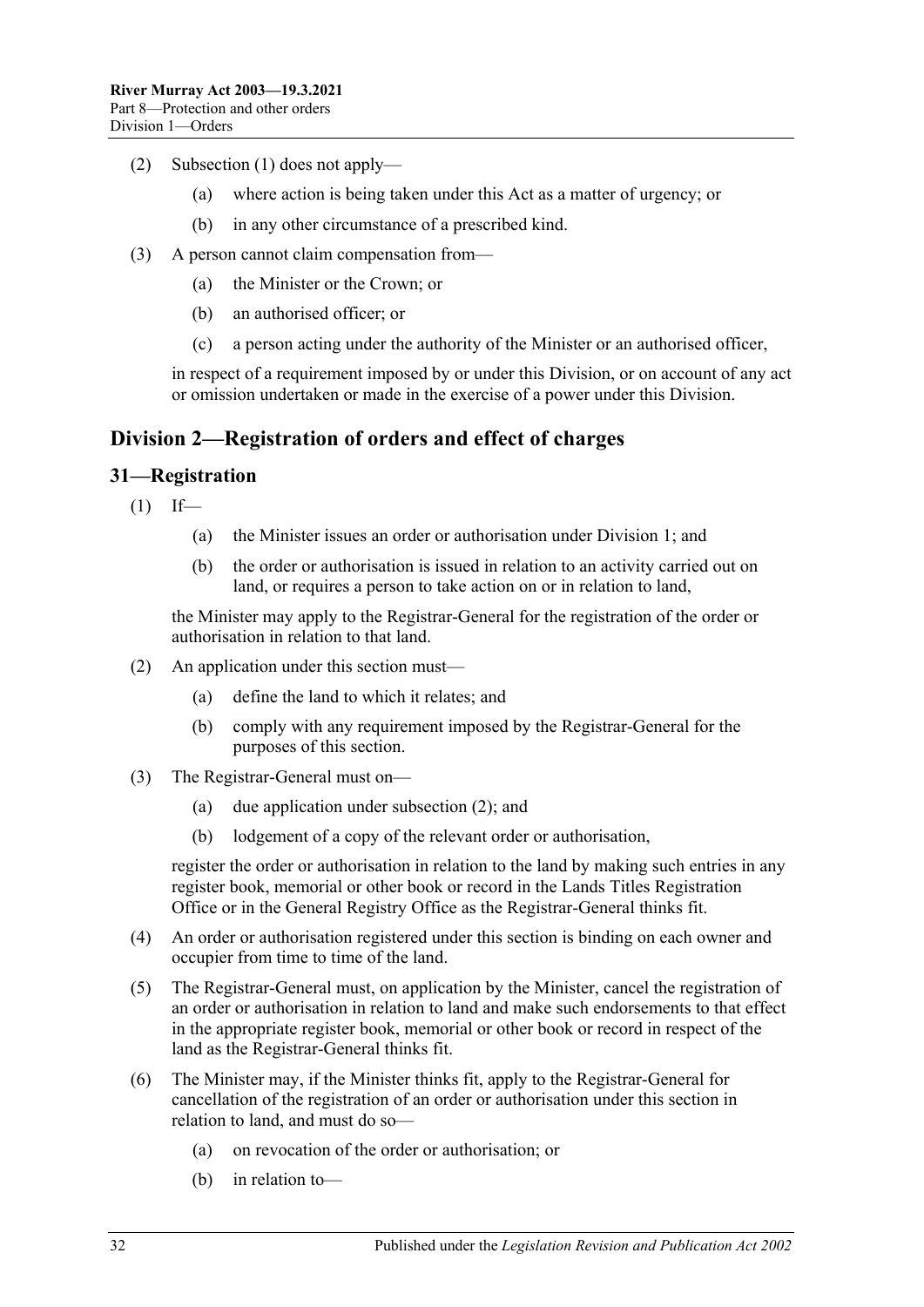- (2) [Subsection](#page-30-3) (1) does not apply—
	- (a) where action is being taken under this Act as a matter of urgency; or
	- (b) in any other circumstance of a prescribed kind.
- (3) A person cannot claim compensation from—
	- (a) the Minister or the Crown; or
	- (b) an authorised officer; or
	- (c) a person acting under the authority of the Minister or an authorised officer,

in respect of a requirement imposed by or under this Division, or on account of any act or omission undertaken or made in the exercise of a power under this Division.

#### <span id="page-31-0"></span>**Division 2—Registration of orders and effect of charges**

#### <span id="page-31-1"></span>**31—Registration**

 $(1)$  If—

- (a) the Minister issues an order or authorisation under [Division 1;](#page-24-1) and
- (b) the order or authorisation is issued in relation to an activity carried out on land, or requires a person to take action on or in relation to land,

the Minister may apply to the Registrar-General for the registration of the order or authorisation in relation to that land.

- <span id="page-31-2"></span>(2) An application under this section must—
	- (a) define the land to which it relates; and
	- (b) comply with any requirement imposed by the Registrar-General for the purposes of this section.
- (3) The Registrar-General must on—
	- (a) due application under [subsection](#page-31-2) (2); and
	- (b) lodgement of a copy of the relevant order or authorisation,

register the order or authorisation in relation to the land by making such entries in any register book, memorial or other book or record in the Lands Titles Registration Office or in the General Registry Office as the Registrar-General thinks fit.

- (4) An order or authorisation registered under this section is binding on each owner and occupier from time to time of the land.
- (5) The Registrar-General must, on application by the Minister, cancel the registration of an order or authorisation in relation to land and make such endorsements to that effect in the appropriate register book, memorial or other book or record in respect of the land as the Registrar-General thinks fit.
- (6) The Minister may, if the Minister thinks fit, apply to the Registrar-General for cancellation of the registration of an order or authorisation under this section in relation to land, and must do so—
	- (a) on revocation of the order or authorisation; or
	- (b) in relation to—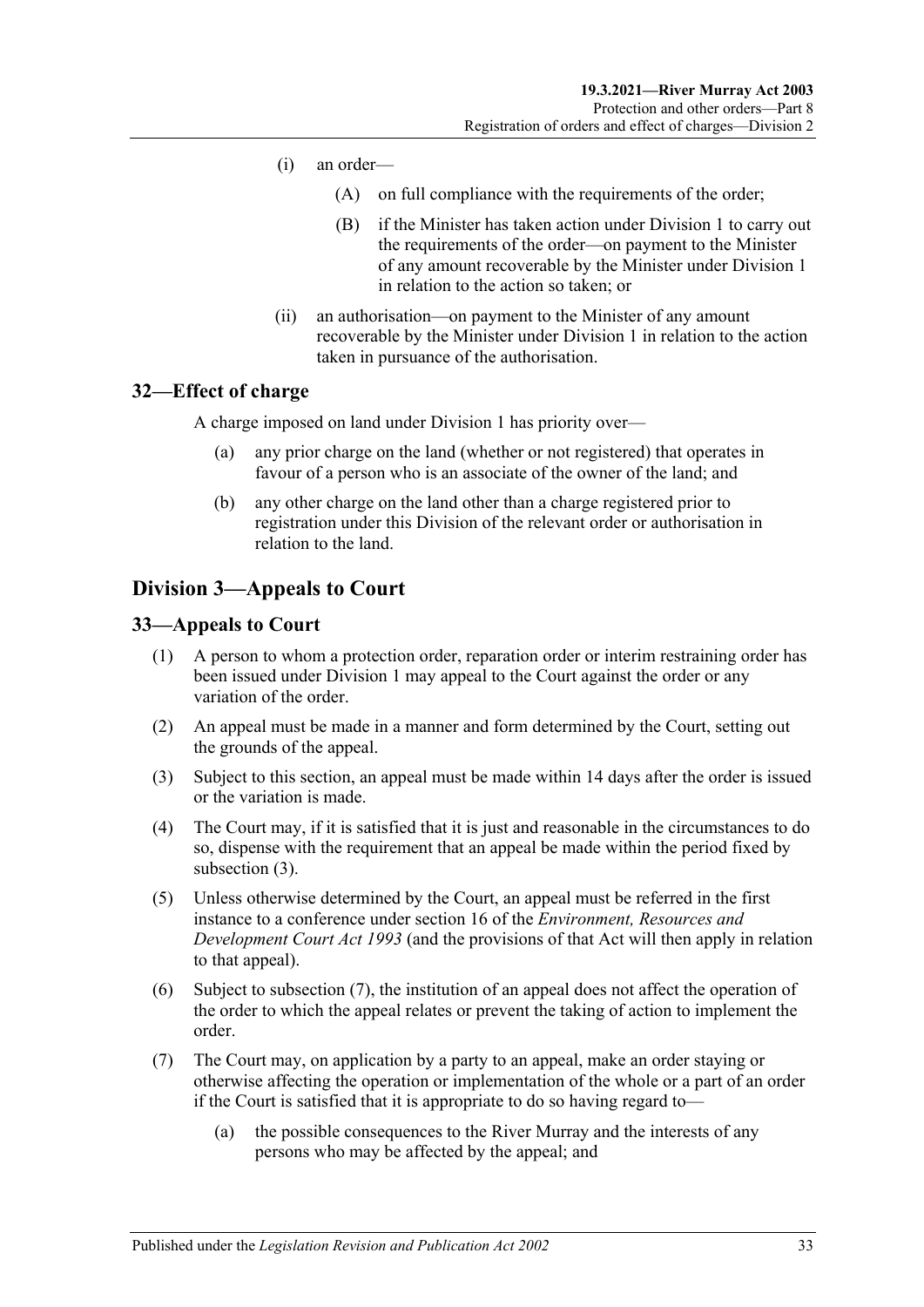- (i) an order—
	- (A) on full compliance with the requirements of the order;
	- (B) if the Minister has taken action under [Division 1](#page-24-1) to carry out the requirements of the order—on payment to the Minister of any amount recoverable by the Minister under [Division 1](#page-24-1) in relation to the action so taken; or
- (ii) an authorisation—on payment to the Minister of any amount recoverable by the Minister under [Division 1](#page-24-1) in relation to the action taken in pursuance of the authorisation.

#### <span id="page-32-0"></span>**32—Effect of charge**

A charge imposed on land under [Division 1](#page-24-1) has priority over—

- (a) any prior charge on the land (whether or not registered) that operates in favour of a person who is an associate of the owner of the land; and
- (b) any other charge on the land other than a charge registered prior to registration under this Division of the relevant order or authorisation in relation to the land.

### <span id="page-32-1"></span>**Division 3—Appeals to Court**

#### <span id="page-32-2"></span>**33—Appeals to Court**

- (1) A person to whom a protection order, reparation order or interim restraining order has been issued under [Division 1](#page-24-1) may appeal to the Court against the order or any variation of the order.
- (2) An appeal must be made in a manner and form determined by the Court, setting out the grounds of the appeal.
- <span id="page-32-3"></span>(3) Subject to this section, an appeal must be made within 14 days after the order is issued or the variation is made.
- (4) The Court may, if it is satisfied that it is just and reasonable in the circumstances to do so, dispense with the requirement that an appeal be made within the period fixed by [subsection](#page-32-3) (3).
- (5) Unless otherwise determined by the Court, an appeal must be referred in the first instance to a conference under section 16 of the *[Environment, Resources and](http://www.legislation.sa.gov.au/index.aspx?action=legref&type=act&legtitle=Environment%20Resources%20and%20Development%20Court%20Act%201993)  [Development Court](http://www.legislation.sa.gov.au/index.aspx?action=legref&type=act&legtitle=Environment%20Resources%20and%20Development%20Court%20Act%201993) Act 1993* (and the provisions of that Act will then apply in relation to that appeal).
- (6) Subject to [subsection](#page-32-4) (7), the institution of an appeal does not affect the operation of the order to which the appeal relates or prevent the taking of action to implement the order.
- <span id="page-32-4"></span>(7) The Court may, on application by a party to an appeal, make an order staying or otherwise affecting the operation or implementation of the whole or a part of an order if the Court is satisfied that it is appropriate to do so having regard to—
	- (a) the possible consequences to the River Murray and the interests of any persons who may be affected by the appeal; and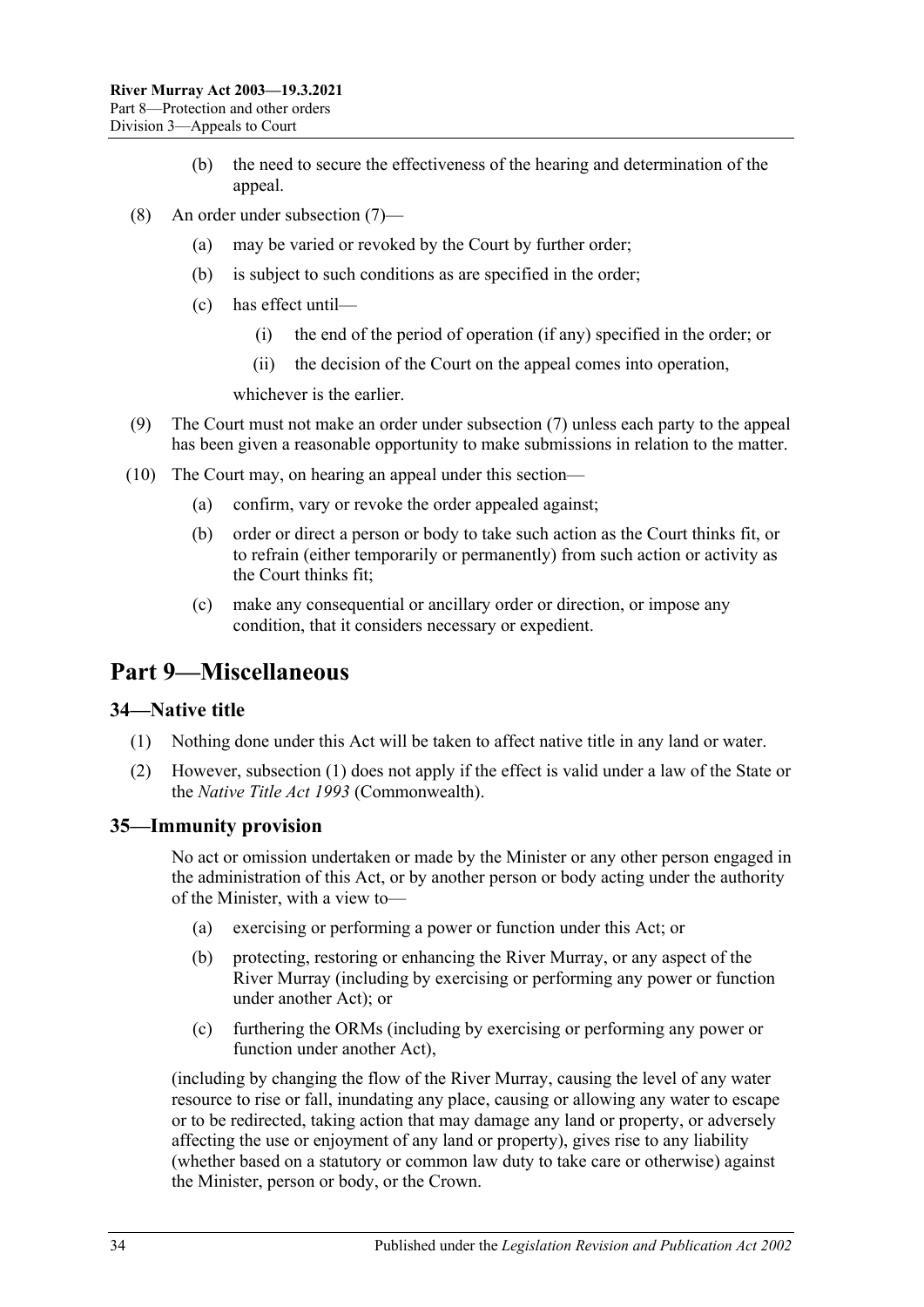- (b) the need to secure the effectiveness of the hearing and determination of the appeal.
- (8) An order under [subsection](#page-32-4) (7)—
	- (a) may be varied or revoked by the Court by further order;
	- (b) is subject to such conditions as are specified in the order;
	- (c) has effect until—
		- (i) the end of the period of operation (if any) specified in the order; or
		- (ii) the decision of the Court on the appeal comes into operation,

whichever is the earlier.

- (9) The Court must not make an order under [subsection](#page-32-4) (7) unless each party to the appeal has been given a reasonable opportunity to make submissions in relation to the matter.
- (10) The Court may, on hearing an appeal under this section—
	- (a) confirm, vary or revoke the order appealed against;
	- (b) order or direct a person or body to take such action as the Court thinks fit, or to refrain (either temporarily or permanently) from such action or activity as the Court thinks fit;
	- (c) make any consequential or ancillary order or direction, or impose any condition, that it considers necessary or expedient.

## <span id="page-33-0"></span>**Part 9—Miscellaneous**

#### <span id="page-33-3"></span><span id="page-33-1"></span>**34—Native title**

- (1) Nothing done under this Act will be taken to affect native title in any land or water.
- (2) However, [subsection](#page-33-3) (1) does not apply if the effect is valid under a law of the State or the *Native Title Act 1993* (Commonwealth).

#### <span id="page-33-2"></span>**35—Immunity provision**

No act or omission undertaken or made by the Minister or any other person engaged in the administration of this Act, or by another person or body acting under the authority of the Minister, with a view to—

- (a) exercising or performing a power or function under this Act; or
- (b) protecting, restoring or enhancing the River Murray, or any aspect of the River Murray (including by exercising or performing any power or function under another Act); or
- (c) furthering the ORMs (including by exercising or performing any power or function under another Act),

(including by changing the flow of the River Murray, causing the level of any water resource to rise or fall, inundating any place, causing or allowing any water to escape or to be redirected, taking action that may damage any land or property, or adversely affecting the use or enjoyment of any land or property), gives rise to any liability (whether based on a statutory or common law duty to take care or otherwise) against the Minister, person or body, or the Crown.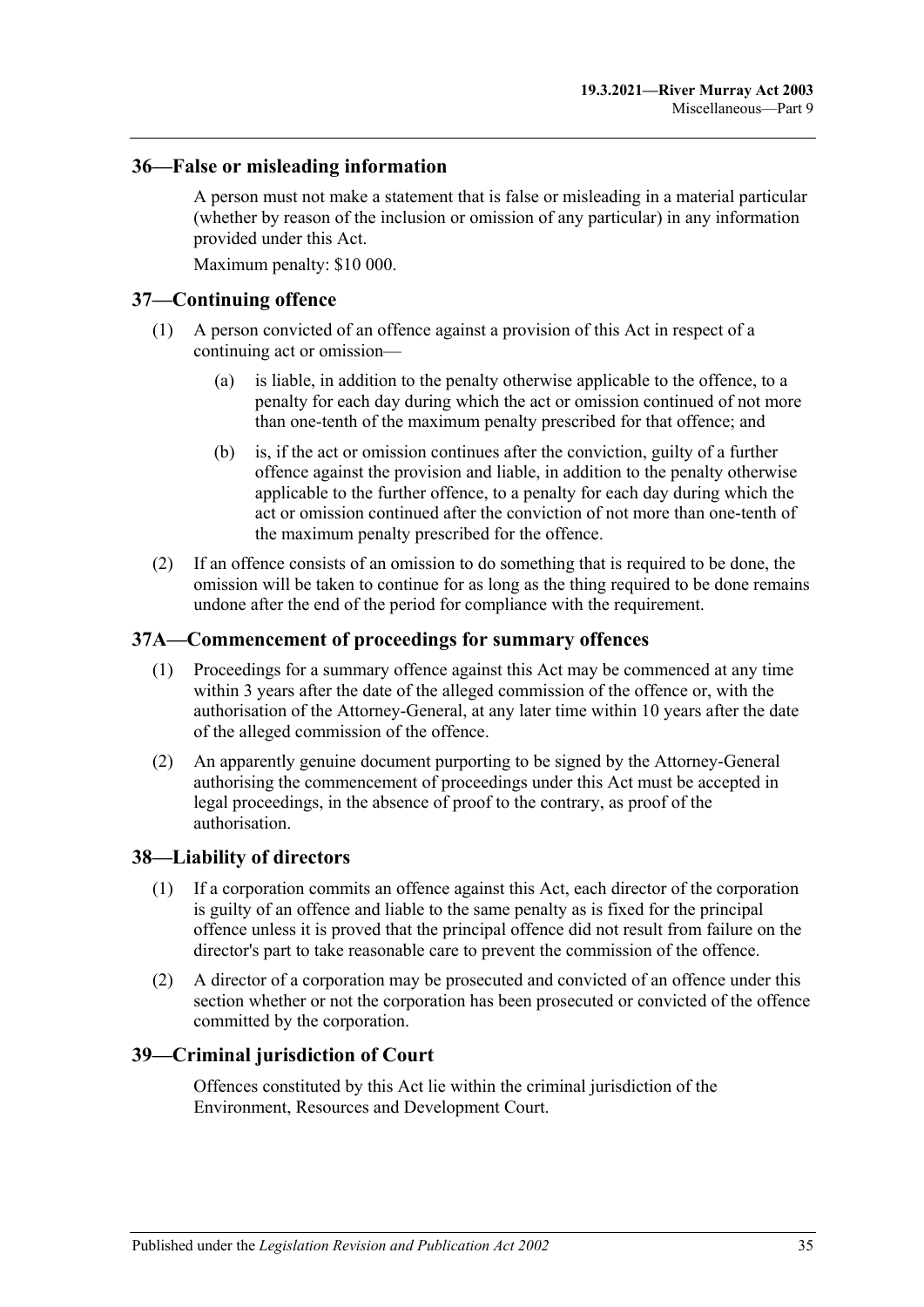#### <span id="page-34-0"></span>**36—False or misleading information**

A person must not make a statement that is false or misleading in a material particular (whether by reason of the inclusion or omission of any particular) in any information provided under this Act.

Maximum penalty: \$10 000.

#### <span id="page-34-1"></span>**37—Continuing offence**

- (1) A person convicted of an offence against a provision of this Act in respect of a continuing act or omission—
	- (a) is liable, in addition to the penalty otherwise applicable to the offence, to a penalty for each day during which the act or omission continued of not more than one-tenth of the maximum penalty prescribed for that offence; and
	- (b) is, if the act or omission continues after the conviction, guilty of a further offence against the provision and liable, in addition to the penalty otherwise applicable to the further offence, to a penalty for each day during which the act or omission continued after the conviction of not more than one-tenth of the maximum penalty prescribed for the offence.
- (2) If an offence consists of an omission to do something that is required to be done, the omission will be taken to continue for as long as the thing required to be done remains undone after the end of the period for compliance with the requirement.

#### <span id="page-34-2"></span>**37A—Commencement of proceedings for summary offences**

- (1) Proceedings for a summary offence against this Act may be commenced at any time within 3 years after the date of the alleged commission of the offence or, with the authorisation of the Attorney-General, at any later time within 10 years after the date of the alleged commission of the offence.
- (2) An apparently genuine document purporting to be signed by the Attorney-General authorising the commencement of proceedings under this Act must be accepted in legal proceedings, in the absence of proof to the contrary, as proof of the authorisation.

#### <span id="page-34-3"></span>**38—Liability of directors**

- (1) If a corporation commits an offence against this Act, each director of the corporation is guilty of an offence and liable to the same penalty as is fixed for the principal offence unless it is proved that the principal offence did not result from failure on the director's part to take reasonable care to prevent the commission of the offence.
- (2) A director of a corporation may be prosecuted and convicted of an offence under this section whether or not the corporation has been prosecuted or convicted of the offence committed by the corporation.

#### <span id="page-34-4"></span>**39—Criminal jurisdiction of Court**

Offences constituted by this Act lie within the criminal jurisdiction of the Environment, Resources and Development Court.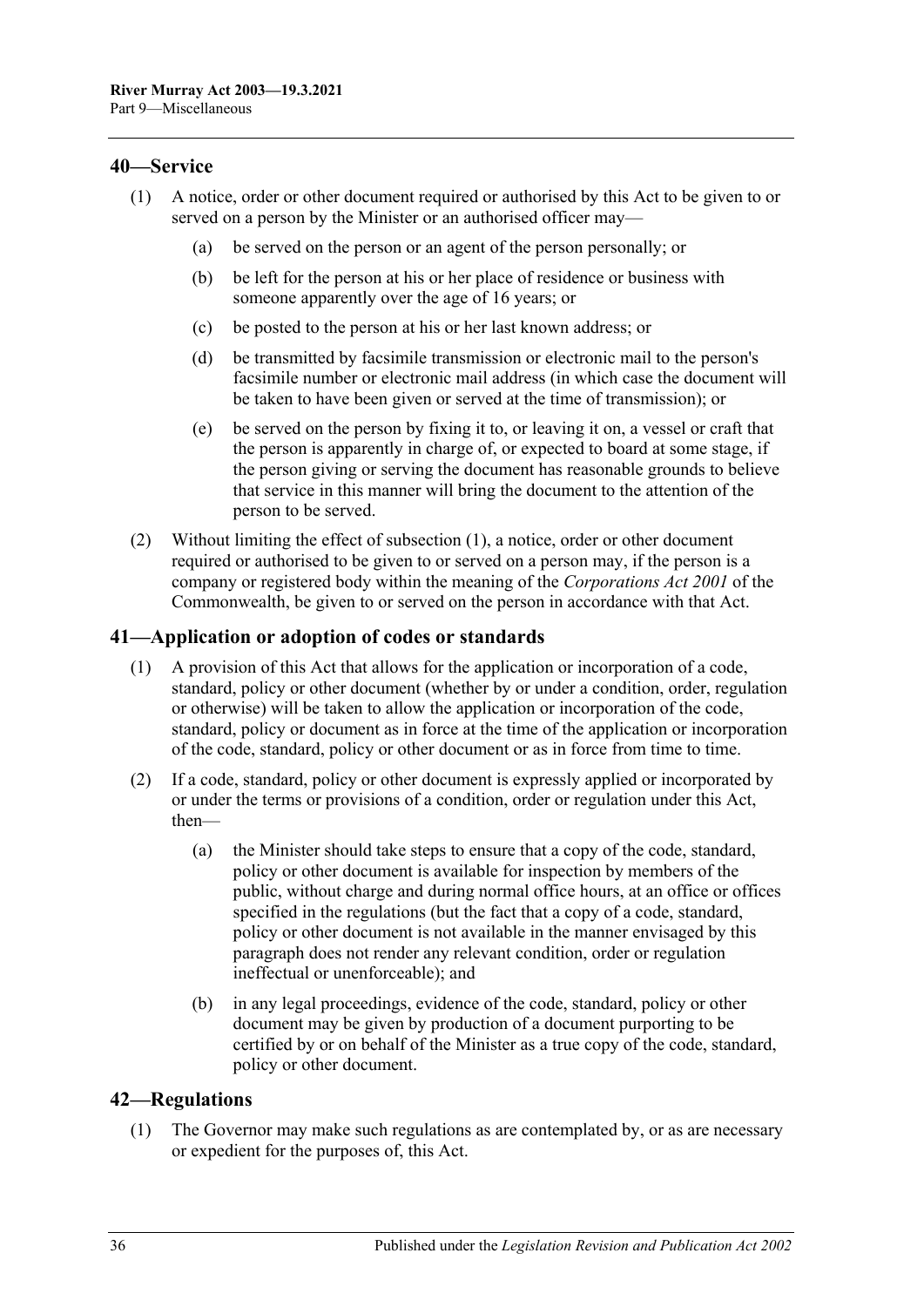#### <span id="page-35-3"></span><span id="page-35-0"></span>**40—Service**

- (1) A notice, order or other document required or authorised by this Act to be given to or served on a person by the Minister or an authorised officer may—
	- (a) be served on the person or an agent of the person personally; or
	- (b) be left for the person at his or her place of residence or business with someone apparently over the age of 16 years; or
	- (c) be posted to the person at his or her last known address; or
	- (d) be transmitted by facsimile transmission or electronic mail to the person's facsimile number or electronic mail address (in which case the document will be taken to have been given or served at the time of transmission); or
	- (e) be served on the person by fixing it to, or leaving it on, a vessel or craft that the person is apparently in charge of, or expected to board at some stage, if the person giving or serving the document has reasonable grounds to believe that service in this manner will bring the document to the attention of the person to be served.
- (2) Without limiting the effect of [subsection](#page-35-3) (1), a notice, order or other document required or authorised to be given to or served on a person may, if the person is a company or registered body within the meaning of the *Corporations Act 2001* of the Commonwealth, be given to or served on the person in accordance with that Act.

#### <span id="page-35-1"></span>**41—Application or adoption of codes or standards**

- (1) A provision of this Act that allows for the application or incorporation of a code, standard, policy or other document (whether by or under a condition, order, regulation or otherwise) will be taken to allow the application or incorporation of the code, standard, policy or document as in force at the time of the application or incorporation of the code, standard, policy or other document or as in force from time to time.
- (2) If a code, standard, policy or other document is expressly applied or incorporated by or under the terms or provisions of a condition, order or regulation under this Act, then—
	- (a) the Minister should take steps to ensure that a copy of the code, standard, policy or other document is available for inspection by members of the public, without charge and during normal office hours, at an office or offices specified in the regulations (but the fact that a copy of a code, standard, policy or other document is not available in the manner envisaged by this paragraph does not render any relevant condition, order or regulation ineffectual or unenforceable); and
	- (b) in any legal proceedings, evidence of the code, standard, policy or other document may be given by production of a document purporting to be certified by or on behalf of the Minister as a true copy of the code, standard, policy or other document.

#### <span id="page-35-4"></span><span id="page-35-2"></span>**42—Regulations**

(1) The Governor may make such regulations as are contemplated by, or as are necessary or expedient for the purposes of, this Act.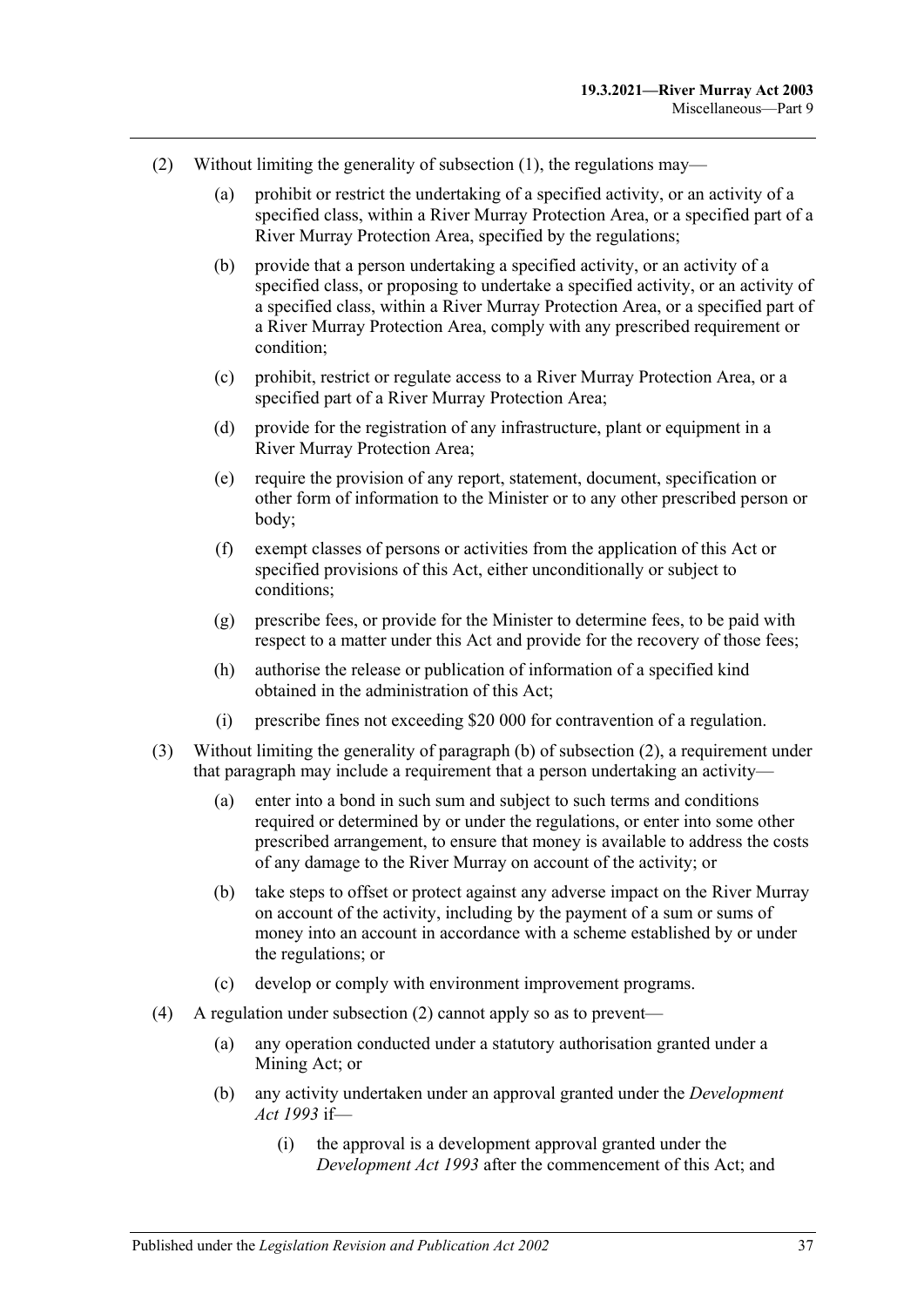- <span id="page-36-3"></span><span id="page-36-2"></span><span id="page-36-1"></span><span id="page-36-0"></span>(2) Without limiting the generality of [subsection](#page-35-4) (1), the regulations may—
	- (a) prohibit or restrict the undertaking of a specified activity, or an activity of a specified class, within a River Murray Protection Area, or a specified part of a River Murray Protection Area, specified by the regulations;
	- (b) provide that a person undertaking a specified activity, or an activity of a specified class, or proposing to undertake a specified activity, or an activity of a specified class, within a River Murray Protection Area, or a specified part of a River Murray Protection Area, comply with any prescribed requirement or condition;
	- (c) prohibit, restrict or regulate access to a River Murray Protection Area, or a specified part of a River Murray Protection Area;
	- (d) provide for the registration of any infrastructure, plant or equipment in a River Murray Protection Area;
	- (e) require the provision of any report, statement, document, specification or other form of information to the Minister or to any other prescribed person or body;
	- (f) exempt classes of persons or activities from the application of this Act or specified provisions of this Act, either unconditionally or subject to conditions;
	- (g) prescribe fees, or provide for the Minister to determine fees, to be paid with respect to a matter under this Act and provide for the recovery of those fees;
	- (h) authorise the release or publication of information of a specified kind obtained in the administration of this Act;
	- (i) prescribe fines not exceeding \$20 000 for contravention of a regulation.
- (3) Without limiting the generality of [paragraph](#page-36-0) (b) of [subsection](#page-36-1) (2), a requirement under that paragraph may include a requirement that a person undertaking an activity—
	- (a) enter into a bond in such sum and subject to such terms and conditions required or determined by or under the regulations, or enter into some other prescribed arrangement, to ensure that money is available to address the costs of any damage to the River Murray on account of the activity; or
	- (b) take steps to offset or protect against any adverse impact on the River Murray on account of the activity, including by the payment of a sum or sums of money into an account in accordance with a scheme established by or under the regulations; or
	- (c) develop or comply with environment improvement programs.
- (4) A regulation under [subsection](#page-36-1) (2) cannot apply so as to prevent—
	- (a) any operation conducted under a statutory authorisation granted under a Mining Act; or
	- (b) any activity undertaken under an approval granted under the *[Development](http://www.legislation.sa.gov.au/index.aspx?action=legref&type=act&legtitle=Development%20Act%201993)  Act [1993](http://www.legislation.sa.gov.au/index.aspx?action=legref&type=act&legtitle=Development%20Act%201993)* if—
		- (i) the approval is a development approval granted under the *[Development Act](http://www.legislation.sa.gov.au/index.aspx?action=legref&type=act&legtitle=Development%20Act%201993) 1993* after the commencement of this Act; and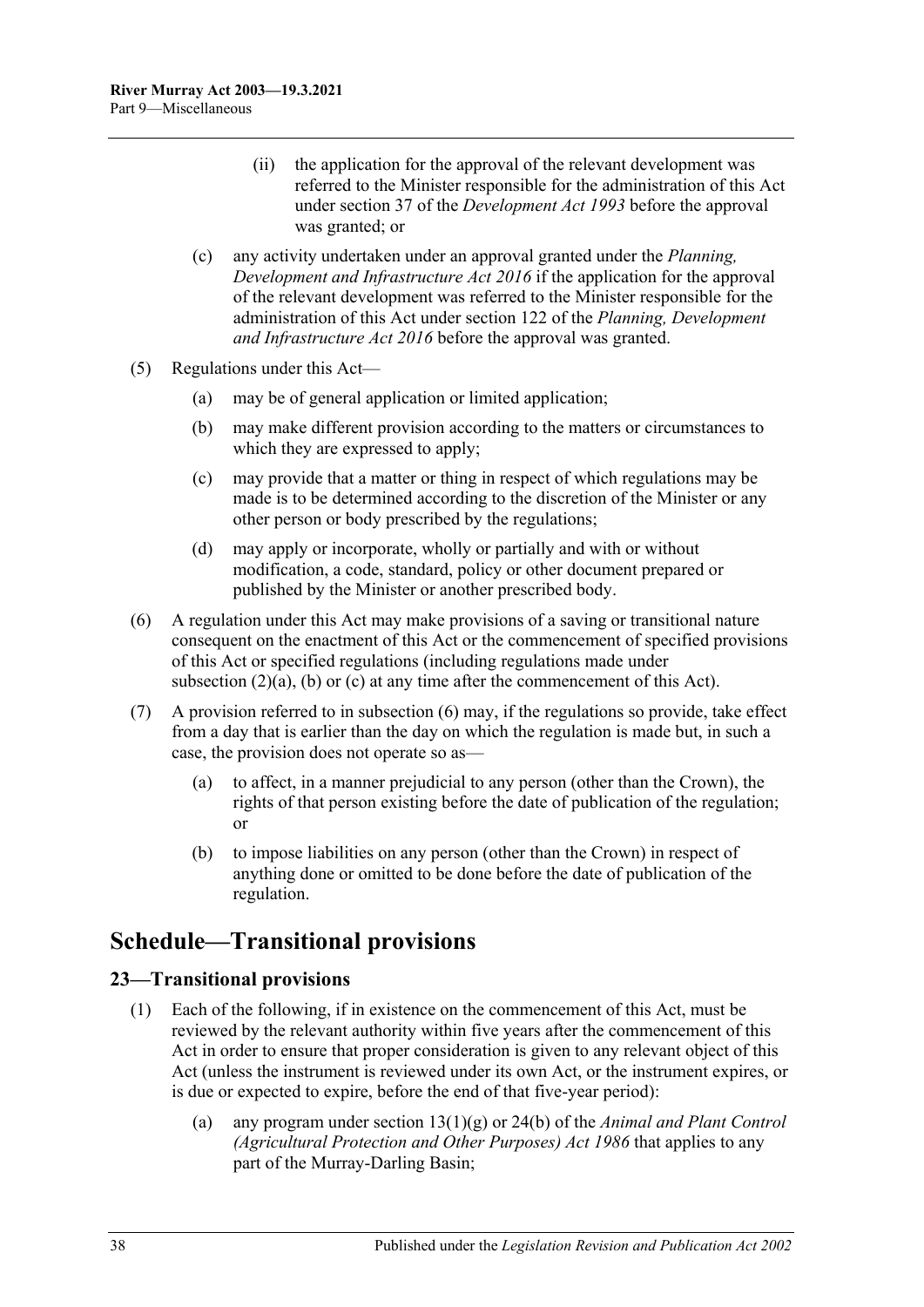- (ii) the application for the approval of the relevant development was referred to the Minister responsible for the administration of this Act under section 37 of the *[Development Act](http://www.legislation.sa.gov.au/index.aspx?action=legref&type=act&legtitle=Development%20Act%201993) 1993* before the approval was granted; or
- (c) any activity undertaken under an approval granted under the *[Planning,](http://www.legislation.sa.gov.au/index.aspx?action=legref&type=act&legtitle=Planning%20Development%20and%20Infrastructure%20Act%202016)  [Development and Infrastructure Act](http://www.legislation.sa.gov.au/index.aspx?action=legref&type=act&legtitle=Planning%20Development%20and%20Infrastructure%20Act%202016) 2016* if the application for the approval of the relevant development was referred to the Minister responsible for the administration of this Act under section 122 of the *[Planning, Development](http://www.legislation.sa.gov.au/index.aspx?action=legref&type=act&legtitle=Planning%20Development%20and%20Infrastructure%20Act%202016)  [and Infrastructure](http://www.legislation.sa.gov.au/index.aspx?action=legref&type=act&legtitle=Planning%20Development%20and%20Infrastructure%20Act%202016) Act 2016* before the approval was granted.
- (5) Regulations under this Act—
	- (a) may be of general application or limited application;
	- (b) may make different provision according to the matters or circumstances to which they are expressed to apply;
	- (c) may provide that a matter or thing in respect of which regulations may be made is to be determined according to the discretion of the Minister or any other person or body prescribed by the regulations;
	- (d) may apply or incorporate, wholly or partially and with or without modification, a code, standard, policy or other document prepared or published by the Minister or another prescribed body.
- <span id="page-37-2"></span>(6) A regulation under this Act may make provisions of a saving or transitional nature consequent on the enactment of this Act or the commencement of specified provisions of this Act or specified regulations (including regulations made under [subsection](#page-36-2)  $(2)(a)$ ,  $(b)$  or  $(c)$  at any time after the commencement of this Act).
- (7) A provision referred to in [subsection](#page-37-2) (6) may, if the regulations so provide, take effect from a day that is earlier than the day on which the regulation is made but, in such a case, the provision does not operate so as—
	- (a) to affect, in a manner prejudicial to any person (other than the Crown), the rights of that person existing before the date of publication of the regulation; or
	- (b) to impose liabilities on any person (other than the Crown) in respect of anything done or omitted to be done before the date of publication of the regulation.

## <span id="page-37-0"></span>**Schedule—Transitional provisions**

#### <span id="page-37-1"></span>**23—Transitional provisions**

- (1) Each of the following, if in existence on the commencement of this Act, must be reviewed by the relevant authority within five years after the commencement of this Act in order to ensure that proper consideration is given to any relevant object of this Act (unless the instrument is reviewed under its own Act, or the instrument expires, or is due or expected to expire, before the end of that five-year period):
	- (a) any program under section 13(1)(g) or 24(b) of the *[Animal and Plant Control](http://www.legislation.sa.gov.au/index.aspx?action=legref&type=act&legtitle=Animal%20and%20Plant%20Control%20(Agricultural%20Protection%20and%20Other%20Purposes)%20Act%201986)  [\(Agricultural Protection and Other Purposes\) Act](http://www.legislation.sa.gov.au/index.aspx?action=legref&type=act&legtitle=Animal%20and%20Plant%20Control%20(Agricultural%20Protection%20and%20Other%20Purposes)%20Act%201986) 1986* that applies to any part of the Murray-Darling Basin;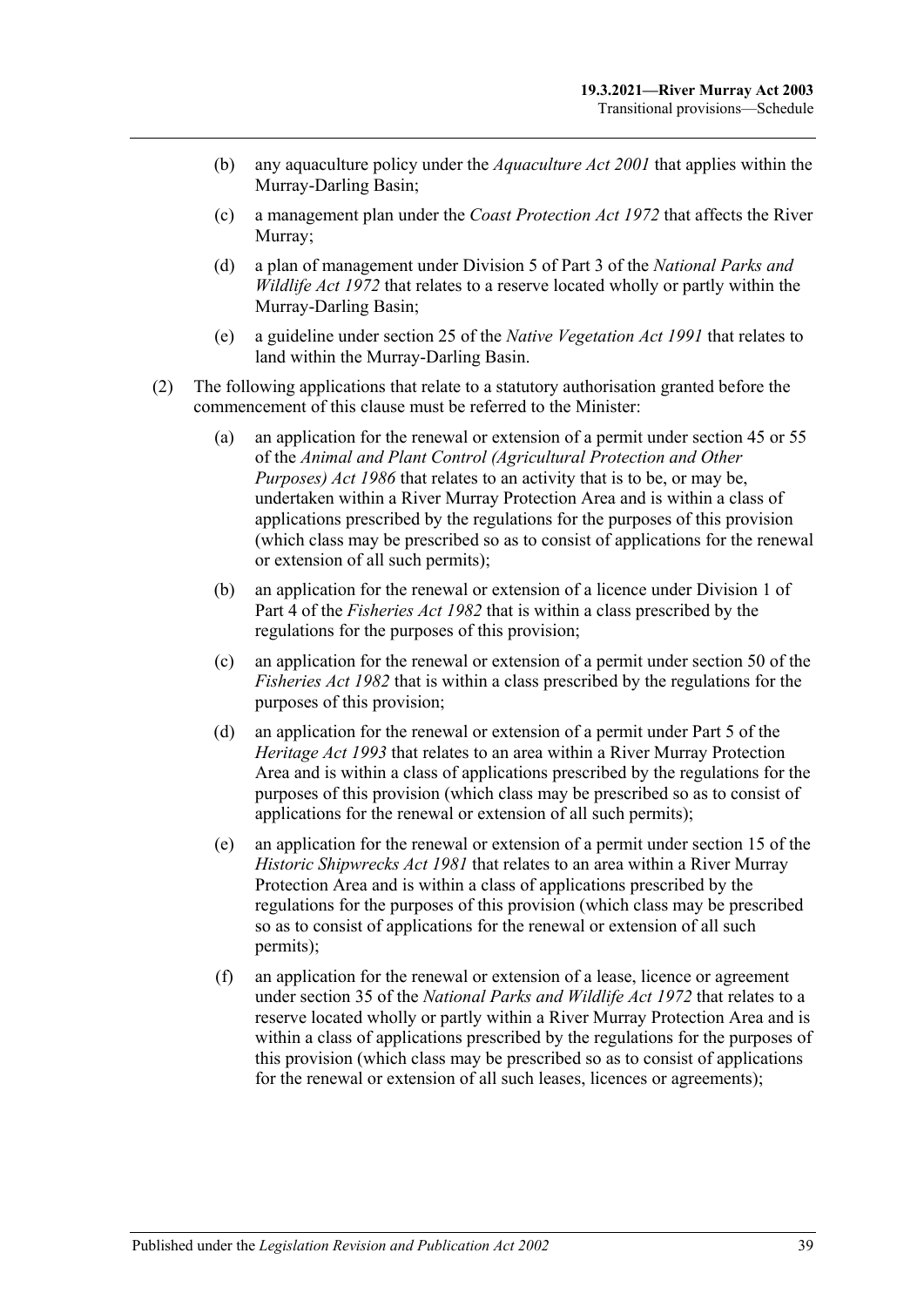- (b) any aquaculture policy under the *[Aquaculture Act](http://www.legislation.sa.gov.au/index.aspx?action=legref&type=act&legtitle=Aquaculture%20Act%202001) 2001* that applies within the Murray-Darling Basin;
- (c) a management plan under the *[Coast Protection Act](http://www.legislation.sa.gov.au/index.aspx?action=legref&type=act&legtitle=Coast%20Protection%20Act%201972) 1972* that affects the River Murray;
- (d) a plan of management under Division 5 of Part 3 of the *[National Parks and](http://www.legislation.sa.gov.au/index.aspx?action=legref&type=act&legtitle=National%20Parks%20and%20Wildlife%20Act%201972)  [Wildlife Act](http://www.legislation.sa.gov.au/index.aspx?action=legref&type=act&legtitle=National%20Parks%20and%20Wildlife%20Act%201972) 1972* that relates to a reserve located wholly or partly within the Murray-Darling Basin;
- (e) a guideline under section 25 of the *[Native Vegetation Act](http://www.legislation.sa.gov.au/index.aspx?action=legref&type=act&legtitle=Native%20Vegetation%20Act%201991) 1991* that relates to land within the Murray-Darling Basin.
- <span id="page-38-0"></span>(2) The following applications that relate to a statutory authorisation granted before the commencement of this clause must be referred to the Minister:
	- (a) an application for the renewal or extension of a permit under section 45 or 55 of the *[Animal and Plant Control \(Agricultural Protection and Other](http://www.legislation.sa.gov.au/index.aspx?action=legref&type=act&legtitle=Animal%20and%20Plant%20Control%20(Agricultural%20Protection%20and%20Other%20Purposes)%20Act%201986)  [Purposes\) Act](http://www.legislation.sa.gov.au/index.aspx?action=legref&type=act&legtitle=Animal%20and%20Plant%20Control%20(Agricultural%20Protection%20and%20Other%20Purposes)%20Act%201986) 1986* that relates to an activity that is to be, or may be, undertaken within a River Murray Protection Area and is within a class of applications prescribed by the regulations for the purposes of this provision (which class may be prescribed so as to consist of applications for the renewal or extension of all such permits);
	- (b) an application for the renewal or extension of a licence under Division 1 of Part 4 of the *[Fisheries Act](http://www.legislation.sa.gov.au/index.aspx?action=legref&type=act&legtitle=Fisheries%20Act%201982) 1982* that is within a class prescribed by the regulations for the purposes of this provision;
	- (c) an application for the renewal or extension of a permit under section 50 of the *[Fisheries Act](http://www.legislation.sa.gov.au/index.aspx?action=legref&type=act&legtitle=Fisheries%20Act%201982) 1982* that is within a class prescribed by the regulations for the purposes of this provision;
	- (d) an application for the renewal or extension of a permit under Part 5 of the *[Heritage Act](http://www.legislation.sa.gov.au/index.aspx?action=legref&type=act&legtitle=Heritage%20Act%201993) 1993* that relates to an area within a River Murray Protection Area and is within a class of applications prescribed by the regulations for the purposes of this provision (which class may be prescribed so as to consist of applications for the renewal or extension of all such permits);
	- (e) an application for the renewal or extension of a permit under section 15 of the *[Historic Shipwrecks Act](http://www.legislation.sa.gov.au/index.aspx?action=legref&type=act&legtitle=Historic%20Shipwrecks%20Act%201981) 1981* that relates to an area within a River Murray Protection Area and is within a class of applications prescribed by the regulations for the purposes of this provision (which class may be prescribed so as to consist of applications for the renewal or extension of all such permits);
	- (f) an application for the renewal or extension of a lease, licence or agreement under section 35 of the *[National Parks and Wildlife Act](http://www.legislation.sa.gov.au/index.aspx?action=legref&type=act&legtitle=National%20Parks%20and%20Wildlife%20Act%201972) 1972* that relates to a reserve located wholly or partly within a River Murray Protection Area and is within a class of applications prescribed by the regulations for the purposes of this provision (which class may be prescribed so as to consist of applications for the renewal or extension of all such leases, licences or agreements);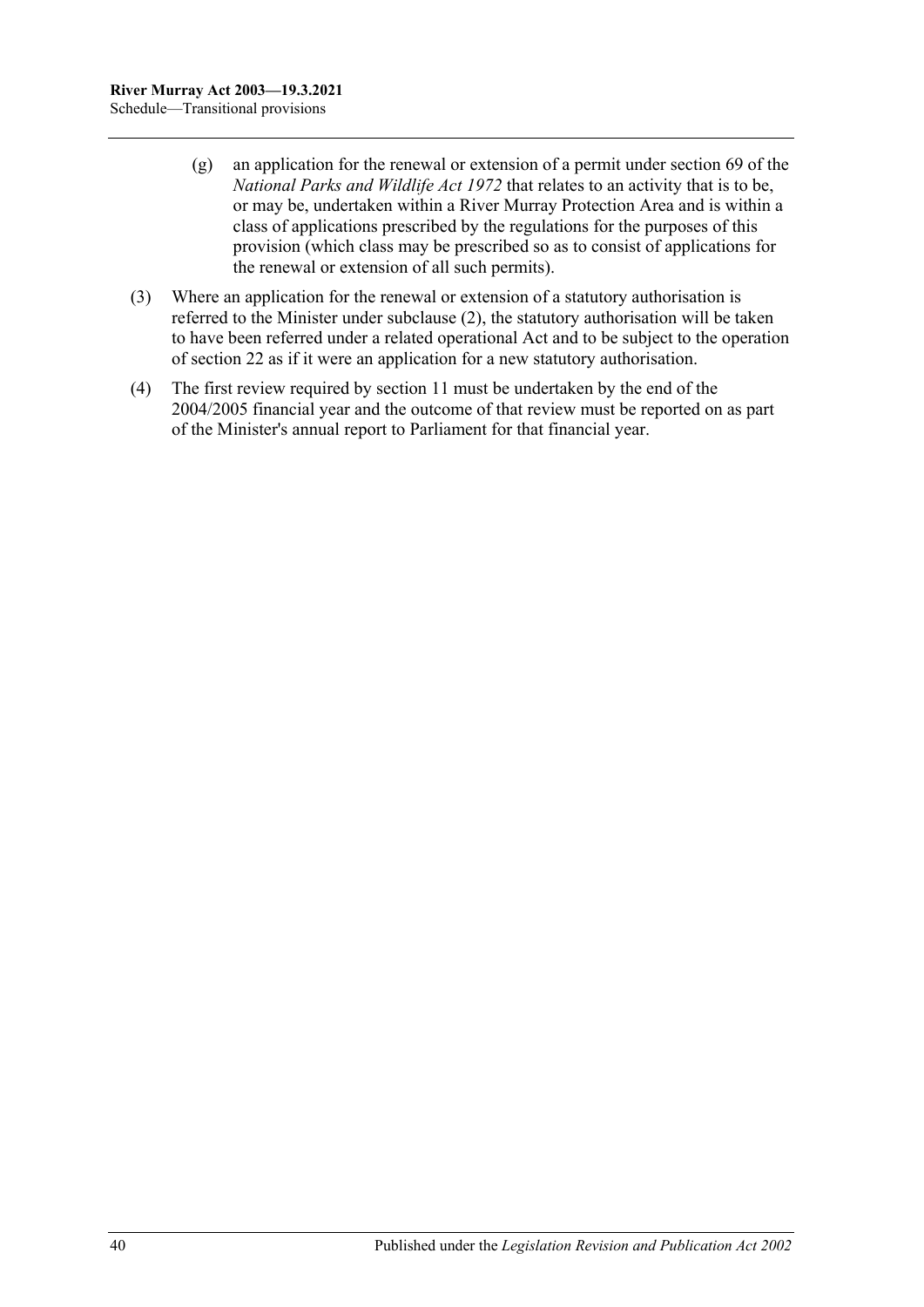- (g) an application for the renewal or extension of a permit under section 69 of the *[National Parks and Wildlife Act](http://www.legislation.sa.gov.au/index.aspx?action=legref&type=act&legtitle=National%20Parks%20and%20Wildlife%20Act%201972) 1972* that relates to an activity that is to be, or may be, undertaken within a River Murray Protection Area and is within a class of applications prescribed by the regulations for the purposes of this provision (which class may be prescribed so as to consist of applications for the renewal or extension of all such permits).
- (3) Where an application for the renewal or extension of a statutory authorisation is referred to the Minister under [subclause](#page-38-0) (2), the statutory authorisation will be taken to have been referred under a related operational Act and to be subject to the operation of [section](#page-19-1) 22 as if it were an application for a new statutory authorisation.
- (4) The first review required by [section](#page-11-1) 11 must be undertaken by the end of the 2004/2005 financial year and the outcome of that review must be reported on as part of the Minister's annual report to Parliament for that financial year.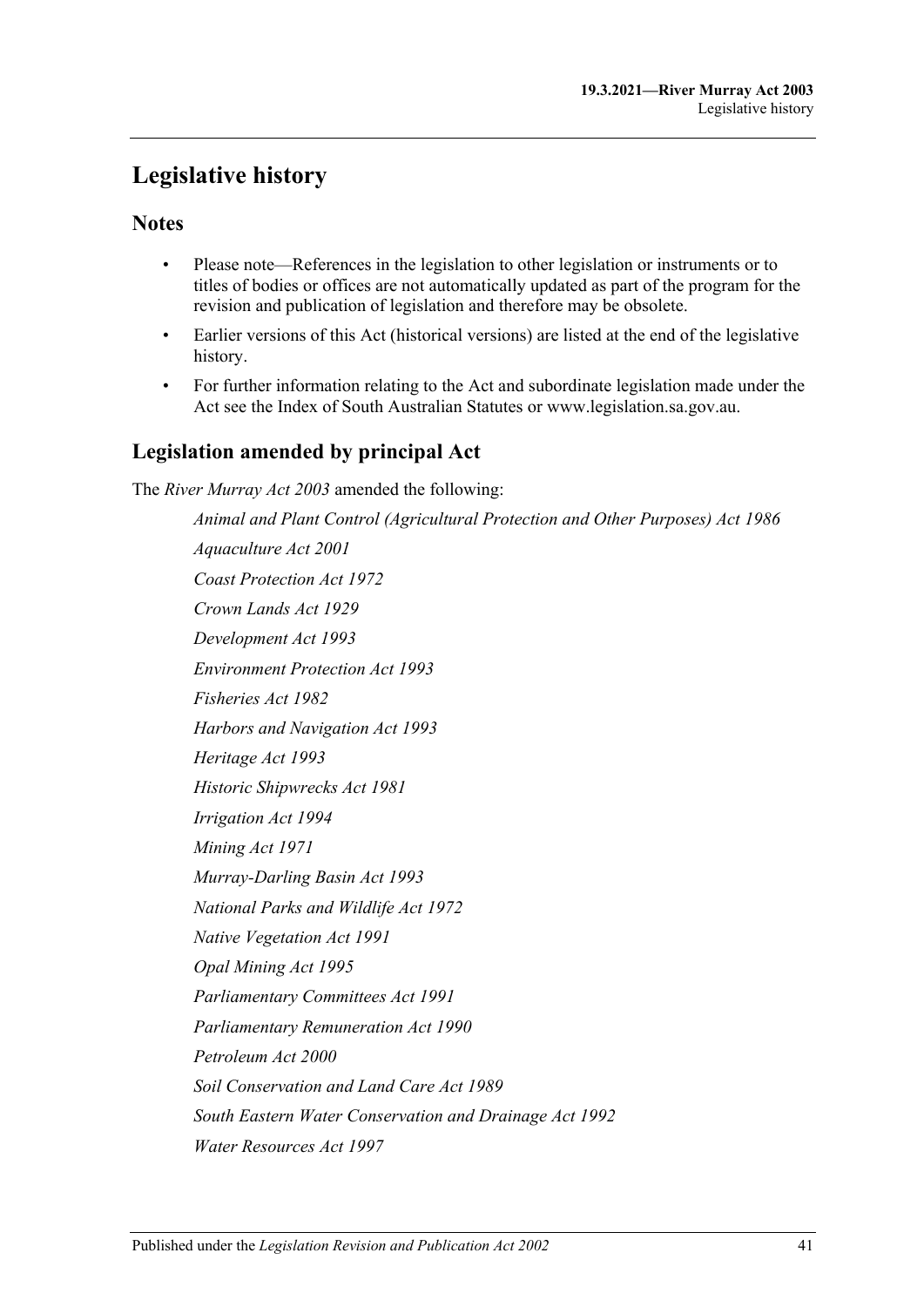## <span id="page-40-0"></span>**Legislative history**

#### **Notes**

- Please note—References in the legislation to other legislation or instruments or to titles of bodies or offices are not automatically updated as part of the program for the revision and publication of legislation and therefore may be obsolete.
- Earlier versions of this Act (historical versions) are listed at the end of the legislative history.
- For further information relating to the Act and subordinate legislation made under the Act see the Index of South Australian Statutes or www.legislation.sa.gov.au.

### **Legislation amended by principal Act**

The *River Murray Act 2003* amended the following:

*Animal and Plant Control (Agricultural Protection and Other Purposes) Act 1986 Aquaculture Act 2001 Coast Protection Act 1972 Crown Lands Act 1929 Development Act 1993 Environment Protection Act 1993 Fisheries Act 1982 Harbors and Navigation Act 1993 Heritage Act 1993 Historic Shipwrecks Act 1981 Irrigation Act 1994 Mining Act 1971 Murray-Darling Basin Act 1993 National Parks and Wildlife Act 1972 Native Vegetation Act 1991 Opal Mining Act 1995 Parliamentary Committees Act 1991 Parliamentary Remuneration Act 1990 Petroleum Act 2000 Soil Conservation and Land Care Act 1989 South Eastern Water Conservation and Drainage Act 1992 Water Resources Act 1997*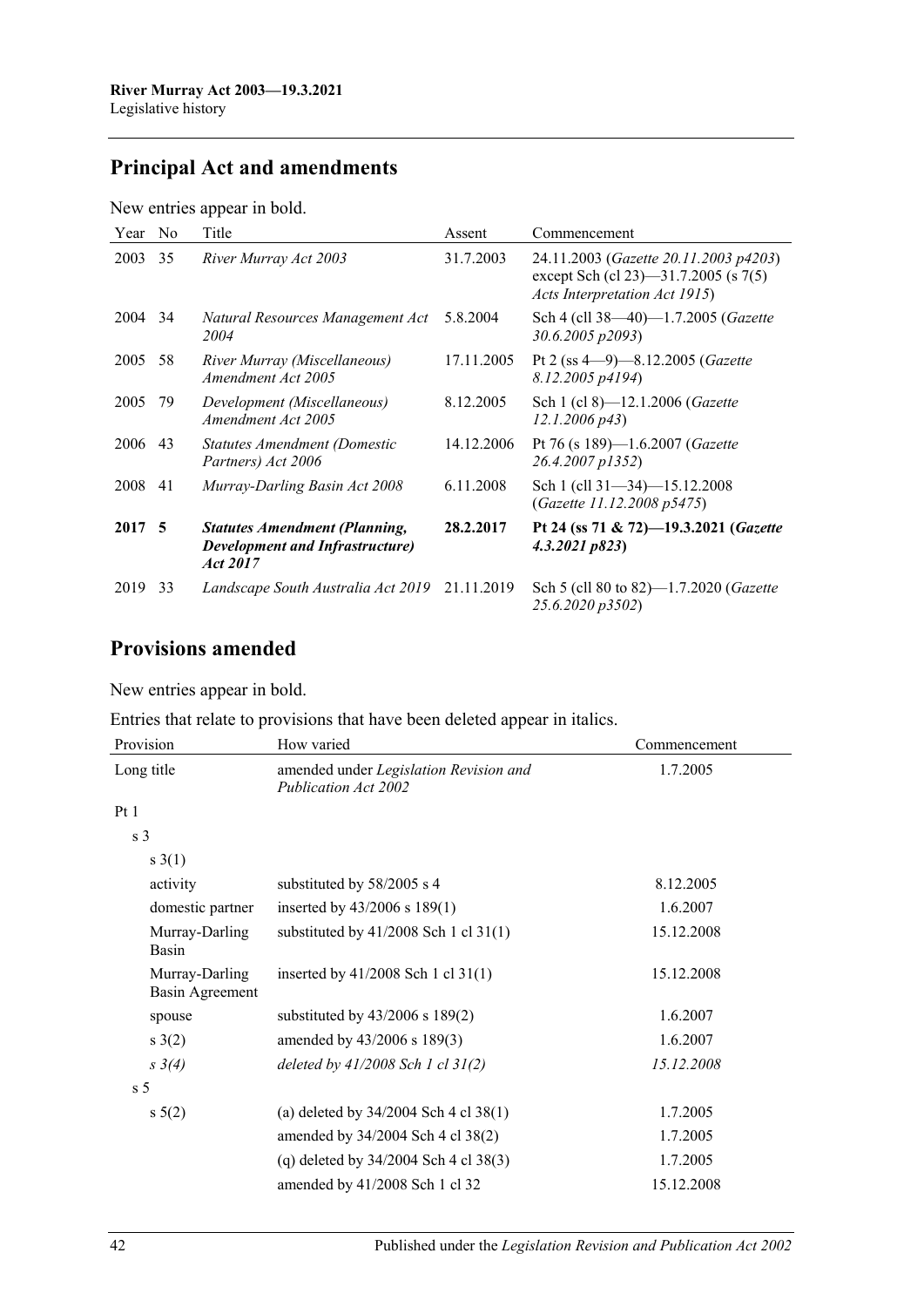## **Principal Act and amendments**

New entries appear in bold.

| Year    | N <sub>0</sub> | Title                                                                                       | Assent     | Commencement                                                                                                   |
|---------|----------------|---------------------------------------------------------------------------------------------|------------|----------------------------------------------------------------------------------------------------------------|
| 2003    | 35             | River Murray Act 2003                                                                       | 31.7.2003  | 24.11.2003 (Gazette 20.11.2003 p4203)<br>except Sch (cl 23)—31.7.2005 (s 7(5)<br>Acts Interpretation Act 1915) |
| 2004 34 |                | Natural Resources Management Act<br>2004                                                    | 5.8.2004   | Sch 4 (cll 38-40)-1.7.2005 (Gazette<br>30.6.2005 p2093)                                                        |
| 2005    | 58             | River Murray (Miscellaneous)<br>Amendment Act 2005                                          | 17.11.2005 | Pt 2 (ss $4-9$ )-8.12.2005 ( <i>Gazette</i><br>8.12.2005 p4194)                                                |
| 2005    | 79             | Development (Miscellaneous)<br>Amendment Act 2005                                           | 8.12.2005  | Sch 1 (cl 8)-12.1.2006 (Gazette<br>$12.1.2006\ p43$                                                            |
| 2006    | 43             | Statutes Amendment (Domestic<br>Partners) Act 2006                                          | 14.12.2006 | Pt 76 (s 189)-1.6.2007 (Gazette<br>26.4.2007 p1352)                                                            |
| 2008    | 41             | Murray-Darling Basin Act 2008                                                               | 6.11.2008  | Sch 1 (cll 31-34)-15.12.2008<br>(Gazette 11.12.2008 p5475)                                                     |
| 2017 5  |                | <b>Statutes Amendment (Planning,</b><br><b>Development and Infrastructure</b> )<br>Act 2017 | 28.2.2017  | Pt 24 (ss 71 & 72)-19.3.2021 (Gazette<br>4.3.2021 p823                                                         |
| 2019    | 33             | Landscape South Australia Act 2019                                                          | 21.11.2019 | Sch 5 (cll 80 to 82)-1.7.2020 (Gazette<br>25.6.2020 p3502)                                                     |

### **Provisions amended**

New entries appear in bold.

Entries that relate to provisions that have been deleted appear in italics.

| Provision                         | How varied                                                            | Commencement |  |
|-----------------------------------|-----------------------------------------------------------------------|--------------|--|
| Long title                        | amended under Legislation Revision and<br><b>Publication Act 2002</b> | 1.7.2005     |  |
| Pt1                               |                                                                       |              |  |
| s <sub>3</sub>                    |                                                                       |              |  |
| s(1)                              |                                                                       |              |  |
| activity                          | substituted by 58/2005 s 4                                            | 8.12.2005    |  |
| domestic partner                  | inserted by $43/2006$ s $189(1)$                                      | 1.6.2007     |  |
| Murray-Darling<br>Basin           | substituted by $41/2008$ Sch 1 cl 31(1)                               | 15.12.2008   |  |
| Murray-Darling<br>Basin Agreement | inserted by $41/2008$ Sch 1 cl $31(1)$                                | 15.12.2008   |  |
| spouse                            | substituted by $43/2006$ s $189(2)$                                   | 1.6.2007     |  |
| s(2)                              | amended by 43/2006 s 189(3)                                           | 1.6.2007     |  |
| $s \; 3(4)$                       | deleted by $41/2008$ Sch 1 cl $31(2)$                                 | 15.12.2008   |  |
| s <sub>5</sub>                    |                                                                       |              |  |
| $s\ 5(2)$                         | (a) deleted by $34/2004$ Sch 4 cl $38(1)$                             | 1.7.2005     |  |
|                                   | amended by 34/2004 Sch 4 cl 38(2)                                     | 1.7.2005     |  |
|                                   | (q) deleted by $34/2004$ Sch 4 cl $38(3)$                             | 1.7.2005     |  |
|                                   | amended by 41/2008 Sch 1 cl 32                                        | 15.12.2008   |  |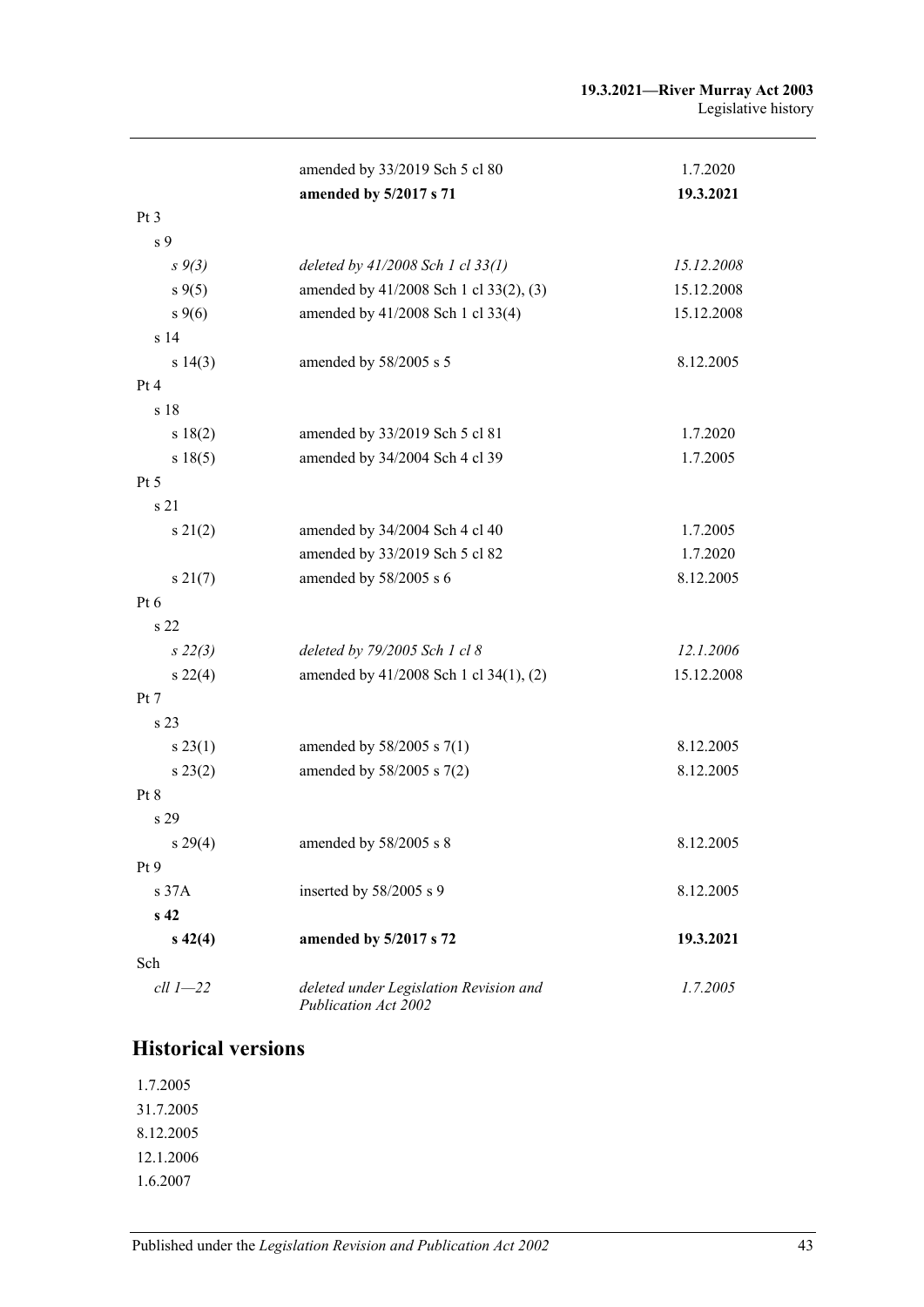|                 | amended by 33/2019 Sch 5 cl 80                                 | 1.7.2020   |
|-----------------|----------------------------------------------------------------|------------|
|                 | amended by 5/2017 s 71                                         | 19.3.2021  |
| Pt 3            |                                                                |            |
| s 9             |                                                                |            |
| $s \, 9(3)$     | deleted by $41/2008$ Sch 1 cl $33(1)$                          | 15.12.2008 |
| $s \, 9(5)$     | amended by 41/2008 Sch 1 cl 33(2), (3)                         | 15.12.2008 |
| $s \, 9(6)$     | amended by 41/2008 Sch 1 cl 33(4)                              | 15.12.2008 |
| s <sub>14</sub> |                                                                |            |
| s 14(3)         | amended by 58/2005 s 5                                         | 8.12.2005  |
| Pt 4            |                                                                |            |
| s 18            |                                                                |            |
| s 18(2)         | amended by 33/2019 Sch 5 cl 81                                 | 1.7.2020   |
| s 18(5)         | amended by 34/2004 Sch 4 cl 39                                 | 1.7.2005   |
| Pt 5            |                                                                |            |
| s 21            |                                                                |            |
| $s\,21(2)$      | amended by 34/2004 Sch 4 cl 40                                 | 1.7.2005   |
|                 | amended by 33/2019 Sch 5 cl 82                                 | 1.7.2020   |
| s 21(7)         | amended by 58/2005 s 6                                         | 8.12.2005  |
| Pt 6            |                                                                |            |
| s 22            |                                                                |            |
| $s\,22(3)$      | deleted by 79/2005 Sch 1 cl 8                                  | 12.1.2006  |
| $s\,22(4)$      | amended by 41/2008 Sch 1 cl 34(1), (2)                         | 15.12.2008 |
| Pt 7            |                                                                |            |
| s 23            |                                                                |            |
| $s\,23(1)$      | amended by 58/2005 s 7(1)                                      | 8.12.2005  |
| $s\,23(2)$      | amended by 58/2005 s 7(2)                                      | 8.12.2005  |
| Pt 8            |                                                                |            |
| s 29            |                                                                |            |
| s 29(4)         | amended by $58/2005$ s 8                                       | 8.12.2005  |
| Pt9             |                                                                |            |
| s 37A           | inserted by 58/2005 s 9                                        | 8.12.2005  |
| s <sub>42</sub> |                                                                |            |
| $s\,42(4)$      | amended by 5/2017 s 72                                         | 19.3.2021  |
| Sch             |                                                                |            |
| $ell 1 - 22$    | deleted under Legislation Revision and<br>Publication Act 2002 | 1.7.2005   |

## **Historical versions**

1.7.2005 31.7.2005 8.12.2005 12.1.2006 1.6.2007